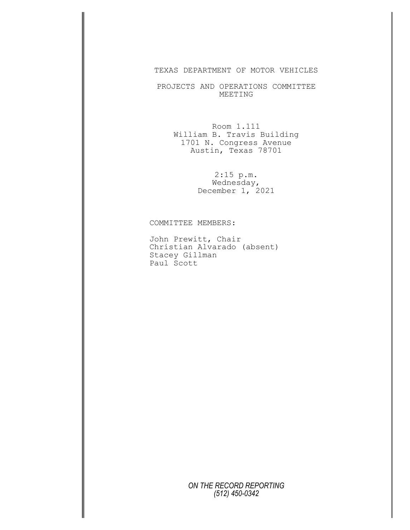## TEXAS DEPARTMENT OF MOTOR VEHICLES

PROJECTS AND OPERATIONS COMMITTEE MEETING

Room 1.111 William B. Travis Building 1701 N. Congress Avenue Austin, Texas 78701

> 2:15 p.m. Wednesday, December 1, 2021

COMMITTEE MEMBERS:

John Prewitt, Chair Christian Alvarado (absent) Stacey Gillman Paul Scott

> *ON THE RECORD REPORTING (512) 450-0342*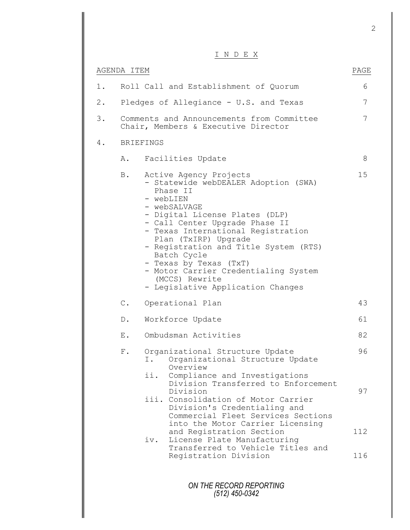## I N D E X

|       |                                                                                  | $\perp$ $\perp$ $\vee$ $\perp$ $\perp$ $\perp$ $\perp$                                                                                                                                                                                                                                                                                                                                                                     |                 |
|-------|----------------------------------------------------------------------------------|----------------------------------------------------------------------------------------------------------------------------------------------------------------------------------------------------------------------------------------------------------------------------------------------------------------------------------------------------------------------------------------------------------------------------|-----------------|
|       | AGENDA ITEM                                                                      |                                                                                                                                                                                                                                                                                                                                                                                                                            | PAGE            |
| $1$ . |                                                                                  | Roll Call and Establishment of Quorum                                                                                                                                                                                                                                                                                                                                                                                      | 6               |
| $2$ . |                                                                                  | Pledges of Allegiance - U.S. and Texas                                                                                                                                                                                                                                                                                                                                                                                     | $7\phantom{.0}$ |
| 3.    | Comments and Announcements from Committee<br>Chair, Members & Executive Director |                                                                                                                                                                                                                                                                                                                                                                                                                            | 7               |
| 4.    |                                                                                  | <b>BRIEFINGS</b>                                                                                                                                                                                                                                                                                                                                                                                                           |                 |
|       | Α.                                                                               | Facilities Update                                                                                                                                                                                                                                                                                                                                                                                                          | 8               |
|       | B.                                                                               | Active Agency Projects<br>- Statewide webDEALER Adoption (SWA)<br>Phase II<br>- webLIEN<br>- webSALVAGE<br>- Digital License Plates (DLP)<br>- Call Center Upgrade Phase II<br>- Texas International Registration<br>Plan (TxIRP) Upgrade<br>- Registration and Title System (RTS)<br>Batch Cycle<br>- Texas by Texas (TxT)<br>- Motor Carrier Credentialing System<br>(MCCS) Rewrite<br>- Legislative Application Changes | 15              |
|       | $\mathbb C$ .                                                                    | Operational Plan                                                                                                                                                                                                                                                                                                                                                                                                           | 43              |
|       | $D$ .                                                                            | Workforce Update                                                                                                                                                                                                                                                                                                                                                                                                           | 61              |
|       | Ε.                                                                               | Ombudsman Activities                                                                                                                                                                                                                                                                                                                                                                                                       | 82              |
|       | ${\rm F}$ .                                                                      | Organizational Structure Update<br>Organizational Structure Update<br>Ι.<br>Overview<br>ii.<br>Compliance and Investigations                                                                                                                                                                                                                                                                                               | 96              |
|       |                                                                                  | Division Transferred to Enforcement<br>Division<br>iii. Consolidation of Motor Carrier<br>Division's Credentialing and<br>Commercial Fleet Services Sections                                                                                                                                                                                                                                                               | 97              |
|       |                                                                                  | into the Motor Carrier Licensing<br>and Registration Section<br>License Plate Manufacturing<br>iv.                                                                                                                                                                                                                                                                                                                         | 112             |
|       |                                                                                  | Transferred to Vehicle Titles and<br>Registration Division                                                                                                                                                                                                                                                                                                                                                                 | 116             |
|       |                                                                                  | ON THE RECORD REPORTING<br>(512) 450-0342                                                                                                                                                                                                                                                                                                                                                                                  |                 |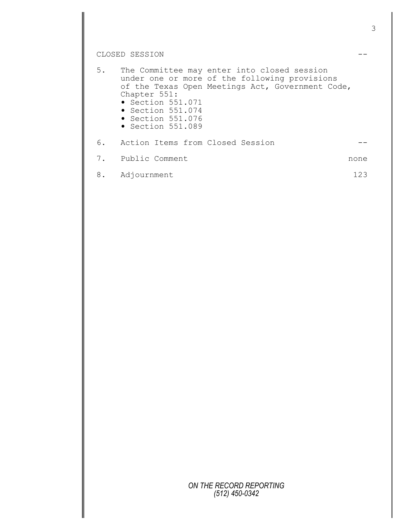## CLOSED SESSION  $---$

| $5$ . | Chapter 551:<br>$\bullet$ Section 551.071<br>$\bullet$ Section 551.074<br>$\bullet$ Section 551.076<br>$\bullet$ Section 551.089 | The Committee may enter into closed session<br>under one or more of the following provisions<br>of the Texas Open Meetings Act, Government Code, |      |
|-------|----------------------------------------------------------------------------------------------------------------------------------|--------------------------------------------------------------------------------------------------------------------------------------------------|------|
| 6.    | Action Items from Closed Session                                                                                                 |                                                                                                                                                  |      |
| 7.    | Public Comment                                                                                                                   |                                                                                                                                                  | none |
| 8.    | Adjournment                                                                                                                      |                                                                                                                                                  | 123  |

*ON THE RECORD REPORTING (512) 450-0342*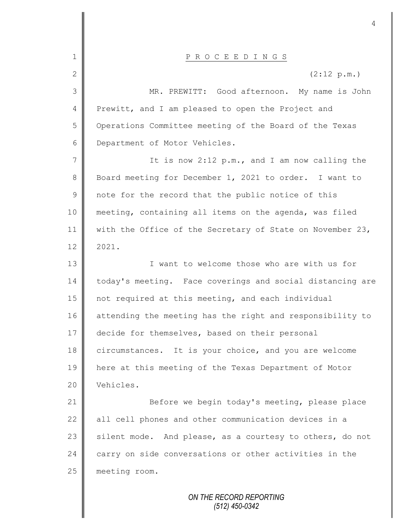| P R O C E E D I N G S                                     |  |
|-----------------------------------------------------------|--|
| (2:12 p.m.)                                               |  |
| MR. PREWITT: Good afternoon. My name is John              |  |
| Prewitt, and I am pleased to open the Project and         |  |
| Operations Committee meeting of the Board of the Texas    |  |
| Department of Motor Vehicles.                             |  |
| It is now 2:12 p.m., and I am now calling the             |  |
| Board meeting for December 1, 2021 to order. I want to    |  |
| note for the record that the public notice of this        |  |
| meeting, containing all items on the agenda, was filed    |  |
| with the Office of the Secretary of State on November 23, |  |
| 2021.                                                     |  |
| I want to welcome those who are with us for               |  |
| today's meeting. Face coverings and social distancing are |  |
| not required at this meeting, and each individual         |  |
| attending the meeting has the right and responsibility to |  |
| decide for themselves, based on their personal            |  |
| circumstances. It is your choice, and you are welcome     |  |
| here at this meeting of the Texas Department of Motor     |  |
| Vehicles.                                                 |  |
| Before we begin today's meeting, please place             |  |
| all cell phones and other communication devices in a      |  |
| silent mode. And please, as a courtesy to others, do not  |  |
| carry on side conversations or other activities in the    |  |
| meeting room.                                             |  |
| ON THE RECORD REPORTING                                   |  |
|                                                           |  |

II

## 

*(512) 450-0342*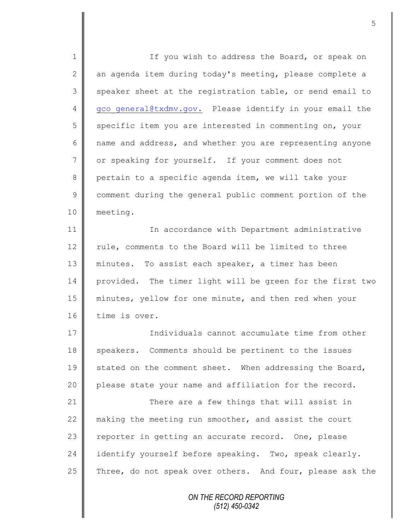*ON THE RECORD REPORTING (512) 450-0342* 1 || If you wish to address the Board, or speak on 2  $\parallel$  an agenda item during today's meeting, please complete a  $3 \parallel$  speaker sheet at the registration table, or send email to 4 gco general@txdmv.gov. Please identify in your email the 5 specific item you are interested in commenting on, your 6 name and address, and whether you are representing anyone 7 or speaking for yourself. If your comment does not 8 pertain to a specific agenda item, we will take your 9 comment during the general public comment portion of the 10 meeting. 11 | In accordance with Department administrative 12 rule, comments to the Board will be limited to three 13 || minutes. To assist each speaker, a timer has been 14 provided. The timer light will be green for the first two 15 minutes, yellow for one minute, and then red when your 16 time is over. 17 **I** Individuals cannot accumulate time from other 18 speakers. Comments should be pertinent to the issues 19 stated on the comment sheet. When addressing the Board, 20 | please state your name and affiliation for the record. 21 | There are a few things that will assist in 22  $\parallel$  making the meeting run smoother, and assist the court 23 | reporter in getting an accurate record. One, please 24 identify yourself before speaking. Two, speak clearly. 25 Three, do not speak over others. And four, please ask the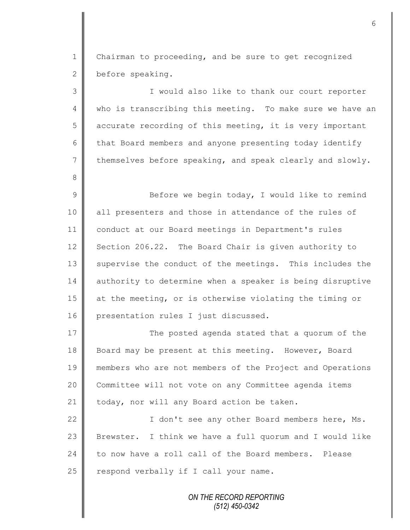1 | Chairman to proceeding, and be sure to get recognized 2 before speaking.

3 || I would also like to thank our court reporter 4 || who is transcribing this meeting. To make sure we have an  $5 \parallel$  accurate recording of this meeting, it is very important 6 that Board members and anyone presenting today identify  $7 \parallel$  themselves before speaking, and speak clearly and slowly. 8 9 || Before we begin today, I would like to remind 10 all presenters and those in attendance of the rules of 11 conduct at our Board meetings in Department's rules 12 Section 206.22. The Board Chair is given authority to 13 Supervise the conduct of the meetings. This includes the 14 authority to determine when a speaker is being disruptive 15 at the meeting, or is otherwise violating the timing or 16 presentation rules I just discussed. 17 The posted agenda stated that a quorum of the 18 Board may be present at this meeting. However, Board 19 members who are not members of the Project and Operations 20 Committee will not vote on any Committee agenda items 21 | today, nor will any Board action be taken.

22 || I don't see any other Board members here, Ms. 23  $\parallel$  Brewster. I think we have a full quorum and I would like 24 to now have a roll call of the Board members. Please  $25$  respond verbally if I call your name.

> *ON THE RECORD REPORTING (512) 450-0342*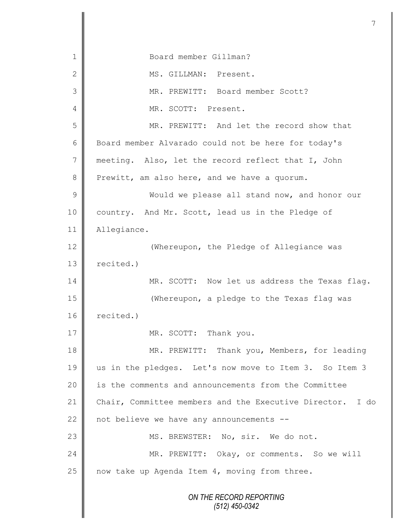*ON THE RECORD REPORTING (512) 450-0342* 1 Board member Gillman? 2 | MS. GILLMAN: Present. 3 MR. PREWITT: Board member Scott? 4 MR. SCOTT: Present. 5 MR. PREWITT: And let the record show that 6 | Board member Alvarado could not be here for today's 7 meeting. Also, let the record reflect that I, John 8 Prewitt, am also here, and we have a quorum. 9 Would we please all stand now, and honor our 10 country. And Mr. Scott, lead us in the Pledge of 11 Allegiance. 12 **| The University Contract Contract** Whereupon, the Pledge of Allegiance was 13  $\parallel$  recited.) 14 MR. SCOTT: Now let us address the Texas flag. 15 (Whereupon, a pledge to the Texas flag was  $16$  recited.) 17 MR. SCOTT: Thank you. 18 || MR. PREWITT: Thank you, Members, for leading 19 || us in the pledges. Let's now move to Item 3. So Item 3 20 | is the comments and announcements from the Committee 21 Chair, Committee members and the Executive Director. I do 22  $\parallel$  not believe we have any announcements --23 || MS. BREWSTER: No, sir. We do not. 24 MR. PREWITT: Okay, or comments. So we will  $25$  now take up Agenda Item 4, moving from three.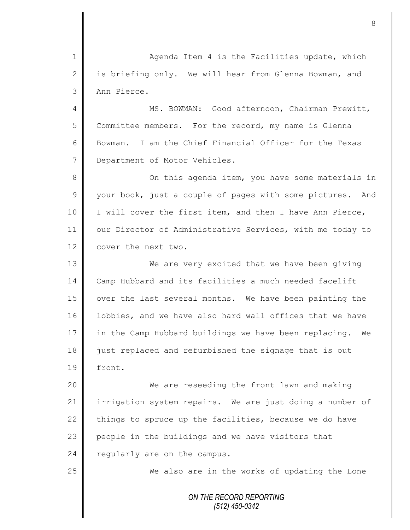1 || Agenda Item 4 is the Facilities update, which 2  $\parallel$  is briefing only. We will hear from Glenna Bowman, and 3 Ann Pierce.

4 || MS. BOWMAN: Good afternoon, Chairman Prewitt, 5 Committee members. For the record, my name is Glenna 6 Bowman. I am the Chief Financial Officer for the Texas 7 Department of Motor Vehicles.

8 || On this agenda item, you have some materials in  $9 \parallel$  your book, just a couple of pages with some pictures. And 10 | I will cover the first item, and then I have Ann Pierce, 11 | our Director of Administrative Services, with me today to 12 | cover the next two.

13 We are very excited that we have been giving 14 | Camp Hubbard and its facilities a much needed facelift 15 | over the last several months. We have been painting the 16 | lobbies, and we have also hard wall offices that we have 17 in the Camp Hubbard buildings we have been replacing. We 18 iust replaced and refurbished the signage that is out 19 front.

20 We are reseeding the front lawn and making 21 irrigation system repairs. We are just doing a number of 22 things to spruce up the facilities, because we do have 23 people in the buildings and we have visitors that 24  $\parallel$  regularly are on the campus.

25 We also are in the works of updating the Lone

*ON THE RECORD REPORTING (512) 450-0342*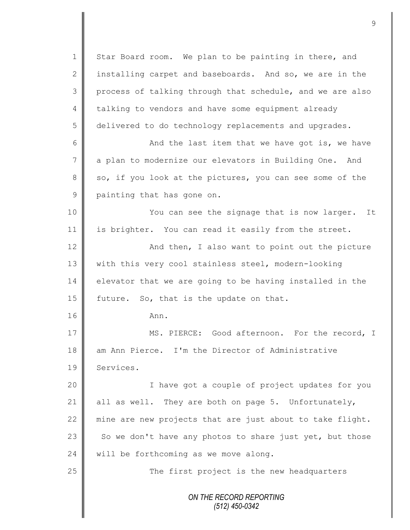*ON THE RECORD REPORTING (512) 450-0342* 1 Star Board room. We plan to be painting in there, and 2 installing carpet and baseboards. And so, we are in the 3 process of talking through that schedule, and we are also 4 talking to vendors and have some equipment already 5 delivered to do technology replacements and upgrades. 6 And the last item that we have got is, we have 7 a plan to modernize our elevators in Building One. And  $8 \parallel$  so, if you look at the pictures, you can see some of the 9 painting that has gone on. 10 || You can see the signage that is now larger. It 11 is brighter. You can read it easily from the street. 12 | And then, I also want to point out the picture 13 | with this very cool stainless steel, modern-looking  $14$  elevator that we are going to be having installed in the 15  $\parallel$  future. So, that is the update on that. 16 Ann. 17 MS. PIERCE: Good afternoon. For the record, I 18 am Ann Pierce. I'm the Director of Administrative 19 | Services. 20 | Thave got a couple of project updates for you 21 all as well. They are both on page 5. Unfortunately, 22 mine are new projects that are just about to take flight. 23 So we don't have any photos to share just yet, but those 24 will be forthcoming as we move along. 25 The first project is the new headquarters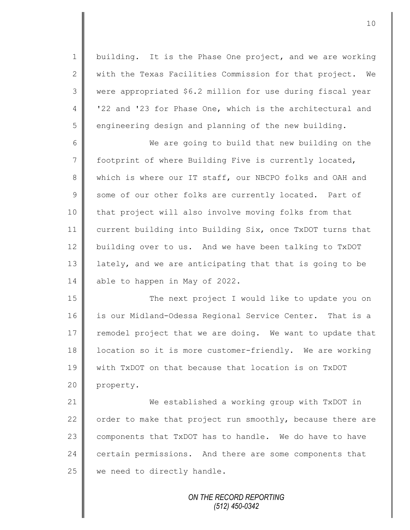1 building. It is the Phase One project, and we are working  $2 \parallel$  with the Texas Facilities Commission for that project. We 3 were appropriated \$6.2 million for use during fiscal year 4 | '22 and '23 for Phase One, which is the architectural and 5 engineering design and planning of the new building.

6 We are going to build that new building on the 7 | footprint of where Building Five is currently located, 8 which is where our IT staff, our NBCPO folks and OAH and 9 some of our other folks are currently located. Part of 10 | that project will also involve moving folks from that 11 current building into Building Six, once TxDOT turns that 12 building over to us. And we have been talking to TxDOT 13 || lately, and we are anticipating that that is going to be 14 able to happen in May of 2022.

15 The next project I would like to update you on 16 is our Midland-Odessa Regional Service Center. That is a 17 remodel project that we are doing. We want to update that 18 | location so it is more customer-friendly. We are working 19 with TxDOT on that because that location is on TxDOT 20 property.

 We established a working group with TxDOT in  $\parallel$  order to make that project run smoothly, because there are  $\parallel$  components that TxDOT has to handle. We do have to have 24 certain permissions. And there are some components that we need to directly handle.

> *ON THE RECORD REPORTING (512) 450-0342*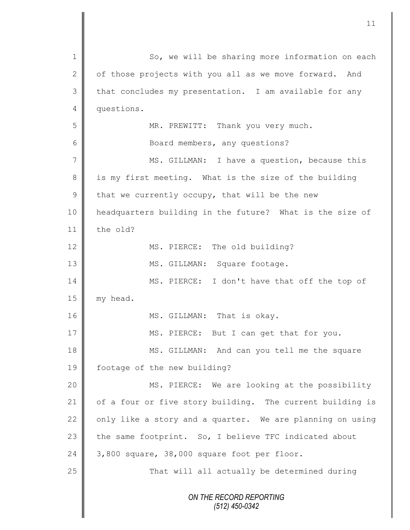| $\mathbf 1$   | So, we will be sharing more information on each           |
|---------------|-----------------------------------------------------------|
| $\mathbf{2}$  | of those projects with you all as we move forward. And    |
| 3             | that concludes my presentation. I am available for any    |
| 4             | questions.                                                |
| 5             | MR. PREWITT: Thank you very much.                         |
| 6             | Board members, any questions?                             |
| 7             | MS. GILLMAN: I have a question, because this              |
| $8\,$         | is my first meeting. What is the size of the building     |
| $\mathcal{G}$ | that we currently occupy, that will be the new            |
| 10            | headquarters building in the future? What is the size of  |
| 11            | the old?                                                  |
| 12            | MS. PIERCE: The old building?                             |
| 13            | MS. GILLMAN: Square footage.                              |
| 14            | MS. PIERCE: I don't have that off the top of              |
| 15            | my head.                                                  |
| 16            | MS. GILLMAN: That is okay.                                |
| 17            | MS. PIERCE: But I can get that for you.                   |
| 18            | MS. GILLMAN: And can you tell me the square               |
| 19            | footage of the new building?                              |
| 20            | MS. PIERCE: We are looking at the possibility             |
| 21            | of a four or five story building. The current building is |
| 22            | only like a story and a quarter. We are planning on using |
| 23            | the same footprint. So, I believe TFC indicated about     |
| 24            | 3,800 square, 38,000 square foot per floor.               |
| 25            | That will all actually be determined during               |
|               | ON THE RECORD REPORTING                                   |
|               | $(512)$ 450-0342                                          |
|               |                                                           |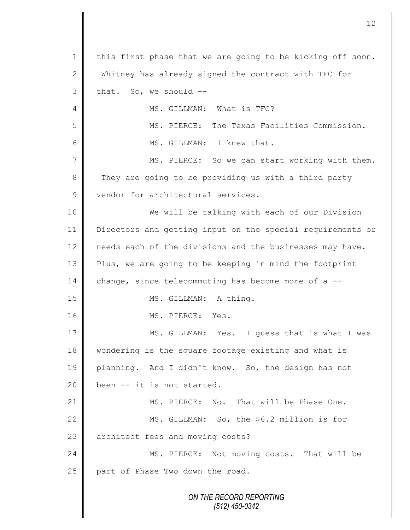*ON THE RECORD REPORTING (512) 450-0342* 1 | this first phase that we are going to be kicking off soon. 2 Whitney has already signed the contract with TFC for  $3 \parallel$  that. So, we should --4 **||** MS. GILLMAN: What is TFC? 5 MS. PIERCE: The Texas Facilities Commission. 6 || MS. GILLMAN: I knew that. 7 MS. PIERCE: So we can start working with them. 8 They are going to be providing us with a third party 9 vendor for architectural services. 10 We will be talking with each of our Division 11 Directors and getting input on the special requirements or 12 | needs each of the divisions and the businesses may have. 13 Plus, we are going to be keeping in mind the footprint 14 change, since telecommuting has become more of a --15 || MS. GILLMAN: A thing. 16 **I** MS. PIERCE: Yes. 17 MS. GILLMAN: Yes. I quess that is what I was 18 | wondering is the square footage existing and what is 19 planning. And I didn't know. So, the design has not 20  $\parallel$  been -- it is not started. 21 **MS. PIERCE:** No. That will be Phase One. 22 | MS. GILLMAN: So, the \$6.2 million is for 23 architect fees and moving costs? 24 MS. PIERCE: Not moving costs. That will be 25 part of Phase Two down the road.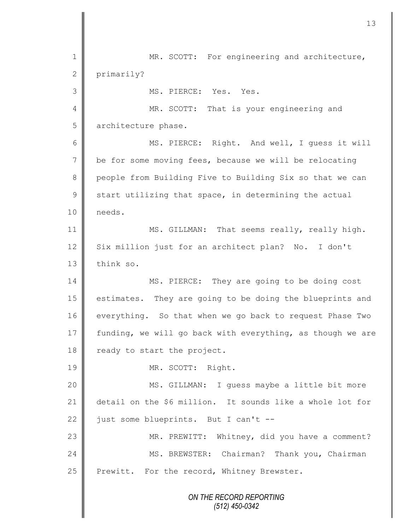*ON THE RECORD REPORTING* 1 || MR. SCOTT: For engineering and architecture, 2 primarily? 3 MS. PIERCE: Yes. Yes. 4 || MR. SCOTT: That is your engineering and 5 architecture phase. 6 || MS. PIERCE: Right. And well, I guess it will 7 be for some moving fees, because we will be relocating 8 people from Building Five to Building Six so that we can  $9 \parallel$  start utilizing that space, in determining the actual 10 needs. 11 | MS. GILLMAN: That seems really, really high. 12 Six million just for an architect plan? No. I don't 13 think so. 14 MS. PIERCE: They are going to be doing cost 15 | estimates. They are going to be doing the blueprints and 16 everything. So that when we go back to request Phase Two 17 funding, we will go back with everything, as though we are 18 ready to start the project. 19 | MR. SCOTT: Right. 20 || MS. GILLMAN: I guess maybe a little bit more 21 detail on the \$6 million. It sounds like a whole lot for 22  $\parallel$  just some blueprints. But I can't --23 | MR. PREWITT: Whitney, did you have a comment? 24 | MS. BREWSTER: Chairman? Thank you, Chairman 25 | Prewitt. For the record, Whitney Brewster.

*(512) 450-0342*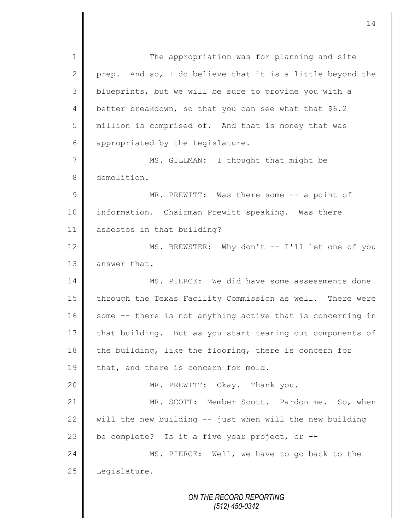1 || The appropriation was for planning and site 2 prep. And so, I do believe that it is a little beyond the 3 blueprints, but we will be sure to provide you with a 4 better breakdown, so that you can see what that \$6.2 5 million is comprised of. And that is money that was 6 appropriated by the Legislature. 7 || MS. GILLMAN: I thought that might be 8 demolition. 9 || MR. PREWITT: Was there some -- a point of 10 information. Chairman Prewitt speaking. Was there 11 asbestos in that building? 12 MS. BREWSTER: Why don't -- I'll let one of you 13 answer that. 14 MS. PIERCE: We did have some assessments done 15 | through the Texas Facility Commission as well. There were 16 some -- there is not anything active that is concerning in 17 that building. But as you start tearing out components of 18 the building, like the flooring, there is concern for 19  $\parallel$  that, and there is concern for mold. 20 || MR. PREWITT: Okay. Thank you. 21 MR. SCOTT: Member Scott. Pardon me. So, when 22  $\parallel$  will the new building -- just when will the new building 23  $\parallel$  be complete? Is it a five year project, or --24 || MS. PIERCE: Well, we have to go back to the  $25$  Legislature.

*ON THE RECORD REPORTING (512) 450-0342*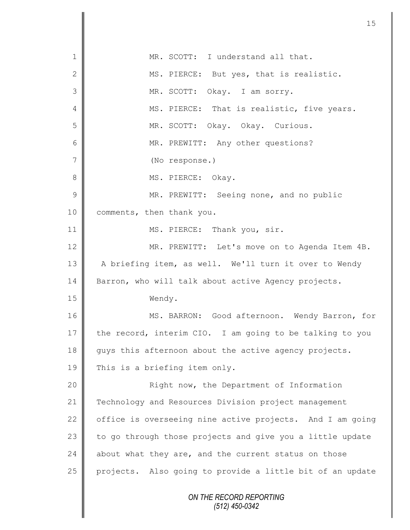*ON THE RECORD REPORTING (512) 450-0342* 1 MR. SCOTT: I understand all that. 2 MS. PIERCE: But yes, that is realistic. 3 MR. SCOTT: Okay. I am sorry. 4 || MS. PIERCE: That is realistic, five years. 5 MR. SCOTT: Okay. Okay. Curious. 6 | MR. PREWITT: Any other questions? 7 (No response.) 8 || MS. PIERCE: Okay. 9 || MR. PREWITT: Seeing none, and no public 10 | comments, then thank you. 11 || MS. PIERCE: Thank you, sir. 12 MR. PREWITT: Let's move on to Agenda Item 4B. 13 | A briefing item, as well. We'll turn it over to Wendy 14 Barron, who will talk about active Agency projects. 15 Wendy. 16 MS. BARRON: Good afternoon. Wendy Barron, for 17 the record, interim CIO. I am going to be talking to you 18 guys this afternoon about the active agency projects. 19 This is a briefing item only. 20 | Right now, the Department of Information 21 Technology and Resources Division project management 22 | office is overseeing nine active projects. And I am going  $23$  to go through those projects and give you a little update 24 about what they are, and the current status on those 25 projects. Also going to provide a little bit of an update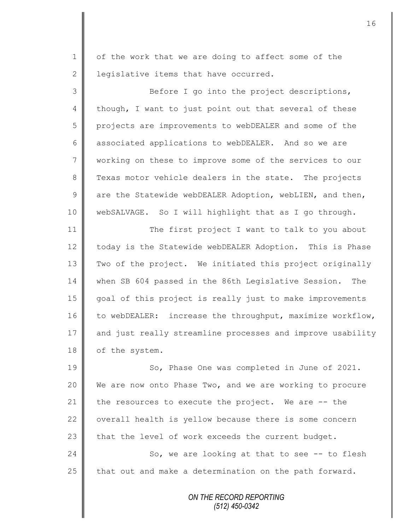1 | of the work that we are doing to affect some of the 2 | legislative items that have occurred.

3 Before I go into the project descriptions, 4 though, I want to just point out that several of these 5 projects are improvements to webDEALER and some of the 6 associated applications to webDEALER. And so we are 7 working on these to improve some of the services to our 8 Texas motor vehicle dealers in the state. The projects 9 are the Statewide webDEALER Adoption, webLIEN, and then, 10 webSALVAGE. So I will highlight that as I go through.

11 || The first project I want to talk to you about 12 today is the Statewide webDEALER Adoption. This is Phase 13 Two of the project. We initiated this project originally 14 when SB 604 passed in the 86th Legislative Session. The 15 goal of this project is really just to make improvements 16 to webDEALER: increase the throughput, maximize workflow, 17 and just really streamline processes and improve usability 18 of the system.

19 || So, Phase One was completed in June of 2021. 20 We are now onto Phase Two, and we are working to procure 21 the resources to execute the project. We are  $-$ - the 22 verall health is yellow because there is some concern 23 that the level of work exceeds the current budget.  $24$   $\parallel$  So, we are looking at that to see -- to flesh 25 that out and make a determination on the path forward.

> *ON THE RECORD REPORTING (512) 450-0342*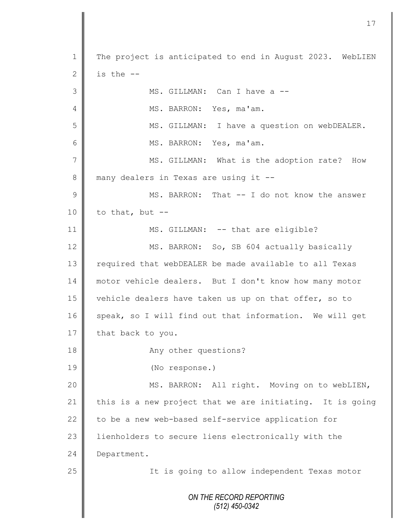*ON THE RECORD REPORTING (512) 450-0342* 1 The project is anticipated to end in August 2023. WebLIEN 2 is the  $-$ 3 MS. GILLMAN: Can I have a -- 4 | MS. BARRON: Yes, ma'am. 5 MS. GILLMAN: I have a question on webDEALER. 6 MS. BARRON: Yes, ma'am. 7 || MS. GILLMAN: What is the adoption rate? How 8 many dealers in Texas are using it --9 MS. BARRON: That -- I do not know the answer 10 to that, but  $-$ 11 || MS. GILLMAN: -- that are eligible? 12 MS. BARRON: So, SB 604 actually basically 13 | required that webDEALER be made available to all Texas 14 motor vehicle dealers. But I don't know how many motor 15 vehicle dealers have taken us up on that offer, so to  $16$  speak, so I will find out that information. We will get 17 that back to you. 18 || Any other questions? 19 (No response.) 20 | MS. BARRON: All right. Moving on to webLIEN, 21 this is a new project that we are initiating. It is going 22  $\parallel$  to be a new web-based self-service application for 23 | lienholders to secure liens electronically with the 24 Department. 25 | The is going to allow independent Texas motor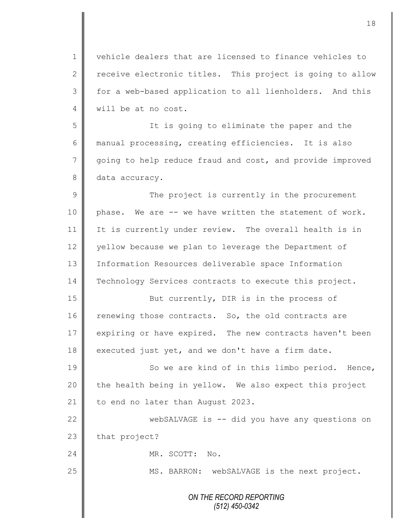1 vehicle dealers that are licensed to finance vehicles to 2 receive electronic titles. This project is going to allow 3 || for a web-based application to all lienholders. And this 4 will be at no cost.

5 It is going to eliminate the paper and the 6 manual processing, creating efficiencies. It is also 7 going to help reduce fraud and cost, and provide improved 8 data accuracy.

9 || The project is currently in the procurement 10  $\parallel$  phase. We are -- we have written the statement of work. 11 It is currently under review. The overall health is in 12 yellow because we plan to leverage the Department of 13 Information Resources deliverable space Information 14 Technology Services contracts to execute this project.

15 || But currently, DIR is in the process of 16 renewing those contracts. So, the old contracts are 17 expiring or have expired. The new contracts haven't been  $18$  executed just yet, and we don't have a firm date.

19 || So we are kind of in this limbo period. Hence,  $20$  | the health being in yellow. We also expect this project 21 | to end no later than August 2023.

22 WebSALVAGE is -- did you have any questions on 23 that project?

24 MR. SCOTT: No.

25 || MS. BARRON: webSALVAGE is the next project.

*ON THE RECORD REPORTING (512) 450-0342*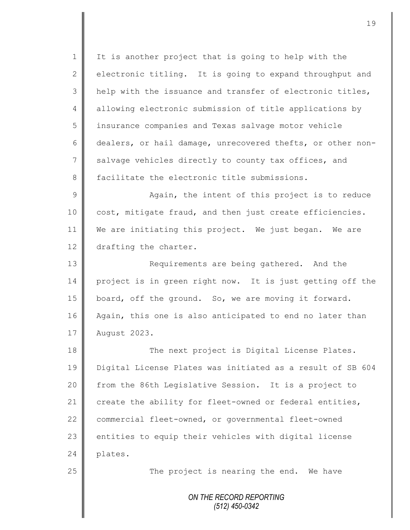1 | It is another project that is going to help with the 2 electronic titling. It is going to expand throughput and 3 | help with the issuance and transfer of electronic titles, 4 allowing electronic submission of title applications by 5 | insurance companies and Texas salvage motor vehicle 6 dealers, or hail damage, unrecovered thefts, or other non-7 salvage vehicles directly to county tax offices, and 8 facilitate the electronic title submissions. 9 || Again, the intent of this project is to reduce

10 | cost, mitigate fraud, and then just create efficiencies. 11 We are initiating this project. We just began. We are 12 drafting the charter.

13 || Requirements are being gathered. And the 14 project is in green right now. It is just getting off the 15 board, off the ground. So, we are moving it forward. 16 Again, this one is also anticipated to end no later than 17 August 2023.

18 The next project is Digital License Plates. 19 Digital License Plates was initiated as a result of SB 604 20 from the 86th Legislative Session. It is a project to 21 create the ability for fleet-owned or federal entities, 22 commercial fleet-owned, or governmental fleet-owned  $23$  entities to equip their vehicles with digital license 24 plates.

25  $\parallel$  The project is nearing the end. We have

*ON THE RECORD REPORTING (512) 450-0342*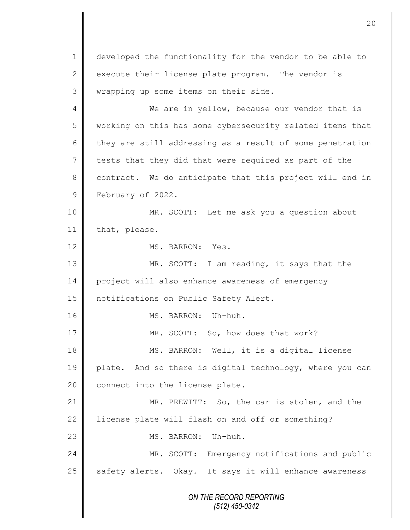*ON THE RECORD REPORTING (512) 450-0342* 1 | developed the functionality for the vendor to be able to 2 execute their license plate program. The vendor is 3 | wrapping up some items on their side. 4 We are in yellow, because our vendor that is 5 | working on this has some cybersecurity related items that  $6 \parallel$  they are still addressing as a result of some penetration  $7$  tests that they did that were required as part of the 8 contract. We do anticipate that this project will end in 9 **February of 2022.** 10 || MR. SCOTT: Let me ask you a question about 11 that, please. 12 MS. BARRON: Yes. 13 MR. SCOTT: I am reading, it says that the 14 project will also enhance awareness of emergency 15 | notifications on Public Safety Alert. 16 MS. BARRON: Uh-huh. 17 || MR. SCOTT: So, how does that work? 18 || MS. BARRON: Well, it is a digital license 19 plate. And so there is digital technology, where you can 20 connect into the license plate. 21 MR. PREWITT: So, the car is stolen, and the  $22$  | license plate will flash on and off or something? 23 MS. BARRON: Uh-huh. 24 MR. SCOTT: Emergency notifications and public  $25$  safety alerts. Okay. It says it will enhance awareness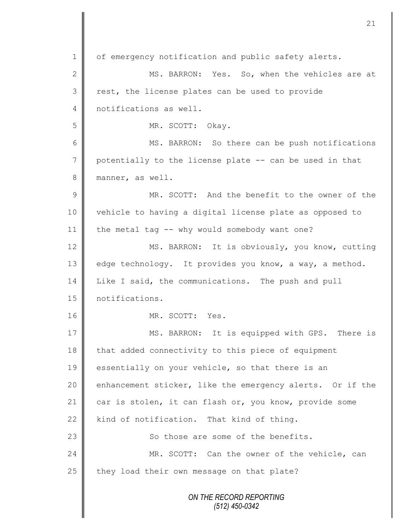*ON THE RECORD REPORTING (512) 450-0342* 1 of emergency notification and public safety alerts. 2 || MS. BARRON: Yes. So, when the vehicles are at  $3 \parallel$  rest, the license plates can be used to provide 4 notifications as well. 5 || MR. SCOTT: Okay. 6 || MS. BARRON: So there can be push notifications 7 potentially to the license plate -- can be used in that 8 manner, as well. 9 MR. SCOTT: And the benefit to the owner of the 10 vehicle to having a digital license plate as opposed to 11  $\parallel$  the metal tag -- why would somebody want one? 12 MS. BARRON: It is obviously, you know, cutting 13 edge technology. It provides you know, a way, a method. 14 Like I said, the communications. The push and pull 15 | notifications. 16 NR. SCOTT: Yes. 17 || MS. BARRON: It is equipped with GPS. There is  $18$  that added connectivity to this piece of equipment 19 essentially on your vehicle, so that there is an 20 enhancement sticker, like the emergency alerts. Or if the 21 car is stolen, it can flash or, you know, provide some  $22$  kind of notification. That kind of thing. 23  $\parallel$  So those are some of the benefits. 24 MR. SCOTT: Can the owner of the vehicle, can  $25$  | they load their own message on that plate?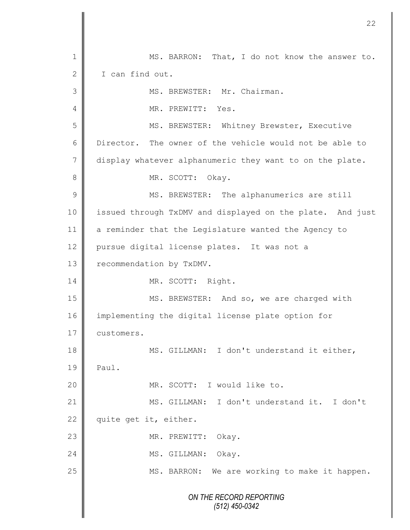*ON THE RECORD REPORTING (512) 450-0342* 1 MS. BARRON: That, I do not know the answer to. 2 | I can find out. 3 | MS. BREWSTER: Mr. Chairman. 4 **II** MR. PREWITT: Yes. 5 || MS. BREWSTER: Whitney Brewster, Executive 6 Director. The owner of the vehicle would not be able to 7 display whatever alphanumeric they want to on the plate. 8 MR. SCOTT: Okay. 9 || MS. BREWSTER: The alphanumerics are still 10 | issued through TxDMV and displayed on the plate. And just 11 a reminder that the Legislature wanted the Agency to 12 | pursue digital license plates. It was not a 13 | recommendation by TxDMV. 14 | MR. SCOTT: Right. 15 || MS. BREWSTER: And so, we are charged with 16 implementing the digital license plate option for 17 customers. 18 || MS. GILLMAN: I don't understand it either,  $19 \parallel$  Paul. 20 MR. SCOTT: I would like to. 21 MS. GILLMAN: I don't understand it. I don't 22  $\parallel$  quite get it, either. 23 MR. PREWITT: Okay. 24 | MS. GILLMAN: Okay. 25 | MS. BARRON: We are working to make it happen.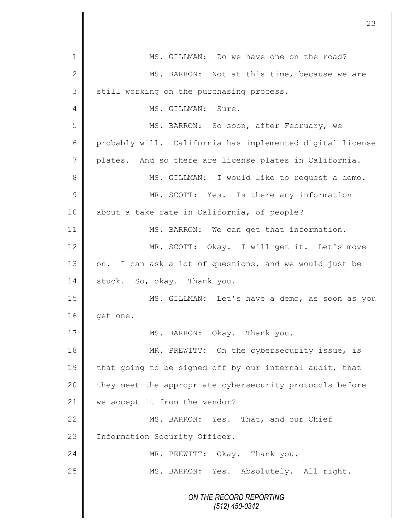*ON THE RECORD REPORTING (512) 450-0342* 1 MS. GILLMAN: Do we have one on the road? 2 || MS. BARRON: Not at this time, because we are 3 Still working on the purchasing process. 4 || MS. GILLMAN: Sure. 5 MS. BARRON: So soon, after February, we 6 probably will. California has implemented digital license 7 | plates. And so there are license plates in California. 8 MS. GILLMAN: I would like to request a demo. 9 || MR. SCOTT: Yes. Is there any information 10 about a take rate in California, of people? 11 | MS. BARRON: We can get that information. 12 || MR. SCOTT: Okay. I will get it. Let's move 13 on. I can ask a lot of questions, and we would just be 14 stuck. So, okay. Thank you. 15 | MS. GILLMAN: Let's have a demo, as soon as you 16  $\parallel$  get one. 17 || MS. BARRON: Okay. Thank you. 18 MR. PREWITT: On the cybersecurity issue, is 19 that going to be signed off by our internal audit, that 20 | they meet the appropriate cybersecurity protocols before 21 we accept it from the vendor? 22 MS. BARRON: Yes. That, and our Chief 23 | Information Security Officer. 24 MR. PREWITT: Okay. Thank you. 25 | MS. BARRON: Yes. Absolutely. All right.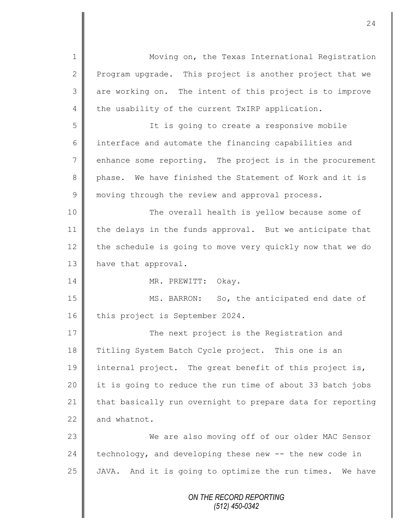*ON THE RECORD REPORTING (512) 450-0342* 1 || Moving on, the Texas International Registration 2 Program upgrade. This project is another project that we 3 || are working on. The intent of this project is to improve 4 the usability of the current TxIRP application. 5 || The is going to create a responsive mobile 6 interface and automate the financing capabilities and  $7 \parallel$  enhance some reporting. The project is in the procurement 8 phase. We have finished the Statement of Work and it is 9 || moving through the review and approval process. 10 || The overall health is yellow because some of 11 the delays in the funds approval. But we anticipate that 12 the schedule is going to move very quickly now that we do 13 have that approval. 14 || MR. PREWITT: Okay. 15 || MS. BARRON: So, the anticipated end date of 16 this project is September 2024. 17 The next project is the Registration and 18 Titling System Batch Cycle project. This one is an 19 internal project. The great benefit of this project is, 20 || it is going to reduce the run time of about 33 batch jobs 21 that basically run overnight to prepare data for reporting  $22$  and whatnot. 23 We are also moving off of our older MAC Sensor 24  $\parallel$  technology, and developing these new  $-$  the new code in 25  $\parallel$  JAVA. And it is going to optimize the run times. We have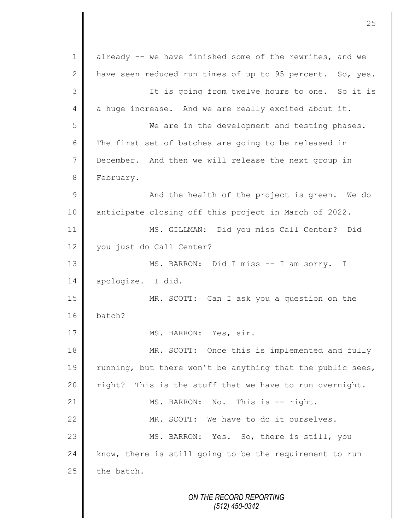*ON THE RECORD REPORTING* 1 already -- we have finished some of the rewrites, and we 2  $\parallel$  have seen reduced run times of up to 95 percent. So, yes. 3 It is going from twelve hours to one. So it is 4 a huge increase. And we are really excited about it. 5 || We are in the development and testing phases. 6 The first set of batches are going to be released in 7 December. And then we will release the next group in 8 **February.** 9 || And the health of the project is green. We do 10 anticipate closing off this project in March of 2022. 11 MS. GILLMAN: Did you miss Call Center? Did 12 vou just do Call Center? 13 MS. BARRON: Did I miss -- I am sorry. I 14 apologize. I did. 15 MR. SCOTT: Can I ask you a question on the 16 batch? 17 || MS. BARRON: Yes, sir. 18 MR. SCOTT: Once this is implemented and fully 19 Tunning, but there won't be anything that the public sees, 20  $\parallel$  right? This is the stuff that we have to run overnight. 21 || MS. BARRON: No. This is -- right. 22 || MR. SCOTT: We have to do it ourselves. 23 || MS. BARRON: Yes. So, there is still, you  $24$  know, there is still going to be the requirement to run  $25$  the batch.

*(512) 450-0342*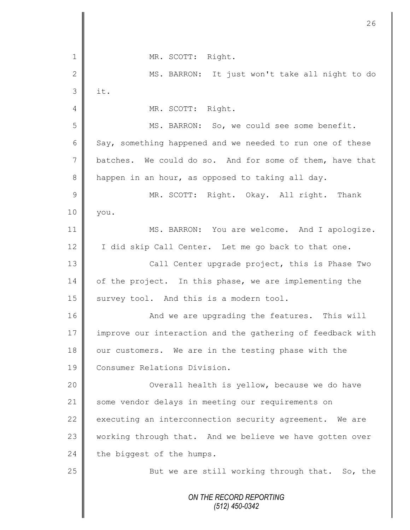*ON THE RECORD REPORTING (512) 450-0342* 1 || MR. SCOTT: Right. 2 || MS. BARRON: It just won't take all night to do  $3$  | it. 4 || MR. SCOTT: Right. 5 MS. BARRON: So, we could see some benefit. 6 Say, something happened and we needed to run one of these 7 batches. We could do so. And for some of them, have that 8 happen in an hour, as opposed to taking all day. 9 || MR. SCOTT: Right. Okay. All right. Thank 10 you. 11 | MS. BARRON: You are welcome. And I apologize. 12 | I did skip Call Center. Let me go back to that one. 13 || Call Center upgrade project, this is Phase Two 14 of the project. In this phase, we are implementing the 15  $\parallel$  survey tool. And this is a modern tool. 16 || And we are upgrading the features. This will 17 improve our interaction and the gathering of feedback with 18 our customers. We are in the testing phase with the 19 **Consumer Relations Division.** 20 | Coverall health is yellow, because we do have 21 | some vendor delays in meeting our requirements on 22  $\parallel$  executing an interconnection security agreement. We are 23 | working through that. And we believe we have gotten over 24 the biggest of the humps. 25 | But we are still working through that. So, the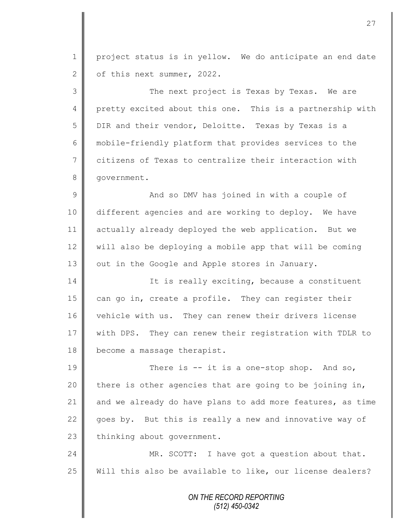1 project status is in yellow. We do anticipate an end date 2 of this next summer, 2022.

3 The next project is Texas by Texas. We are 4 pretty excited about this one. This is a partnership with 5 DIR and their vendor, Deloitte. Texas by Texas is a 6 mobile-friendly platform that provides services to the 7 citizens of Texas to centralize their interaction with 8 | qovernment.

9 || And so DMV has joined in with a couple of 10 different agencies and are working to deploy. We have 11 actually already deployed the web application. But we 12 Will also be deploying a mobile app that will be coming 13  $\parallel$  out in the Google and Apple stores in January.

14 | It is really exciting, because a constituent 15  $\parallel$  can go in, create a profile. They can register their 16 | vehicle with us. They can renew their drivers license 17 | with DPS. They can renew their registration with TDLR to 18 become a massage therapist.

19 There is -- it is a one-stop shop. And so, 20  $\parallel$  there is other agencies that are going to be joining in, 21 and we already do have plans to add more features, as time 22  $\parallel$  goes by. But this is really a new and innovative way of  $23$  | thinking about government.

24 MR. SCOTT: I have got a question about that. 25 Will this also be available to like, our license dealers?

> *ON THE RECORD REPORTING (512) 450-0342*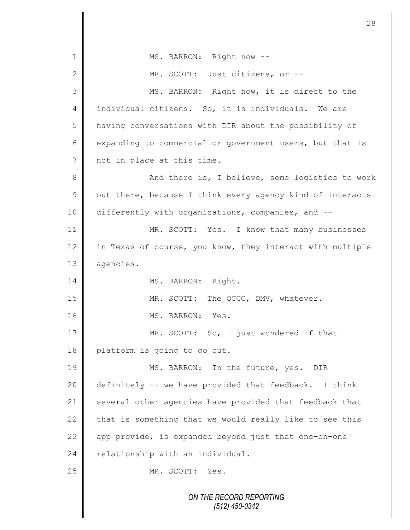*ON THE RECORD REPORTING (512) 450-0342* 1 | MS. BARRON: Right now --2 || MR. SCOTT: Just citizens, or --3 || MS. BARRON: Right now, it is direct to the 4 || individual citizens. So, it is individuals. We are 5 | having conversations with DIR about the possibility of 6 expanding to commercial or government users, but that is 7 not in place at this time. 8 || And there is, I believe, some logistics to work  $9 \parallel$  out there, because I think every agency kind of interacts 10 differently with organizations, companies, and --11 || MR. SCOTT: Yes. I know that many businesses 12 in Texas of course, you know, they interact with multiple 13 | agencies. 14 | MS. BARRON: Right. 15 MR. SCOTT: The OCCC, DMV, whatever. 16 || MS. BARRON: Yes. 17 MR. SCOTT: So, I just wondered if that 18 platform is going to go out. 19 MS. BARRON: In the future, yes. DIR 20 definitely -- we have provided that feedback. I think 21 several other agencies have provided that feedback that 22  $\parallel$  that is something that we would really like to see this  $23$  app provide, is expanded beyond just that one-on-one  $24$  relationship with an individual. 25 NR. SCOTT: Yes.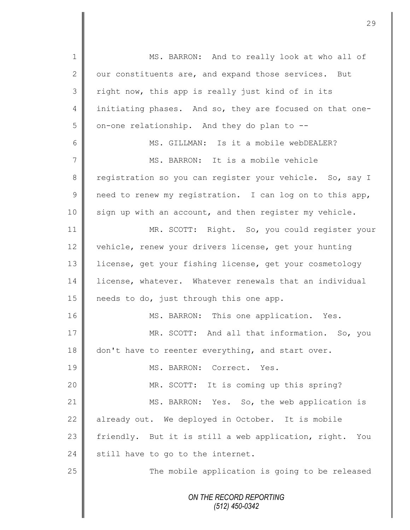| $\mathbf 1$    | MS. BARRON: And to really look at who all of             |
|----------------|----------------------------------------------------------|
| $\mathbf{2}$   | our constituents are, and expand those services. But     |
| 3              | right now, this app is really just kind of in its        |
| $\overline{4}$ | initiating phases. And so, they are focused on that one- |
| 5              | on-one relationship. And they do plan to --              |
| 6              | MS. GILLMAN: Is it a mobile webDEALER?                   |
| 7              | MS. BARRON: It is a mobile vehicle                       |
| 8              | registration so you can register your vehicle. So, say I |
| $\mathcal{G}$  | need to renew my registration. I can log on to this app, |
| 10             | sign up with an account, and then register my vehicle.   |
| 11             | MR. SCOTT: Right. So, you could register your            |
| 12             | vehicle, renew your drivers license, get your hunting    |
| 13             | license, get your fishing license, get your cosmetology  |
| 14             | license, whatever. Whatever renewals that an individual  |
| 15             | needs to do, just through this one app.                  |
| 16             | MS. BARRON: This one application. Yes.                   |
| 17             | MR. SCOTT: And all that information. So, you             |
| 18             | don't have to reenter everything, and start over.        |
| 19             | MS. BARRON: Correct. Yes.                                |
| 20             | MR. SCOTT: It is coming up this spring?                  |
| 21             | MS. BARRON: Yes. So, the web application is              |
| 22             | already out. We deployed in October. It is mobile        |
| 23             | friendly. But it is still a web application, right. You  |
| 24             | still have to go to the internet.                        |
| 25             | The mobile application is going to be released           |
|                | ON THE RECORD REPORTING<br>$(512)$ 450-0342              |

 $\overline{\mathsf{I}}$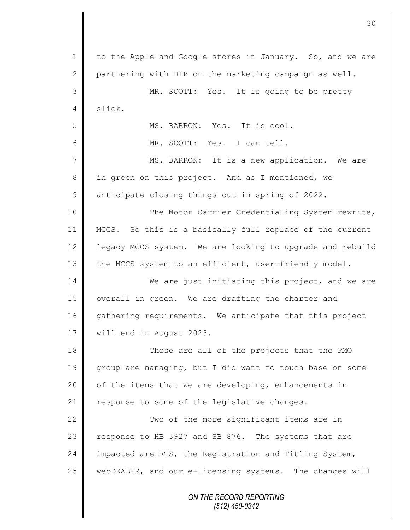*ON THE RECORD REPORTING* 1 | to the Apple and Google stores in January. So, and we are 2  $\parallel$  partnering with DIR on the marketing campaign as well. 3 MR. SCOTT: Yes. It is going to be pretty 4 slick. 5 || MS. BARRON: Yes. It is cool. 6 MR. SCOTT: Yes. I can tell. 7 || MS. BARRON: It is a new application. We are 8 in green on this project. And as I mentioned, we 9 anticipate closing things out in spring of 2022. 10 || The Motor Carrier Credentialing System rewrite, 11 MCCS. So this is a basically full replace of the current 12 | legacy MCCS system. We are looking to upgrade and rebuild 13 the MCCS system to an efficient, user-friendly model. 14 We are just initiating this project, and we are 15 | overall in green. We are drafting the charter and 16 gathering requirements. We anticipate that this project 17 | will end in August 2023. 18  $\parallel$  Those are all of the projects that the PMO 19 group are managing, but I did want to touch base on some 20  $\parallel$  of the items that we are developing, enhancements in 21  $\parallel$  response to some of the legislative changes. 22  $\parallel$ 23 | response to HB 3927 and SB 876. The systems that are 24 impacted are RTS, the Registration and Titling System, 25 | webDEALER, and our e-licensing systems. The changes will

*(512) 450-0342*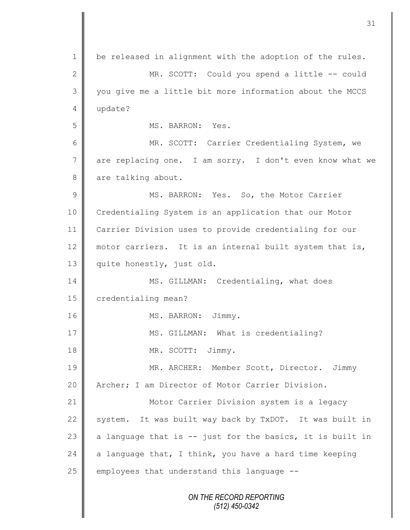*ON THE RECORD REPORTING (512) 450-0342* 1 | be released in alignment with the adoption of the rules. 2 MR. SCOTT: Could you spend a little -- could 3 || you give me a little bit more information about the MCCS 4 update? 5 || MS. BARRON: Yes. 6 MR. SCOTT: Carrier Credentialing System, we 7 are replacing one. I am sorry. I don't even know what we 8 are talking about. 9 || MS. BARRON: Yes. So, the Motor Carrier 10 Credentialing System is an application that our Motor 11 Carrier Division uses to provide credentialing for our 12 motor carriers. It is an internal built system that is, 13 || quite honestly, just old. 14 || MS. GILLMAN: Credentialing, what does 15 **credentialing mean?** 16 || MS. BARRON: Jimmy. 17 || MS. GILLMAN: What is credentialing? 18 || MR. SCOTT: Jimmy. 19 || MR. ARCHER: Member Scott, Director. Jimmy 20 | Archer; I am Director of Motor Carrier Division. 21 | Motor Carrier Division system is a legacy 22 system. It was built way back by TxDOT. It was built in 23  $\parallel$  a language that is -- just for the basics, it is built in 24 a language that, I think, you have a hard time keeping  $25$  employees that understand this language  $-$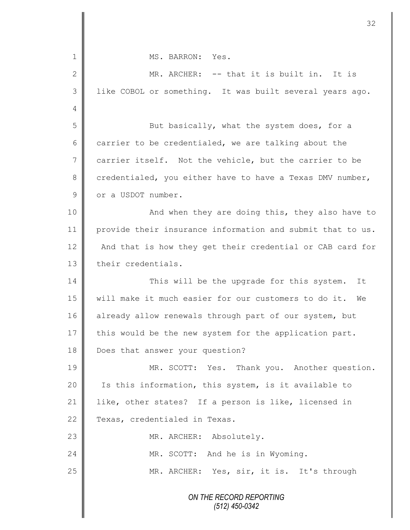| 1             | MS. BARRON: Yes.                                           |  |
|---------------|------------------------------------------------------------|--|
| $\mathbf{2}$  | MR. ARCHER: -- that it is built in. It is                  |  |
| 3             | like COBOL or something. It was built several years ago.   |  |
| 4             |                                                            |  |
| 5             | But basically, what the system does, for a                 |  |
| 6             | carrier to be credentialed, we are talking about the       |  |
| 7             | carrier itself. Not the vehicle, but the carrier to be     |  |
| $8\,$         | credentialed, you either have to have a Texas DMV number,  |  |
| $\mathcal{G}$ | or a USDOT number.                                         |  |
| 10            | And when they are doing this, they also have to            |  |
| 11            | provide their insurance information and submit that to us. |  |
| 12            | And that is how they get their credential or CAB card for  |  |
| 13            | their credentials.                                         |  |
| 14            | This will be the upgrade for this system. It               |  |
| 15            | will make it much easier for our customers to do it. We    |  |
| 16            | already allow renewals through part of our system, but     |  |
| 17            | this would be the new system for the application part.     |  |
| 18            | Does that answer your question?                            |  |
| 19            | MR. SCOTT: Yes. Thank you. Another question.               |  |
| 20            | Is this information, this system, is it available to       |  |
| 21            | like, other states? If a person is like, licensed in       |  |
| 22            | Texas, credentialed in Texas.                              |  |
| 23            | MR. ARCHER: Absolutely.                                    |  |
| 24            | MR. SCOTT: And he is in Wyoming.                           |  |
| 25            | MR. ARCHER: Yes, sir, it is. It's through                  |  |
|               | ON THE RECORD REPORTING                                    |  |

 $\mathbf l$ II

Ш II *(512) 450-0342*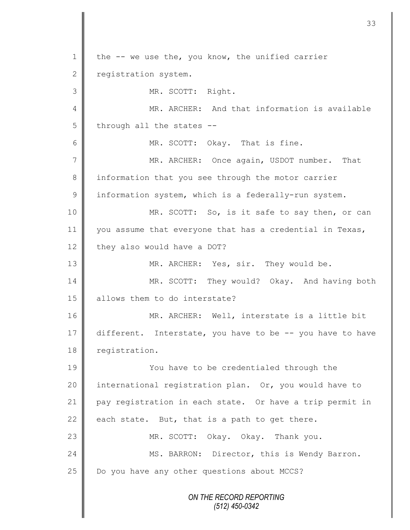*ON THE RECORD REPORTING (512) 450-0342* 1 | the -- we use the, you know, the unified carrier 2 registration system. 3 || MR. SCOTT: Right. 4 MR. ARCHER: And that information is available  $5 \parallel$  through all the states --6 || MR. SCOTT: Okay. That is fine. 7 || MR. ARCHER: Once again, USDOT number. That 8 information that you see through the motor carrier 9 information system, which is a federally-run system. 10 MR. SCOTT: So, is it safe to say then, or can 11 you assume that everyone that has a credential in Texas, 12 they also would have a DOT? 13 NR. ARCHER: Yes, sir. They would be. 14 MR. SCOTT: They would? Okay. And having both 15 || allows them to do interstate? 16 || MR. ARCHER: Well, interstate is a little bit 17 different. Interstate, you have to be -- you have to have 18 registration. 19 You have to be credentialed through the 20 | international registration plan. Or, you would have to 21 pay registration in each state. Or have a trip permit in 22 each state. But, that is a path to get there. 23 MR. SCOTT: Okay. Okay. Thank you. 24 | MS. BARRON: Director, this is Wendy Barron.  $25$   $\parallel$  Do you have any other questions about MCCS?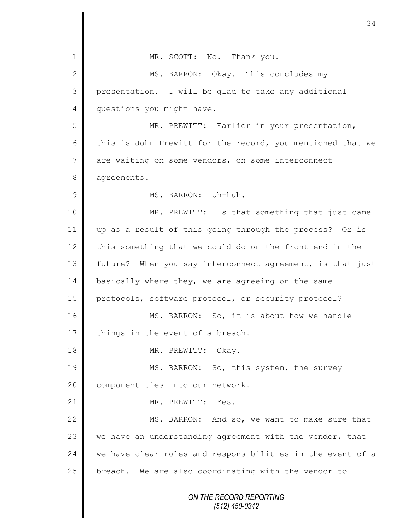*ON THE RECORD REPORTING (512) 450-0342* 1 | MR. SCOTT: No. Thank you. 2 MS. BARRON: Okay. This concludes my 3 presentation. I will be glad to take any additional 4 questions you might have. 5 MR. PREWITT: Earlier in your presentation, 6 this is John Prewitt for the record, you mentioned that we 7 are waiting on some vendors, on some interconnect 8 agreements. 9 **||** MS. BARRON: Uh-huh. 10 || MR. PREWITT: Is that something that just came 11 up as a result of this going through the process? Or is 12 this something that we could do on the front end in the 13 future? When you say interconnect agreement, is that just 14 basically where they, we are agreeing on the same 15 protocols, software protocol, or security protocol? 16 MS. BARRON: So, it is about how we handle  $17$  things in the event of a breach. 18 | MR. PREWITT: Okay. 19 MS. BARRON: So, this system, the survey 20 | component ties into our network. 21 || MR. PREWITT: Yes. 22 MS. BARRON: And so, we want to make sure that 23  $\parallel$  we have an understanding agreement with the vendor, that 24 we have clear roles and responsibilities in the event of a  $25$  breach. We are also coordinating with the vendor to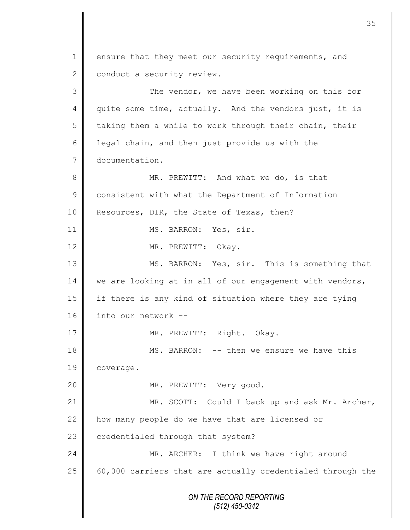*ON THE RECORD REPORTING (512) 450-0342* 1 ensure that they meet our security requirements, and 2 | conduct a security review. 3 || The vendor, we have been working on this for 4 quite some time, actually. And the vendors just, it is  $5 \parallel$  taking them a while to work through their chain, their 6 | legal chain, and then just provide us with the 7 documentation. 8 MR. PREWITT: And what we do, is that 9 consistent with what the Department of Information 10 Resources, DIR, the State of Texas, then? 11 || MS. BARRON: Yes, sir. 12 MR. PREWITT: Okay. 13 MS. BARRON: Yes, sir. This is something that  $14 \parallel$  we are looking at in all of our engagement with vendors, 15 if there is any kind of situation where they are tying 16 into our network --17 || MR. PREWITT: Right. Okay. 18 MS. BARRON: -- then we ensure we have this 19 | coverage. 20 MR. PREWITT: Very good. 21 || MR. SCOTT: Could I back up and ask Mr. Archer, 22 how many people do we have that are licensed or 23 credentialed through that system? 24 MR. ARCHER: I think we have right around 25  $\parallel$  60,000 carriers that are actually credentialed through the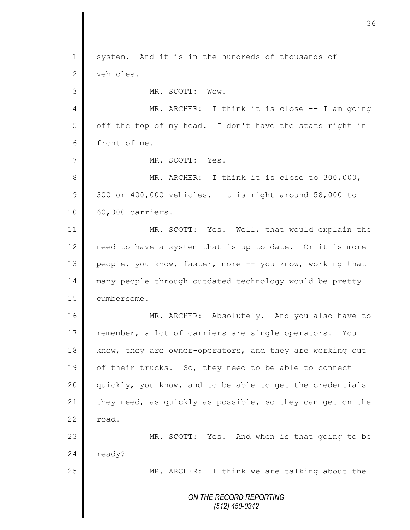*ON THE RECORD REPORTING (512) 450-0342* 1 system. And it is in the hundreds of thousands of 2 vehicles. 3 || MR. SCOTT: Wow. 4 MR. ARCHER: I think it is close -- I am going 5 | off the top of my head. I don't have the stats right in 6 front of me. 7 MR. SCOTT: Yes. 8 MR. ARCHER: I think it is close to 300,000,  $9 \parallel 300$  or 400,000 vehicles. It is right around 58,000 to 10 | 60,000 carriers. 11 MR. SCOTT: Yes. Well, that would explain the 12  $\parallel$  need to have a system that is up to date. Or it is more 13 people, you know, faster, more -- you know, working that 14 many people through outdated technology would be pretty 15 **Cumbersome.** 16 MR. ARCHER: Absolutely. And you also have to 17 remember, a lot of carriers are single operators. You 18 know, they are owner-operators, and they are working out 19 | of their trucks. So, they need to be able to connect 20 || quickly, you know, and to be able to get the credentials 21 they need, as quickly as possible, so they can get on the  $22$  road. 23 MR. SCOTT: Yes. And when is that going to be  $24$  ready? 25 || MR. ARCHER: I think we are talking about the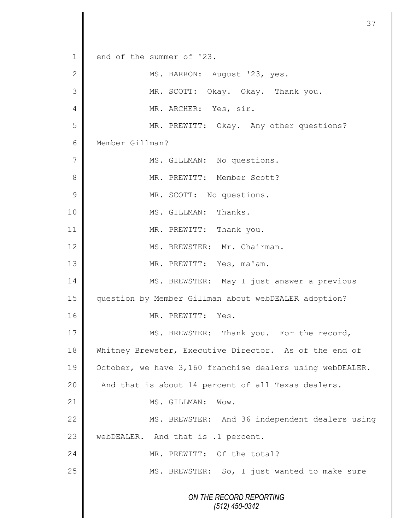*ON THE RECORD REPORTING (512) 450-0342* 1 end of the summer of '23. 2 | MS. BARRON: August '23, yes. 3 MR. SCOTT: Okay. Okay. Thank you. 4 || MR. ARCHER: Yes, sir. 5 || MR. PREWITT: Okay. Any other questions? 6 Member Gillman? 7 || MS. GILLMAN: No questions. 8 || MR. PREWITT: Member Scott? 9 | MR. SCOTT: No questions. 10 || MS. GILLMAN: Thanks. 11 || MR. PREWITT: Thank you. 12 || MS. BREWSTER: Mr. Chairman. 13 MR. PREWITT: Yes, ma'am. 14 MS. BREWSTER: May I just answer a previous 15 question by Member Gillman about webDEALER adoption? 16 || MR. PREWITT: Yes. 17 MS. BREWSTER: Thank you. For the record, 18 Whitney Brewster, Executive Director. As of the end of 19 | October, we have 3,160 franchise dealers using webDEALER. 20 And that is about 14 percent of all Texas dealers. 21 || MS. GILLMAN: Wow. 22 MS. BREWSTER: And 36 independent dealers using 23 WebDEALER. And that is .1 percent. 24 WR. PREWITT: Of the total? 25 || MS. BREWSTER: So, I just wanted to make sure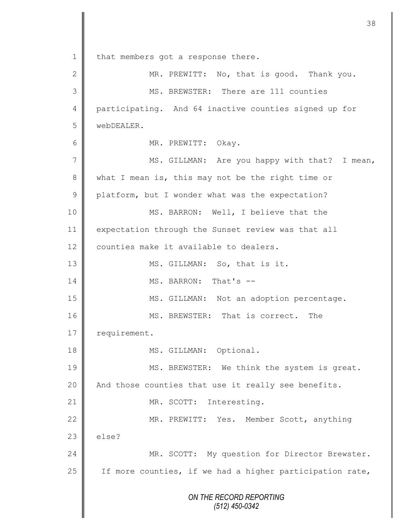*ON THE RECORD REPORTING (512) 450-0342* 1 | that members got a response there. 2 || MR. PREWITT: No, that is good. Thank you. 3 MS. BREWSTER: There are 111 counties 4 participating. And 64 inactive counties signed up for 5 webDEALER. 6 || MR. PREWITT: Okay. 7 || MS. GILLMAN: Are you happy with that? I mean, 8 what I mean is, this may not be the right time or 9 platform, but I wonder what was the expectation? 10 || MS. BARRON: Well, I believe that the 11 expectation through the Sunset review was that all 12 | counties make it available to dealers. 13 || MS. GILLMAN: So, that is it. 14 **MS. BARRON:** That's --15 || MS. GILLMAN: Not an adoption percentage. 16 MS. BREWSTER: That is correct. The 17 | requirement. 18 || MS. GILLMAN: Optional. 19 || MS. BREWSTER: We think the system is great. 20 | And those counties that use it really see benefits. 21 || MR. SCOTT: Interesting. 22 | MR. PREWITT: Yes. Member Scott, anything  $23$   $\parallel$  else? 24 MR. SCOTT: My question for Director Brewster. 25  $\parallel$  If more counties, if we had a higher participation rate,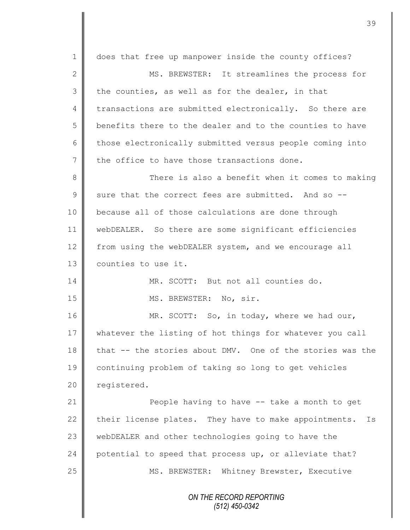*ON THE RECORD REPORTING (512) 450-0342* 1 does that free up manpower inside the county offices? 2 MS. BREWSTER: It streamlines the process for  $3 \parallel$  the counties, as well as for the dealer, in that 4 transactions are submitted electronically. So there are 5 | benefits there to the dealer and to the counties to have 6 those electronically submitted versus people coming into  $7 \parallel$  the office to have those transactions done. 8 || There is also a benefit when it comes to making  $9 \parallel$  sure that the correct fees are submitted. And so --10 **b**ecause all of those calculations are done through 11 webDEALER. So there are some significant efficiencies 12 from using the webDEALER system, and we encourage all 13 | counties to use it. 14 || MR. SCOTT: But not all counties do. 15 || MS. BREWSTER: No, sir. 16 MR. SCOTT: So, in today, where we had our, 17 whatever the listing of hot things for whatever you call 18 that -- the stories about DMV. One of the stories was the 19 continuing problem of taking so long to get vehicles 20 | registered. 21 **People having to have -- take a month to get** 22  $\parallel$  their license plates. They have to make appointments. Is 23 webDEALER and other technologies going to have the 24 potential to speed that process up, or alleviate that? 25 | MS. BREWSTER: Whitney Brewster, Executive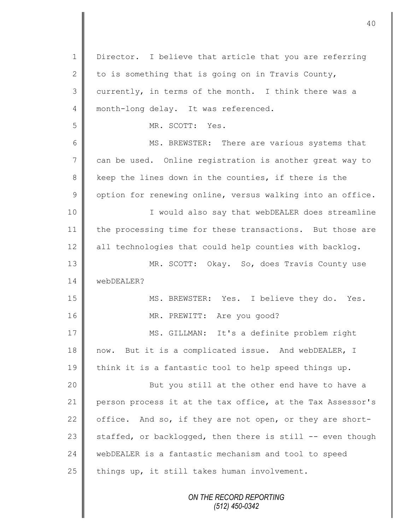*ON THE RECORD REPORTING (512) 450-0342* 1 | Director. I believe that article that you are referring 2 to is something that is going on in Travis County,  $3$  | currently, in terms of the month. I think there was a 4 month-long delay. It was referenced. 5 MR. SCOTT: Yes. 6 || MS. BREWSTER: There are various systems that 7 can be used. Online registration is another great way to 8 keep the lines down in the counties, if there is the  $9 \parallel$  option for renewing online, versus walking into an office. 10 || I would also say that webDEALER does streamline 11 the processing time for these transactions. But those are  $12$  all technologies that could help counties with backlog. 13 || MR. SCOTT: Okay. So, does Travis County use 14 webDEALER? 15 || MS. BREWSTER: Yes. I believe they do. Yes. 16 || MR. PREWITT: Are you good? 17 | MS. GILLMAN: It's a definite problem right 18 now. But it is a complicated issue. And webDEALER, I 19 think it is a fantastic tool to help speed things up. 20 || But you still at the other end have to have a 21 person process it at the tax office, at the Tax Assessor's 22 office. And so, if they are not open, or they are short-23 staffed, or backlogged, then there is still  $-$ - even though 24 webDEALER is a fantastic mechanism and tool to speed 25  $\parallel$  things up, it still takes human involvement.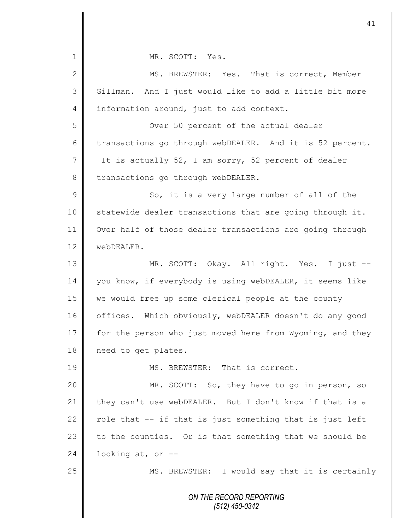*ON THE RECORD REPORTING (512) 450-0342* 1 MR. SCOTT: Yes. 2 MS. BREWSTER: Yes. That is correct, Member 3 | Gillman. And I just would like to add a little bit more 4 information around, just to add context. 5 Over 50 percent of the actual dealer 6 transactions go through webDEALER. And it is 52 percent. 7 It is actually 52, I am sorry, 52 percent of dealer 8 transactions go through webDEALER. 9 || So, it is a very large number of all of the  $10$  statewide dealer transactions that are going through it. 11 | Over half of those dealer transactions are going through 12 **WebDEALER**. 13 || MR. SCOTT: Okay. All right. Yes. I just --14 you know, if everybody is using webDEALER, it seems like 15 we would free up some clerical people at the county 16 | offices. Which obviously, webDEALER doesn't do any good 17 for the person who just moved here from Wyoming, and they 18 | need to get plates. 19 MS. BREWSTER: That is correct. 20 || MR. SCOTT: So, they have to go in person, so 21 they can't use webDEALER. But I don't know if that is a 22  $\parallel$  role that -- if that is just something that is just left 23  $\parallel$  to the counties. Or is that something that we should be  $24$  | looking at, or  $-$ 25 || MS. BREWSTER: I would say that it is certainly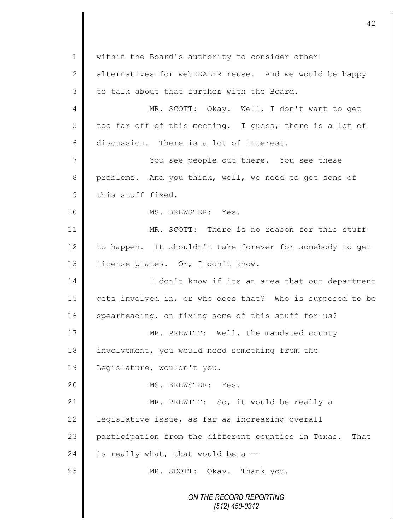*ON THE RECORD REPORTING (512) 450-0342* 1 | within the Board's authority to consider other 2  $\parallel$  alternatives for webDEALER reuse. And we would be happy  $3$  to talk about that further with the Board. 4 || MR. SCOTT: Okay. Well, I don't want to get  $5 \parallel$  too far off of this meeting. I quess, there is a lot of 6 discussion. There is a lot of interest. 7 || You see people out there. You see these 8 problems. And you think, well, we need to get some of  $9 \parallel$  this stuff fixed. 10 || MS. BREWSTER: Yes. 11 MR. SCOTT: There is no reason for this stuff 12 to happen. It shouldn't take forever for somebody to get 13 | license plates. Or, I don't know. 14 | I don't know if its an area that our department 15 gets involved in, or who does that? Who is supposed to be 16 spearheading, on fixing some of this stuff for us? 17 MR. PREWITT: Well, the mandated county 18 | involvement, you would need something from the 19 Legislature, wouldn't you. 20 || MS. BREWSTER: Yes. 21 | MR. PREWITT: So, it would be really a 22 | legislative issue, as far as increasing overall 23 participation from the different counties in Texas. That 24 is really what, that would be a  $-$ -25 MR. SCOTT: Okay. Thank you.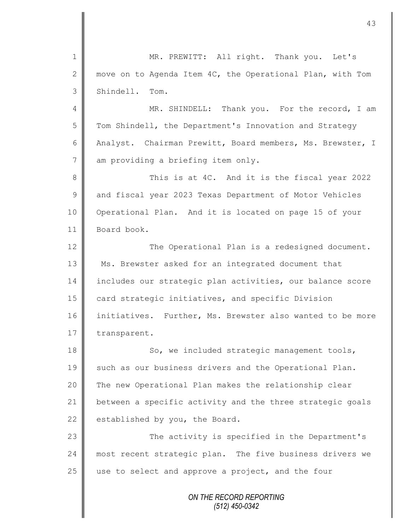*ON THE RECORD REPORTING* 1 || MR. PREWITT: All right. Thank you. Let's 2 move on to Agenda Item 4C, the Operational Plan, with Tom 3 Shindell. Tom. 4 || MR. SHINDELL: Thank you. For the record, I am 5 Tom Shindell, the Department's Innovation and Strategy 6 Analyst. Chairman Prewitt, Board members, Ms. Brewster, I 7 am providing a briefing item only. 8 This is at 4C. And it is the fiscal year 2022 9 and fiscal year 2023 Texas Department of Motor Vehicles 10 | Operational Plan. And it is located on page 15 of your 11 Board book. 12 The Operational Plan is a redesigned document. 13 Ms. Brewster asked for an integrated document that 14 includes our strategic plan activities, our balance score 15 card strategic initiatives, and specific Division 16 initiatives. Further, Ms. Brewster also wanted to be more 17 transparent. 18 | So, we included strategic management tools, 19 such as our business drivers and the Operational Plan. 20 || The new Operational Plan makes the relationship clear 21 | between a specific activity and the three strategic goals 22 established by you, the Board. 23 || The activity is specified in the Department's 24 most recent strategic plan. The five business drivers we  $25$  use to select and approve a project, and the four

*(512) 450-0342*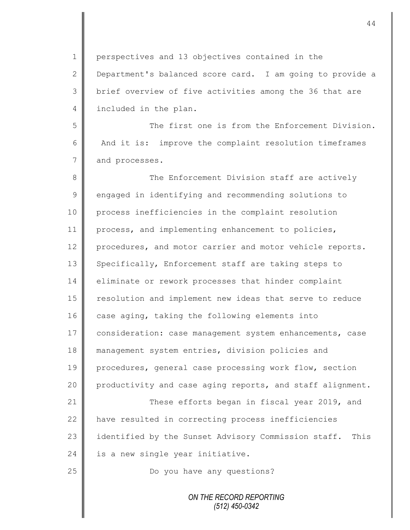1 | perspectives and 13 objectives contained in the 2 Department's balanced score card. I am going to provide a 3 || brief overview of five activities among the 36 that are 4 included in the plan.

5 The first one is from the Enforcement Division. 6 And it is: improve the complaint resolution timeframes 7 and processes.

8 The Enforcement Division staff are actively 9 engaged in identifying and recommending solutions to 10 process inefficiencies in the complaint resolution 11 process, and implementing enhancement to policies, 12 procedures, and motor carrier and motor vehicle reports. 13 Specifically, Enforcement staff are taking steps to 14 eliminate or rework processes that hinder complaint 15 | resolution and implement new ideas that serve to reduce 16  $\parallel$  case aging, taking the following elements into 17 consideration: case management system enhancements, case 18 management system entries, division policies and 19 procedures, general case processing work flow, section 20 productivity and case aging reports, and staff alignment. 21 **These efforts began in fiscal year 2019, and** 22 | have resulted in correcting process inefficiencies 23 identified by the Sunset Advisory Commission staff. This  $24$  is a new single year initiative. 25 | Do you have any questions?

> *ON THE RECORD REPORTING (512) 450-0342*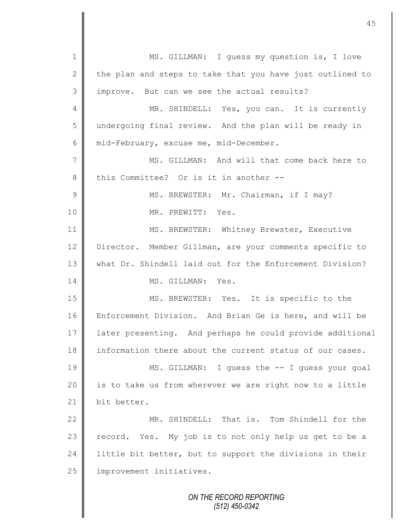*ON THE RECORD REPORTING (512) 450-0342* 1 || MS. GILLMAN: I guess my question is, I love 2 the plan and steps to take that you have just outlined to 3 | improve. But can we see the actual results? 4 || MR. SHINDELL: Yes, you can. It is currently 5 undergoing final review. And the plan will be ready in 6 mid-February, excuse me, mid-December. 7 MS. GILLMAN: And will that come back here to 8 this Committee? Or is it in another --9 || MS. BREWSTER: Mr. Chairman, if I may? 10 MR. PREWITT: Yes. 11 | MS. BREWSTER: Whitney Brewster, Executive 12 Director. Member Gillman, are your comments specific to 13 What Dr. Shindell laid out for the Enforcement Division? 14 **II** MS. GILLMAN: Yes. 15 || MS. BREWSTER: Yes. It is specific to the 16 **E**nforcement Division. And Brian Ge is here, and will be 17 later presenting. And perhaps he could provide additional 18 information there about the current status of our cases. 19 MS. GILLMAN: I guess the -- I guess your goal 20 || is to take us from wherever we are right now to a little 21 bit better. 22 MR. SHINDELL: That is. Tom Shindell for the  $23$  record. Yes. My job is to not only help us get to be a 24  $\parallel$  little bit better, but to support the divisions in their 25 | improvement initiatives.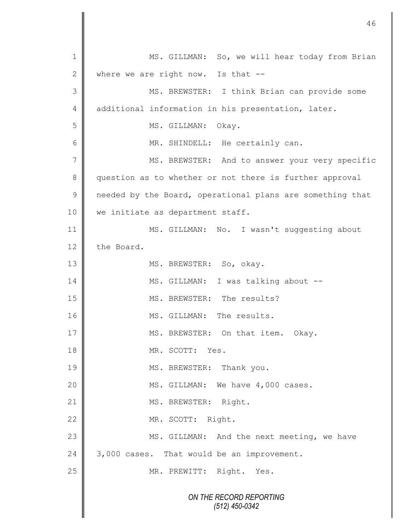*ON THE RECORD REPORTING (512) 450-0342* 1 MS. GILLMAN: So, we will hear today from Brian 2 where we are right now. Is that  $-$ 3 MS. BREWSTER: I think Brian can provide some 4 dditional information in his presentation, later. 5 || MS. GILLMAN: Okay. 6 || MR. SHINDELL: He certainly can. 7 || MS. BREWSTER: And to answer your very specific 8 question as to whether or not there is further approval 9 | needed by the Board, operational plans are something that 10 | we initiate as department staff. 11 MS. GILLMAN: No. I wasn't suggesting about 12 the Board. 13 || MS. BREWSTER: So, okay. 14 | MS. GILLMAN: I was talking about --15 || MS. BREWSTER: The results? 16 || MS. GILLMAN: The results. 17 MS. BREWSTER: On that item. Okay. 18 MR. SCOTT: Yes. 19 || MS. BREWSTER: Thank you. 20 | MS. GILLMAN: We have 4,000 cases. 21 | MS. BREWSTER: Right. 22 MR. SCOTT: Right. 23 MS. GILLMAN: And the next meeting, we have 24  $\parallel$  3,000 cases. That would be an improvement. 25 || MR. PREWITT: Right. Yes.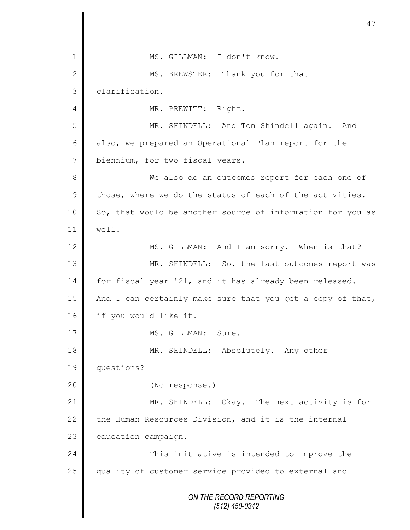*ON THE RECORD REPORTING (512) 450-0342* 1 || MS. GILLMAN: I don't know. 2 MS. BREWSTER: Thank you for that 3 | clarification. 4 || MR. PREWITT: Right. 5 MR. SHINDELL: And Tom Shindell again. And 6 also, we prepared an Operational Plan report for the 7 biennium, for two fiscal years. 8 We also do an outcomes report for each one of  $9 \parallel$  those, where we do the status of each of the activities. 10 So, that would be another source of information for you as  $11 \parallel$  well. 12 MS. GILLMAN: And I am sorry. When is that? 13 MR. SHINDELL: So, the last outcomes report was 14 for fiscal year '21, and it has already been released. 15  $\parallel$  And I can certainly make sure that you get a copy of that, 16 | if you would like it. 17 || MS. GILLMAN: Sure. 18 MR. SHINDELL: Absolutely. Any other 19 questions? 20 (No response.) 21 MR. SHINDELL: Okay. The next activity is for 22 the Human Resources Division, and it is the internal 23 education campaign. 24 | This initiative is intended to improve the 25 quality of customer service provided to external and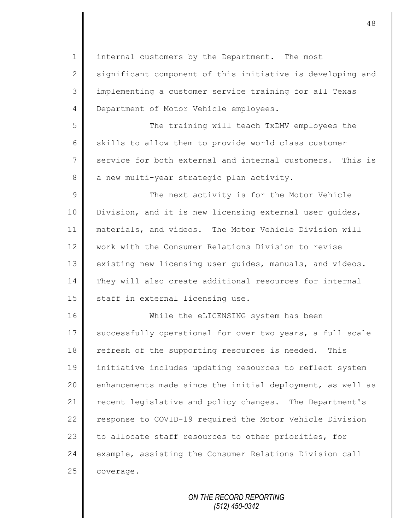1 | internal customers by the Department. The most  $2 \parallel$  significant component of this initiative is developing and 3 implementing a customer service training for all Texas 4 **Department of Motor Vehicle employees.** 5 || The training will teach TxDMV employees the 6 skills to allow them to provide world class customer 7 service for both external and internal customers. This is 8 a new multi-year strategic plan activity. 9 || The next activity is for the Motor Vehicle 10 | Division, and it is new licensing external user guides, 11 materials, and videos. The Motor Vehicle Division will 12 work with the Consumer Relations Division to revise 13 existing new licensing user guides, manuals, and videos. 14 They will also create additional resources for internal 15 | staff in external licensing use. 16 While the eLICENSING system has been 17 successfully operational for over two years, a full scale 18 refresh of the supporting resources is needed. This 19 initiative includes updating resources to reflect system 20 enhancements made since the initial deployment, as well as 21 | recent legislative and policy changes. The Department's 22 | response to COVID-19 required the Motor Vehicle Division

24 example, assisting the Consumer Relations Division call 25 **coverage.** 

23 to allocate staff resources to other priorities, for

*ON THE RECORD REPORTING (512) 450-0342*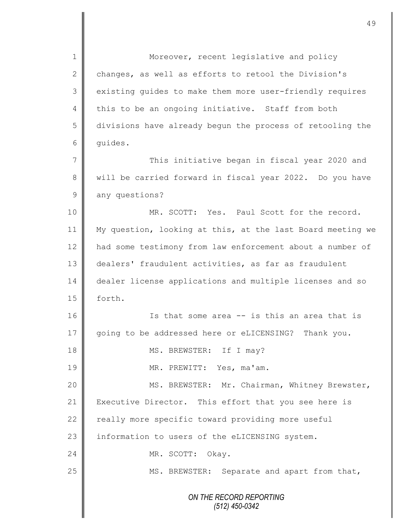*ON THE RECORD REPORTING (512) 450-0342* 1 || Moreover, recent legislative and policy 2 changes, as well as efforts to retool the Division's 3 existing guides to make them more user-friendly requires 4 this to be an ongoing initiative. Staff from both 5 divisions have already begun the process of retooling the 6 quides. 7 || This initiative began in fiscal year 2020 and 8 will be carried forward in fiscal year 2022. Do you have 9 any questions? 10 || MR. SCOTT: Yes. Paul Scott for the record. 11 My question, looking at this, at the last Board meeting we 12 had some testimony from law enforcement about a number of 13 dealers' fraudulent activities, as far as fraudulent 14 dealer license applications and multiple licenses and so 15 | forth. 16 || Is that some area -- is this an area that is 17 going to be addressed here or eLICENSING? Thank you. 18 MS. BREWSTER: If I may? 19 MR. PREWITT: Yes, ma'am. 20 | MS. BREWSTER: Mr. Chairman, Whitney Brewster, 21 Executive Director. This effort that you see here is  $22$  really more specific toward providing more useful  $23$  | information to users of the eLICENSING system. 24 NR. SCOTT: Okay. 25 || MS. BREWSTER: Separate and apart from that,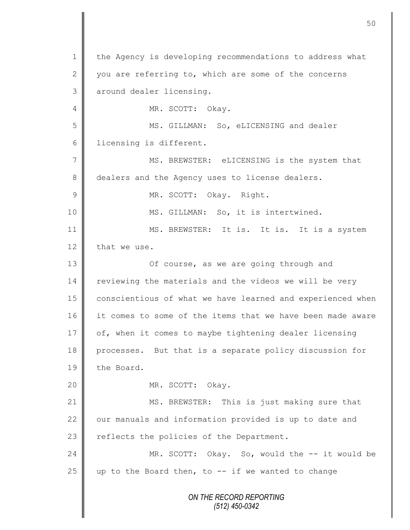*ON THE RECORD REPORTING (512) 450-0342* 1 | the Agency is developing recommendations to address what 2 you are referring to, which are some of the concerns 3 | around dealer licensing. 4 || MR. SCOTT: Okay. 5 MS. GILLMAN: So, eLICENSING and dealer 6 | licensing is different. 7 || MS. BREWSTER: eLICENSING is the system that 8 dealers and the Agency uses to license dealers. 9 MR. SCOTT: Okay. Right. 10 || MS. GILLMAN: So, it is intertwined. 11 || MS. BREWSTER: It is. It is. It is a system 12 that we use. 13 **||** Of course, as we are going through and 14 reviewing the materials and the videos we will be very 15 | conscientious of what we have learned and experienced when 16 it comes to some of the items that we have been made aware 17 of, when it comes to maybe tightening dealer licensing 18 processes. But that is a separate policy discussion for 19 the Board. 20 MR. SCOTT: Okay. 21 | MS. BREWSTER: This is just making sure that  $22$   $\parallel$  our manuals and information provided is up to date and 23  $\parallel$  reflects the policies of the Department. 24 MR. SCOTT: Okay. So, would the -- it would be 25 up to the Board then, to  $-$  if we wanted to change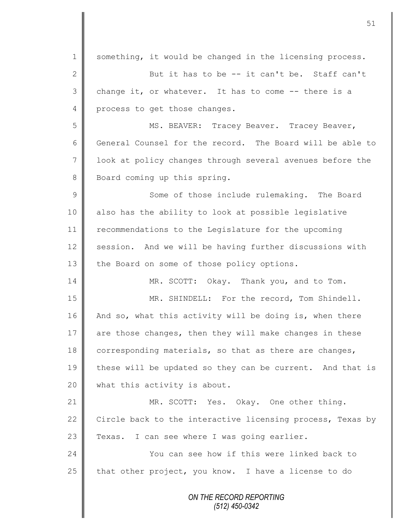*ON THE RECORD REPORTING (512) 450-0342* 1 | something, it would be changed in the licensing process. 2 But it has to be -- it can't be. Staff can't  $3 \parallel$  change it, or whatever. It has to come  $-$ - there is a 4 process to get those changes. 5 MS. BEAVER: Tracey Beaver. Tracey Beaver, 6 General Counsel for the record. The Board will be able to 7 | look at policy changes through several avenues before the 8 Board coming up this spring. 9 || Some of those include rulemaking. The Board 10 || also has the ability to look at possible legislative 11 recommendations to the Legislature for the upcoming 12 session. And we will be having further discussions with 13 the Board on some of those policy options. 14 MR. SCOTT: Okay. Thank you, and to Tom. 15 || MR. SHINDELL: For the record, Tom Shindell. 16 And so, what this activity will be doing is, when there 17 are those changes, then they will make changes in these 18 corresponding materials, so that as there are changes, 19 these will be updated so they can be current. And that is 20 || what this activity is about. 21 MR. SCOTT: Yes. Okay. One other thing. 22  $\parallel$  Circle back to the interactive licensing process, Texas by 23  $\parallel$  Texas. I can see where I was going earlier. 24 | Chamber 1986 You can see how if this were linked back to  $25$  that other project, you know. I have a license to do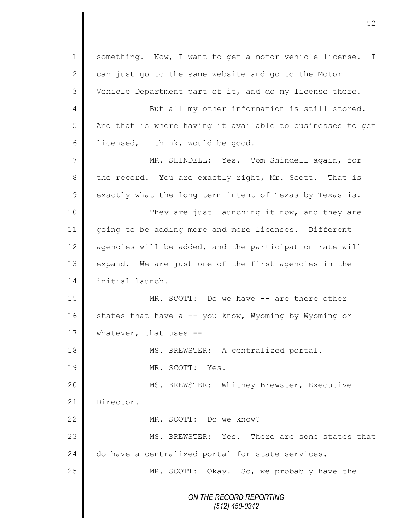*ON THE RECORD REPORTING (512) 450-0342* 1 | something. Now, I want to get a motor vehicle license. I 2  $\parallel$  can just go to the same website and go to the Motor 3 Vehicle Department part of it, and do my license there. 4 But all my other information is still stored. 5 | And that is where having it available to businesses to get 6 | licensed, I think, would be good. 7 MR. SHINDELL: Yes. Tom Shindell again, for 8 the record. You are exactly right, Mr. Scott. That is  $9 \parallel$  exactly what the long term intent of Texas by Texas is. 10 || They are just launching it now, and they are 11 going to be adding more and more licenses. Different 12  $\parallel$  agencies will be added, and the participation rate will 13 expand. We are just one of the first agencies in the 14 initial launch. 15 || MR. SCOTT: Do we have -- are there other 16  $\parallel$  states that have a -- you know, Wyoming by Wyoming or 17 Whatever, that uses --18 MS. BREWSTER: A centralized portal. 19 MR. SCOTT: Yes. 20 || MS. BREWSTER: Whitney Brewster, Executive 21 Director. 22 MR. SCOTT: Do we know? 23 **M** MS. BREWSTER: Yes. There are some states that 24 do have a centralized portal for state services. 25 MR. SCOTT: Okay. So, we probably have the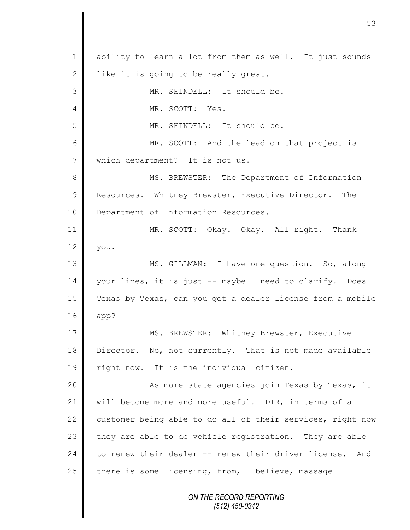*ON THE RECORD REPORTING (512) 450-0342* 1 | ability to learn a lot from them as well. It just sounds 2 | like it is going to be really great. 3 MR. SHINDELL: It should be. 4 **I** MR. SCOTT: Yes. 5 MR. SHINDELL: It should be. 6 MR. SCOTT: And the lead on that project is 7 which department? It is not us. 8 || MS. BREWSTER: The Department of Information 9 Resources. Whitney Brewster, Executive Director. The 10 **Department of Information Resources.** 11 MR. SCOTT: Okay. Okay. All right. Thank  $12 \parallel$  you. 13 || MS. GILLMAN: I have one question. So, along 14 | your lines, it is just -- maybe I need to clarify. Does 15 Texas by Texas, can you get a dealer license from a mobile 16 app? 17 || MS. BREWSTER: Whitney Brewster, Executive 18 Director. No, not currently. That is not made available 19 || right now. It is the individual citizen. 20 | Kas more state agencies join Texas by Texas, it 21 | will become more and more useful. DIR, in terms of a 22 customer being able to do all of their services, right now 23  $\parallel$  they are able to do vehicle registration. They are able 24 to renew their dealer -- renew their driver license. And 25  $\parallel$  there is some licensing, from, I believe, massage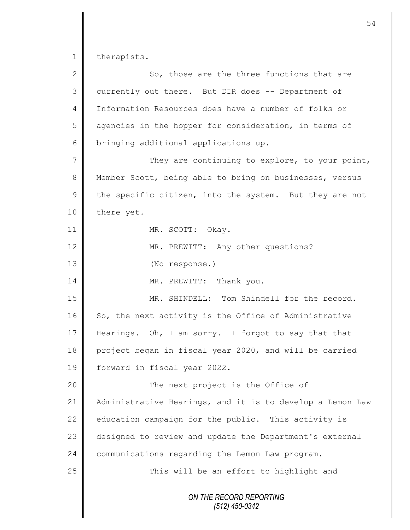1 therapists.

| $\mathbf{2}$   | So, those are the three functions that are                |
|----------------|-----------------------------------------------------------|
| 3              | currently out there. But DIR does -- Department of        |
| $\overline{4}$ | Information Resources does have a number of folks or      |
| 5              | agencies in the hopper for consideration, in terms of     |
| 6              | bringing additional applications up.                      |
| $\overline{7}$ | They are continuing to explore, to your point,            |
| 8              | Member Scott, being able to bring on businesses, versus   |
| $\mathsf 9$    | the specific citizen, into the system. But they are not   |
| 10             | there yet.                                                |
| 11             | MR. SCOTT: Okay.                                          |
| 12             | MR. PREWITT: Any other questions?                         |
| 13             | (No response.)                                            |
| 14             | MR. PREWITT: Thank you.                                   |
| 15             | MR. SHINDELL: Tom Shindell for the record.                |
| 16             | So, the next activity is the Office of Administrative     |
| 17             | Hearings. Oh, I am sorry. I forgot to say that that       |
| 18             | project began in fiscal year 2020, and will be carried    |
| 19             | forward in fiscal year 2022.                              |
| 20             | The next project is the Office of                         |
| 21             | Administrative Hearings, and it is to develop a Lemon Law |
| 22             | education campaign for the public. This activity is       |
| 23             | designed to review and update the Department's external   |
| 24             | communications regarding the Lemon Law program.           |
| 25             | This will be an effort to highlight and                   |
|                | ON THE RECORD REPORTING<br>$(512)$ 450-0342               |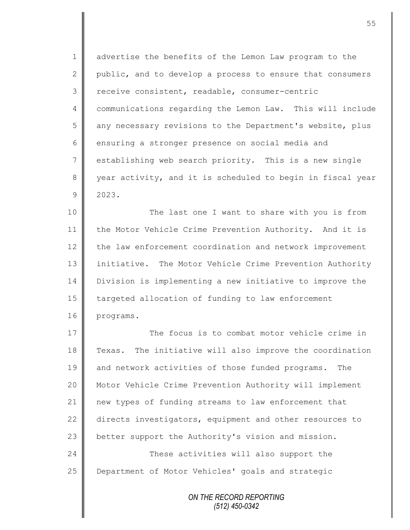1 | advertise the benefits of the Lemon Law program to the 2 public, and to develop a process to ensure that consumers 3 | receive consistent, readable, consumer-centric 4 | communications regarding the Lemon Law. This will include 5 || any necessary revisions to the Department's website, plus 6 ensuring a stronger presence on social media and  $7 \parallel$  establishing web search priority. This is a new single 8 year activity, and it is scheduled to begin in fiscal year 9 2023.

10 || The last one I want to share with you is from 11 | the Motor Vehicle Crime Prevention Authority. And it is 12 the law enforcement coordination and network improvement 13 | initiative. The Motor Vehicle Crime Prevention Authority 14 Division is implementing a new initiative to improve the 15 | targeted allocation of funding to law enforcement 16 programs.

17 The focus is to combat motor vehicle crime in 18 Texas. The initiative will also improve the coordination 19 and network activities of those funded programs. The 20 Motor Vehicle Crime Prevention Authority will implement 21 new types of funding streams to law enforcement that 22 directs investigators, equipment and other resources to 23 better support the Authority's vision and mission. 24 **These activities will also support the** 25 | Department of Motor Vehicles' goals and strategic

> *ON THE RECORD REPORTING (512) 450-0342*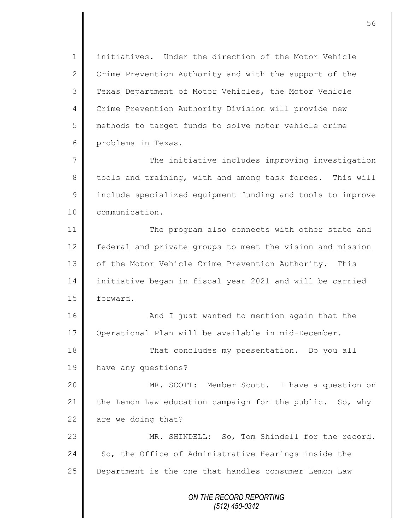1 || initiatives. Under the direction of the Motor Vehicle 2 Crime Prevention Authority and with the support of the 3 Texas Department of Motor Vehicles, the Motor Vehicle 4 Crime Prevention Authority Division will provide new 5 methods to target funds to solve motor vehicle crime 6 problems in Texas.

7  $\parallel$  The initiative includes improving investigation 8 tools and training, with and among task forces. This will 9 | include specialized equipment funding and tools to improve 10 communication.

11 The program also connects with other state and 12 | federal and private groups to meet the vision and mission 13 | of the Motor Vehicle Crime Prevention Authority. This 14 initiative began in fiscal year 2021 and will be carried 15 | forward.

16 | And I just wanted to mention again that the 17 | Operational Plan will be available in mid-December.

18 That concludes my presentation. Do you all 19 have any questions?

20 || MR. SCOTT: Member Scott. I have a question on 21 the Lemon Law education campaign for the public. So, why 22  $\parallel$  are we doing that?

23 || MR. SHINDELL: So, Tom Shindell for the record. 24  $\parallel$  So, the Office of Administrative Hearings inside the 25 **Department is the one that handles consumer Lemon Law** 

> *ON THE RECORD REPORTING (512) 450-0342*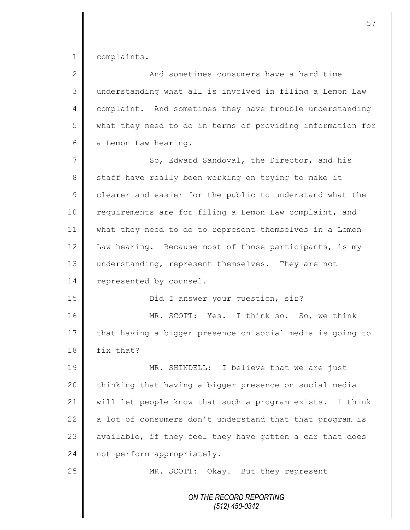1 complaints.

| $\overline{2}$ | And sometimes consumers have a hard time                   |
|----------------|------------------------------------------------------------|
| 3              | understanding what all is involved in filing a Lemon Law   |
| 4              | complaint. And sometimes they have trouble understanding   |
| 5              | what they need to do in terms of providing information for |
| 6              | a Lemon Law hearing.                                       |
| 7              | So, Edward Sandoval, the Director, and his                 |
| 8              | staff have really been working on trying to make it        |
| $\mathsf 9$    | clearer and easier for the public to understand what the   |
| 10             | requirements are for filing a Lemon Law complaint, and     |
| 11             | what they need to do to represent themselves in a Lemon    |
| 12             | Law hearing. Because most of those participants, is my     |
| 13             | understanding, represent themselves. They are not          |
| 14             | represented by counsel.                                    |
| 15             | Did I answer your question, sir?                           |
| 16             | MR. SCOTT: Yes. I think so. So, we think                   |
| 17             | that having a bigger presence on social media is going to  |
| 18             | fix that?                                                  |
| 19             | MR. SHINDELL: I believe that we are just                   |
| 20             | thinking that having a bigger presence on social media     |
| 21             | will let people know that such a program exists. I think   |
| 22             | a lot of consumers don't understand that that program is   |
| 23             | available, if they feel they have gotten a car that does   |
| 24             | not perform appropriately.                                 |
| 25             | MR. SCOTT: Okay. But they represent                        |
|                | ON THE RECORD REPORTING<br>$(512)$ 450-0342                |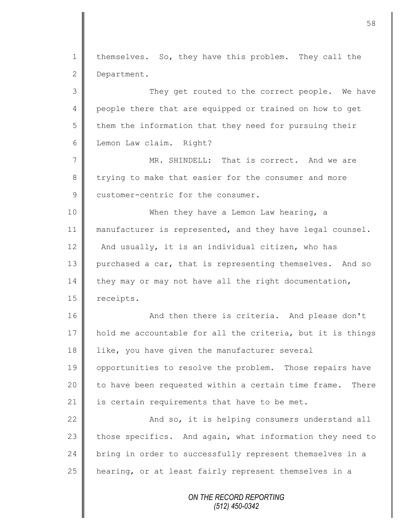*ON THE RECORD REPORTING* 1 | themselves. So, they have this problem. They call the 2 Department. 3 || They get routed to the correct people. We have 4 people there that are equipped or trained on how to get  $5 \parallel$  them the information that they need for pursuing their 6 | Lemon Law claim. Right? 7 MR. SHINDELL: That is correct. And we are 8 trying to make that easier for the consumer and more 9 customer-centric for the consumer. 10 || When they have a Lemon Law hearing, a 11 manufacturer is represented, and they have legal counsel. 12  $\parallel$  And usually, it is an individual citizen, who has 13 purchased a car, that is representing themselves. And so 14 they may or may not have all the right documentation, 15 | receipts. 16 || And then there is criteria. And please don't 17 | hold me accountable for all the criteria, but it is things 18 | like, you have given the manufacturer several 19 | opportunities to resolve the problem. Those repairs have 20  $\parallel$  to have been requested within a certain time frame. There 21  $\parallel$  is certain requirements that have to be met. 22  $\parallel$  And so, it is helping consumers understand all 23 those specifics. And again, what information they need to 24 bring in order to successfully represent themselves in a 25 | hearing, or at least fairly represent themselves in a

*(512) 450-0342*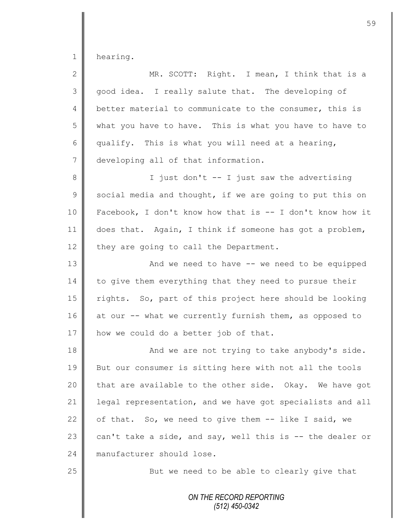1 hearing.

| $\overline{2}$ | MR. SCOTT: Right. I mean, I think that is a                |
|----------------|------------------------------------------------------------|
| 3              | good idea. I really salute that. The developing of         |
| 4              | better material to communicate to the consumer, this is    |
| 5              | what you have to have. This is what you have to have to    |
| 6              | qualify. This is what you will need at a hearing,          |
| $\overline{7}$ | developing all of that information.                        |
| 8              | I just don't -- I just saw the advertising                 |
| 9              | social media and thought, if we are going to put this on   |
| 10             | Facebook, I don't know how that is $-$ I don't know how it |
| 11             | does that. Again, I think if someone has got a problem,    |
| 12             | they are going to call the Department.                     |
| 13             | And we need to have -- we need to be equipped              |
| 14             | to give them everything that they need to pursue their     |
| 15             | rights. So, part of this project here should be looking    |
| 16             | at our -- what we currently furnish them, as opposed to    |
| 17             | how we could do a better job of that.                      |
| 18             | And we are not trying to take anybody's side.              |
| 19             | But our consumer is sitting here with not all the tools    |
| 20             | that are available to the other side. Okay. We have got    |
| 21             | legal representation, and we have got specialists and all  |
| 22             | of that. So, we need to give them -- like I said, we       |
| 23             | can't take a side, and say, well this is -- the dealer or  |
| 24             | manufacturer should lose.                                  |
| 25             | But we need to be able to clearly give that                |
|                | ON THE RECORD REPORTING<br>$(512)$ 450-0342                |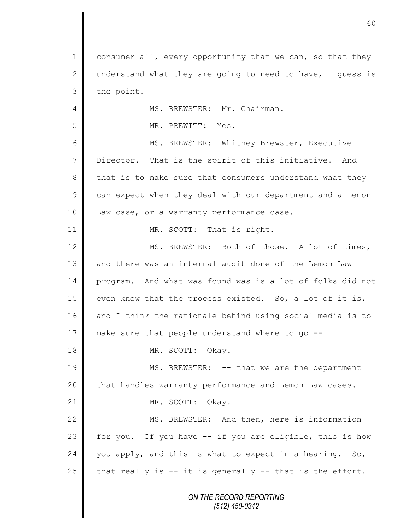*ON THE RECORD REPORTING (512) 450-0342* 1 consumer all, every opportunity that we can, so that they 2 understand what they are going to need to have, I quess is  $3$  the point. 4 | MS. BREWSTER: Mr. Chairman. 5 || MR. PREWITT: Yes. 6 || MS. BREWSTER: Whitney Brewster, Executive 7 Director. That is the spirit of this initiative. And 8 that is to make sure that consumers understand what they  $9 \parallel$  can expect when they deal with our department and a Lemon 10 | Law case, or a warranty performance case. 11 || MR. SCOTT: That is right. 12  $\parallel$  MS. BREWSTER: Both of those. A lot of times, 13 and there was an internal audit done of the Lemon Law 14 program. And what was found was is a lot of folks did not 15 | even know that the process existed. So, a lot of it is, 16 and I think the rationale behind using social media is to 17 make sure that people understand where to go --18 NR. SCOTT: Okay. 19 MS. BREWSTER: -- that we are the department 20 | that handles warranty performance and Lemon Law cases. 21 || MR. SCOTT: Okay. 22 || MS. BREWSTER: And then, here is information 23 for you. If you have  $-$  if you are eligible, this is how 24 you apply, and this is what to expect in a hearing. So, 25  $\parallel$  that really is -- it is generally -- that is the effort.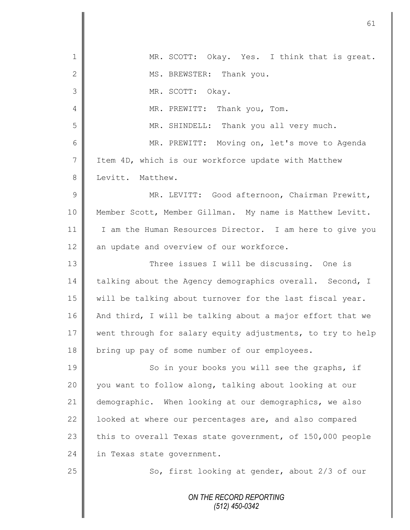| $\mathbf 1$    | MR. SCOTT: Okay. Yes. I think that is great.               |
|----------------|------------------------------------------------------------|
| $\mathbf{2}$   | MS. BREWSTER: Thank you.                                   |
| 3              | MR. SCOTT: Okay.                                           |
| 4              | MR. PREWITT: Thank you, Tom.                               |
| 5              | MR. SHINDELL: Thank you all very much.                     |
| 6              | MR. PREWITT: Moving on, let's move to Agenda               |
| $\overline{7}$ | Item 4D, which is our workforce update with Matthew        |
| 8              | Levitt. Matthew.                                           |
| 9              | MR. LEVITT: Good afternoon, Chairman Prewitt,              |
| 10             | Member Scott, Member Gillman. My name is Matthew Levitt.   |
| 11             | I am the Human Resources Director. I am here to give you   |
| 12             | an update and overview of our workforce.                   |
| 13             | Three issues I will be discussing. One is                  |
| 14             | talking about the Agency demographics overall. Second, I   |
| 15             | will be talking about turnover for the last fiscal year.   |
| 16             | And third, I will be talking about a major effort that we  |
| 17             | went through for salary equity adjustments, to try to help |
| 18             | bring up pay of some number of our employees.              |
| 19             | So in your books you will see the graphs, if               |
| 20             | you want to follow along, talking about looking at our     |
| 21             | demographic. When looking at our demographics, we also     |
| 22             | looked at where our percentages are, and also compared     |
| 23             | this to overall Texas state government, of 150,000 people  |
| 24             | in Texas state government.                                 |
| 25             | So, first looking at gender, about 2/3 of our              |
|                |                                                            |
|                | ON THE RECORD REPORTING<br>$(512)$ 450-0342                |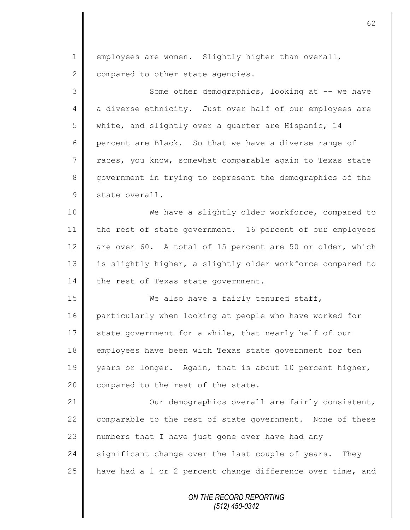$1 \parallel$  employees are women. Slightly higher than overall, 2 compared to other state agencies.

3 || Some other demographics, looking at -- we have 4 a diverse ethnicity. Just over half of our employees are 5 | white, and slightly over a quarter are Hispanic, 14 6 percent are Black. So that we have a diverse range of 7 Traces, you know, somewhat comparable again to Texas state 8 government in trying to represent the demographics of the 9 state overall.

10 We have a slightly older workforce, compared to 11 the rest of state government. 16 percent of our employees 12 are over 60. A total of 15 percent are 50 or older, which 13 is slightly higher, a slightly older workforce compared to 14 the rest of Texas state government.

15 We also have a fairly tenured staff, 16 particularly when looking at people who have worked for 17  $\parallel$  state government for a while, that nearly half of our 18 employees have been with Texas state government for ten 19 years or longer. Again, that is about 10 percent higher, 20 compared to the rest of the state.

21 | Our demographics overall are fairly consistent, 22  $\parallel$  comparable to the rest of state government. None of these  $23$  numbers that I have just gone over have had any 24 significant change over the last couple of years. They 25  $\parallel$  have had a 1 or 2 percent change difference over time, and

> *ON THE RECORD REPORTING (512) 450-0342*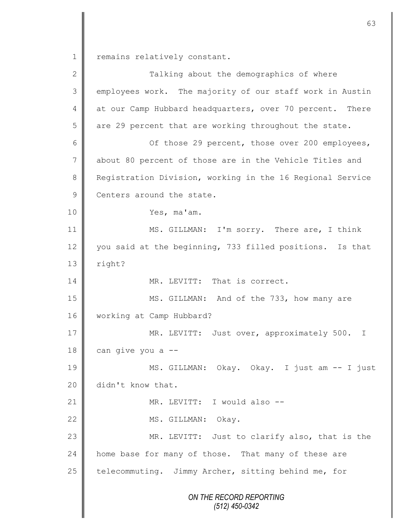1 remains relatively constant.

| $\mathbf{2}$   | Talking about the demographics of where                   |
|----------------|-----------------------------------------------------------|
| $\mathfrak{Z}$ | employees work. The majority of our staff work in Austin  |
| 4              | at our Camp Hubbard headquarters, over 70 percent. There  |
| 5              | are 29 percent that are working throughout the state.     |
| 6              | Of those 29 percent, those over 200 employees,            |
| $\overline{7}$ | about 80 percent of those are in the Vehicle Titles and   |
| 8              | Registration Division, working in the 16 Regional Service |
| $\mathcal{G}$  | Centers around the state.                                 |
| 10             | Yes, ma'am.                                               |
| 11             | MS. GILLMAN: I'm sorry. There are, I think                |
| 12             | you said at the beginning, 733 filled positions. Is that  |
| 13             | right?                                                    |
| 14             | MR. LEVITT: That is correct.                              |
| 15             | MS. GILLMAN: And of the 733, how many are                 |
| 16             | working at Camp Hubbard?                                  |
| 17             | MR. LEVITT: Just over, approximately 500. I               |
| 18             | can give you a --                                         |
| 19             | MS. GILLMAN: Okay. Okay. I just am -- I just              |
| 20             | didn't know that.                                         |
| 21             | MR. LEVITT: I would also --                               |
| 22             | MS. GILLMAN:<br>Okay.                                     |
| 23             | MR. LEVITT: Just to clarify also, that is the             |
| 24             | home base for many of those. That many of these are       |
| 25             | telecommuting. Jimmy Archer, sitting behind me, for       |
|                | ON THE RECORD REPORTING                                   |
|                | $(512)$ 450-0342                                          |
|                |                                                           |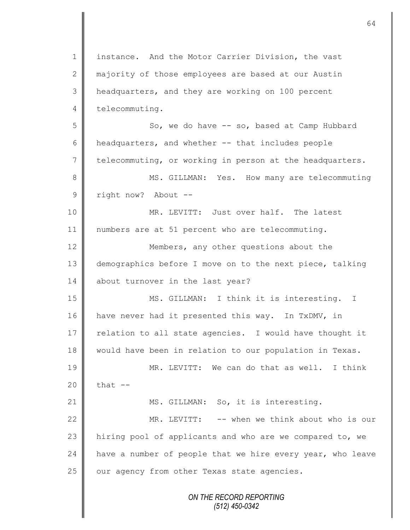*ON THE RECORD REPORTING (512) 450-0342* 1 | instance. And the Motor Carrier Division, the vast 2 majority of those employees are based at our Austin 3 headquarters, and they are working on 100 percent 4 telecommuting. 5 So, we do have -- so, based at Camp Hubbard  $6 \parallel$  headquarters, and whether  $-$  that includes people  $7 \parallel$  telecommuting, or working in person at the headquarters. 8 || MS. GILLMAN: Yes. How many are telecommuting 9 | right now? About --10 MR. LEVITT: Just over half. The latest 11 numbers are at 51 percent who are telecommuting. 12 **Members, any other questions about the** 13 demographics before I move on to the next piece, talking 14 about turnover in the last year? 15 || MS. GILLMAN: I think it is interesting. I 16 have never had it presented this way. In TxDMV, in 17  $\parallel$  relation to all state agencies. I would have thought it 18 | would have been in relation to our population in Texas. 19 || MR. LEVITT: We can do that as well. I think 20  $\parallel$  that  $-$ 21 MS. GILLMAN: So, it is interesting. 22 MR. LEVITT: -- when we think about who is our 23 | hiring pool of applicants and who are we compared to, we 24 have a number of people that we hire every year, who leave  $25$  | our agency from other Texas state agencies.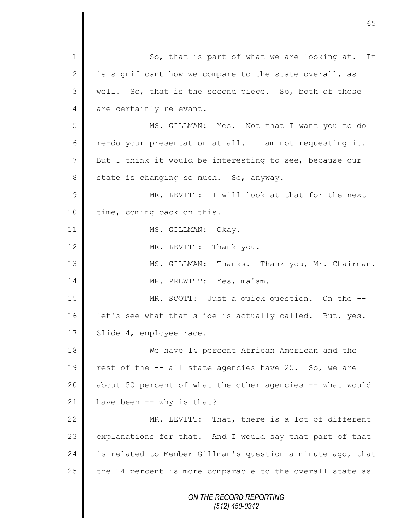*ON THE RECORD REPORTING (512) 450-0342* 1 So, that is part of what we are looking at. It 2 is significant how we compare to the state overall, as 3 || well. So, that is the second piece. So, both of those 4 are certainly relevant. 5 MS. GILLMAN: Yes. Not that I want you to do 6 re-do your presentation at all. I am not requesting it. 7 But I think it would be interesting to see, because our 8 state is changing so much. So, anyway. 9 || MR. LEVITT: I will look at that for the next 10 | time, coming back on this. 11 || MS. GILLMAN: Okay. 12 MR. LEVITT: Thank you. 13 || MS. GILLMAN: Thanks. Thank you, Mr. Chairman. 14 || MR. PREWITT: Yes, ma'am. 15 MR. SCOTT: Just a quick question. On the -- 16 | let's see what that slide is actually called. But, yes. 17 | Slide 4, employee race. 18 We have 14 percent African American and the 19  $\parallel$  rest of the  $-$  all state agencies have 25. So, we are 20  $\parallel$  about 50 percent of what the other agencies  $-$ - what would 21  $\parallel$  have been -- why is that? 22 MR. LEVITT: That, there is a lot of different 23 explanations for that. And I would say that part of that 24 | is related to Member Gillman's question a minute ago, that 25  $\parallel$  the 14 percent is more comparable to the overall state as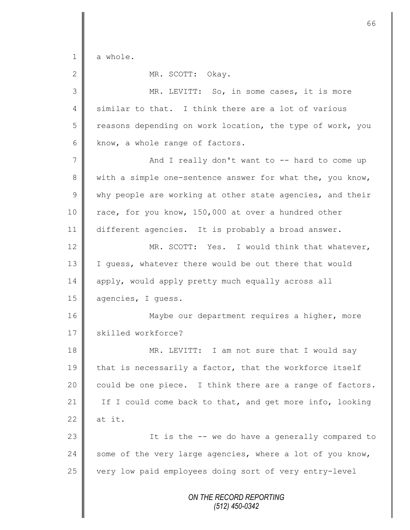*ON THE RECORD REPORTING (512) 450-0342* 1 a whole. 2 MR. SCOTT: Okay. 3 || MR. LEVITT: So, in some cases, it is more 4 similar to that. I think there are a lot of various 5 Teasons depending on work location, the type of work, you  $6$  know, a whole range of factors. 7 || And I really don't want to -- hard to come up 8 with a simple one-sentence answer for what the, you know,  $9 \parallel$  why people are working at other state agencies, and their 10 race, for you know, 150,000 at over a hundred other 11 different agencies. It is probably a broad answer. 12 MR. SCOTT: Yes. I would think that whatever, 13 | I guess, whatever there would be out there that would 14 apply, would apply pretty much equally across all 15 agencies, I guess. 16 Maybe our department requires a higher, more 17 skilled workforce? 18 MR. LEVITT: I am not sure that I would say 19 that is necessarily a factor, that the workforce itself 20  $\parallel$  could be one piece. I think there are a range of factors. 21 If I could come back to that, and get more info, looking 22  $\parallel$  at it. 23 || It is the -- we do have a generally compared to  $24$  some of the very large agencies, where a lot of you know, 25 very low paid employees doing sort of very entry-level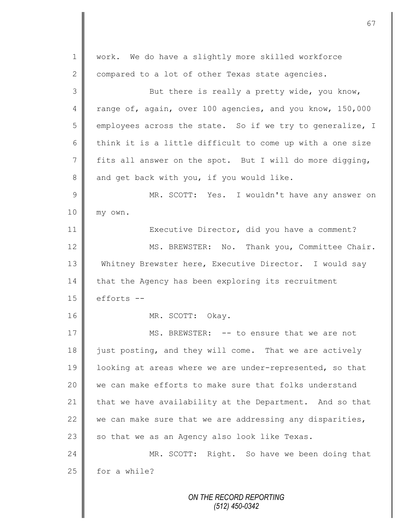| 1               | work. We do have a slightly more skilled workforce        |
|-----------------|-----------------------------------------------------------|
| $\mathbf{2}$    | compared to a lot of other Texas state agencies.          |
| 3               | But there is really a pretty wide, you know,              |
| 4               | range of, again, over 100 agencies, and you know, 150,000 |
| 5               | employees across the state. So if we try to generalize, I |
| 6               | think it is a little difficult to come up with a one size |
| $7\phantom{.0}$ | fits all answer on the spot. But I will do more digging,  |
| 8               | and get back with you, if you would like.                 |
| $\mathcal{G}$   | MR. SCOTT: Yes. I wouldn't have any answer on             |
| 10              | my own.                                                   |
| 11              | Executive Director, did you have a comment?               |
| 12              | MS. BREWSTER: No. Thank you, Committee Chair.             |
| 13              | Whitney Brewster here, Executive Director. I would say    |
| 14              | that the Agency has been exploring its recruitment        |
| 15              | efforts --                                                |
| 16              | MR. SCOTT: Okay.                                          |
| 17              | MS. BREWSTER: -- to ensure that we are not                |
| 18              | just posting, and they will come. That we are actively    |
| 19              | looking at areas where we are under-represented, so that  |
| 20              | we can make efforts to make sure that folks understand    |
| 21              | that we have availability at the Department. And so that  |
| 22              | we can make sure that we are addressing any disparities,  |
| 23              | so that we as an Agency also look like Texas.             |
| 24              | MR. SCOTT: Right. So have we been doing that              |
| 25              | for a while?                                              |
|                 |                                                           |
|                 | ON THE RECORD REPORTING                                   |

*(512) 450-0342*

 $\mathbf{\mathsf{I}}$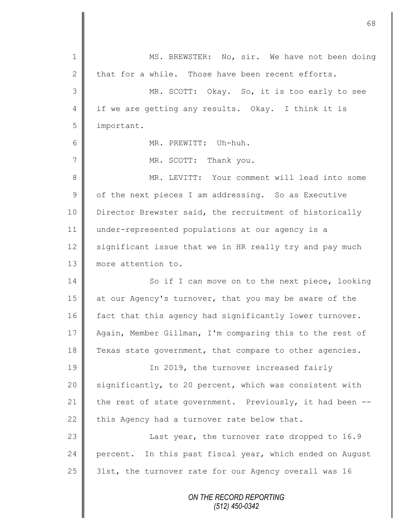| $\mathbf 1$    | MS. BREWSTER: No, sir. We have not been doing            |
|----------------|----------------------------------------------------------|
| $\mathbf{2}$   | that for a while. Those have been recent efforts.        |
| 3              | MR. SCOTT: Okay. So, it is too early to see              |
| $\overline{4}$ | if we are getting any results. Okay. I think it is       |
| 5              | important.                                               |
| 6              | MR. PREWITT: Uh-huh.                                     |
| 7              | MR. SCOTT: Thank you.                                    |
| $8\,$          | MR. LEVITT: Your comment will lead into some             |
| $\mathsf 9$    | of the next pieces I am addressing. So as Executive      |
| 10             | Director Brewster said, the recruitment of historically  |
| 11             | under-represented populations at our agency is a         |
| 12             | significant issue that we in HR really try and pay much  |
| 13             | more attention to.                                       |
| 14             | So if I can move on to the next piece, looking           |
| 15             | at our Agency's turnover, that you may be aware of the   |
| 16             | fact that this agency had significantly lower turnover.  |
| 17             | Again, Member Gillman, I'm comparing this to the rest of |
| 18             | Texas state government, that compare to other agencies.  |
| 19             | In 2019, the turnover increased fairly                   |
| 20             | significantly, to 20 percent, which was consistent with  |
| 21             | the rest of state government. Previously, it had been -- |
| 22             | this Agency had a turnover rate below that.              |
| 23             | Last year, the turnover rate dropped to 16.9             |
| 24             | percent. In this past fiscal year, which ended on August |
| 25             | 31st, the turnover rate for our Agency overall was 16    |
|                | ON THE RECORD REPORTING                                  |

П

*(512) 450-0342*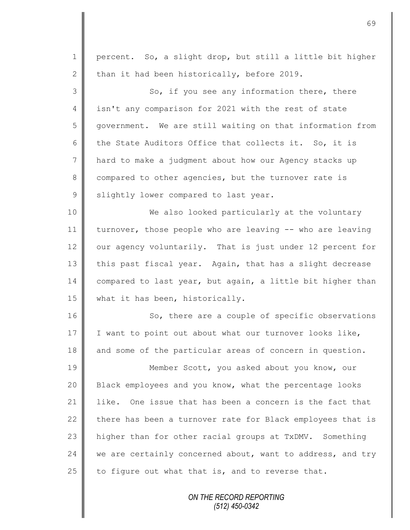| $\mathbf 1$    | percent. So, a slight drop, but still a little bit higher   |
|----------------|-------------------------------------------------------------|
| $\mathbf{2}$   | than it had been historically, before 2019.                 |
| 3              | So, if you see any information there, there                 |
| $\overline{4}$ | isn't any comparison for 2021 with the rest of state        |
| 5              | government. We are still waiting on that information from   |
| 6              | the State Auditors Office that collects it. So, it is       |
| $\overline{7}$ | hard to make a judgment about how our Agency stacks up      |
| 8              | compared to other agencies, but the turnover rate is        |
| $\mathcal{G}$  | slightly lower compared to last year.                       |
| 10             | We also looked particularly at the voluntary                |
| 11             | turnover, those people who are leaving -- who are leaving   |
| 12             | our agency voluntarily. That is just under 12 percent for   |
| 13             | this past fiscal year. Again, that has a slight decrease    |
| 14             | compared to last year, but again, a little bit higher than  |
| 15             | what it has been, historically.                             |
| 16             | So, there are a couple of specific observations             |
| 17             | I want to point out about what our turnover looks like,     |
| 18             | and some of the particular areas of concern in question.    |
| 19             | Member Scott, you asked about you know, our                 |
| 20             | Black employees and you know, what the percentage looks     |
| 21             | One issue that has been a concern is the fact that<br>like. |
| 22             | there has been a turnover rate for Black employees that is  |
| 23             | higher than for other racial groups at TxDMV. Something     |
| 24             | we are certainly concerned about, want to address, and try  |
| 25             | to figure out what that is, and to reverse that.            |
|                | ON TUE DECODO DEDODTINO                                     |

*ON THE RECORD REPORTING (512) 450-0342*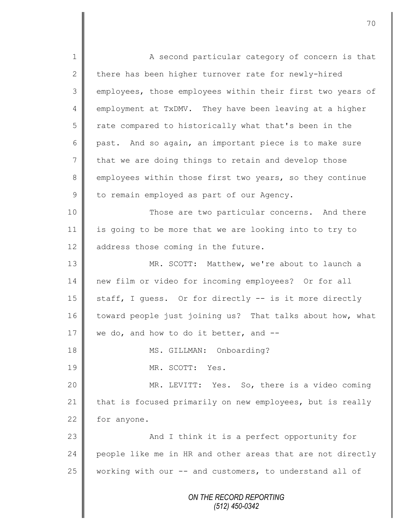*ON THE RECORD REPORTING (512) 450-0342* 1 A second particular category of concern is that 2 there has been higher turnover rate for newly-hired 3 employees, those employees within their first two years of 4 employment at TxDMV. They have been leaving at a higher 5 T rate compared to historically what that's been in the 6 past. And so again, an important piece is to make sure  $7 \parallel$  that we are doing things to retain and develop those 8 employees within those first two years, so they continue 9 to remain employed as part of our Agency. 10 || Those are two particular concerns. And there 11 is going to be more that we are looking into to try to 12  $\parallel$  address those coming in the future. 13 MR. SCOTT: Matthew, we're about to launch a 14 new film or video for incoming employees? Or for all 15  $\parallel$  staff, I guess. Or for directly -- is it more directly 16 toward people just joining us? That talks about how, what 17 We do, and how to do it better, and  $-$ 18 || MS. GILLMAN: Onboarding? 19 MR. SCOTT: Yes. 20 MR. LEVITT: Yes. So, there is a video coming 21 that is focused primarily on new employees, but is really  $22$  for anyone. 23 | And I think it is a perfect opportunity for 24 people like me in HR and other areas that are not directly 25 working with our -- and customers, to understand all of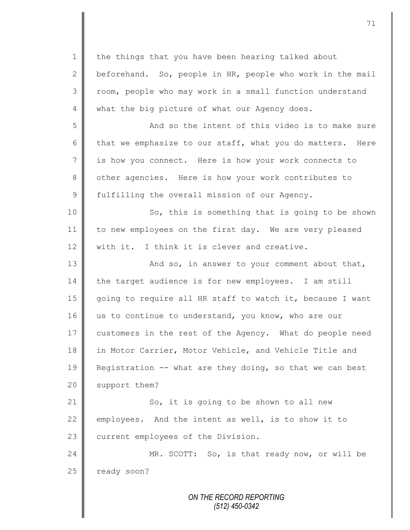*ON THE RECORD REPORTING* 1 the things that you have been hearing talked about 2 beforehand. So, people in HR, people who work in the mail 3 | room, people who may work in a small function understand 4 what the big picture of what our Agency does. 5 || And so the intent of this video is to make sure 6 that we emphasize to our staff, what you do matters. Here 7 is how you connect. Here is how your work connects to 8 | other agencies. Here is how your work contributes to 9 fulfilling the overall mission of our Agency. 10 || So, this is something that is going to be shown 11 to new employees on the first day. We are very pleased  $12$  with it. I think it is clever and creative. 13 || And so, in answer to your comment about that, 14 the target audience is for new employees. I am still 15 going to require all HR staff to watch it, because I want 16 us to continue to understand, you know, who are our 17 customers in the rest of the Agency. What do people need 18 in Motor Carrier, Motor Vehicle, and Vehicle Title and 19 Registration -- what are they doing, so that we can best 20 support them? 21 | So, it is going to be shown to all new 22 employees. And the intent as well, is to show it to 23 current employees of the Division. 24 MR. SCOTT: So, is that ready now, or will be 25 ready soon?

*(512) 450-0342*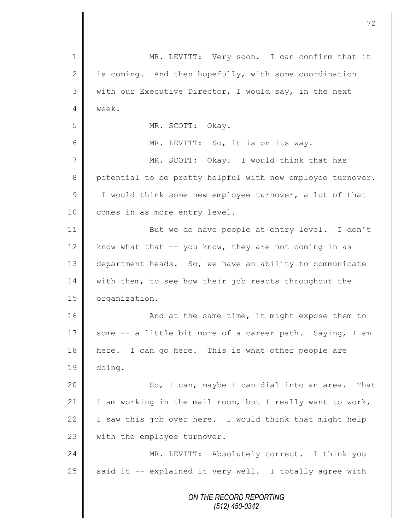| $\mathbf 1$    | MR. LEVITT: Very soon. I can confirm that it               |
|----------------|------------------------------------------------------------|
| $\mathbf{2}$   | is coming. And then hopefully, with some coordination      |
| 3              | with our Executive Director, I would say, in the next      |
| 4              | week.                                                      |
| 5              | MR. SCOTT: Okay.                                           |
| 6              | MR. LEVITT: So, it is on its way.                          |
| $\overline{7}$ | MR. SCOTT: Okay. I would think that has                    |
| 8              | potential to be pretty helpful with new employee turnover. |
| $\mathcal{G}$  | I would think some new employee turnover, a lot of that    |
| 10             | comes in as more entry level.                              |
| 11             | But we do have people at entry level. I don't              |
| 12             | know what that $--$ you know, they are not coming in as    |
| 13             | department heads. So, we have an ability to communicate    |
| 14             | with them, to see how their job reacts throughout the      |
| 15             | organization.                                              |
| 16             | And at the same time, it might expose them to              |
| 17             | some -- a little bit more of a career path. Saying, I am   |
| 18             | here. I can go here. This is what other people are         |
| 19             | doing.                                                     |
| 20             | So, I can, maybe I can dial into an area. That             |
| 21             | I am working in the mail room, but I really want to work,  |
| 22             | I saw this job over here. I would think that might help    |
| 23             | with the employee turnover.                                |
| 24             | MR. LEVITT: Absolutely correct. I think you                |
| 25             | said it -- explained it very well. I totally agree with    |
|                | ON THE RECORD REPORTING<br>$(512)$ 450-0342                |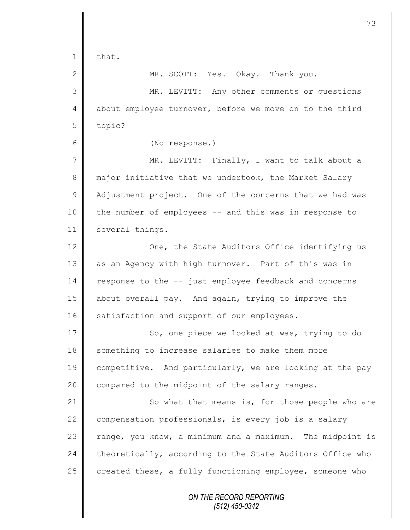| $\mathbf 1$    | that.                                                     |
|----------------|-----------------------------------------------------------|
| $\mathbf{2}$   | MR. SCOTT: Yes. Okay. Thank you.                          |
| 3              | MR. LEVITT: Any other comments or questions               |
| $\overline{4}$ | about employee turnover, before we move on to the third   |
| 5              | topic?                                                    |
| 6              | (No response.)                                            |
| 7              | MR. LEVITT: Finally, I want to talk about a               |
| $\,8\,$        | major initiative that we undertook, the Market Salary     |
| $\mathcal{G}$  | Adjustment project. One of the concerns that we had was   |
| 10             | the number of employees -- and this was in response to    |
| 11             | several things.                                           |
| 12             | One, the State Auditors Office identifying us             |
| 13             | as an Agency with high turnover. Part of this was in      |
| 14             | response to the -- just employee feedback and concerns    |
| 15             | about overall pay. And again, trying to improve the       |
| 16             | satisfaction and support of our employees.                |
| 17             | So, one piece we looked at was, trying to do              |
| 18             | something to increase salaries to make them more          |
| 19             | competitive. And particularly, we are looking at the pay  |
| 20             | compared to the midpoint of the salary ranges.            |
| 21             | So what that means is, for those people who are           |
| 22             | compensation professionals, is every job is a salary      |
| 23             | range, you know, a minimum and a maximum. The midpoint is |
| 24             | theoretically, according to the State Auditors Office who |
| 25             | created these, a fully functioning employee, someone who  |
|                | ON THE RECORD REPORTING<br>$(512)$ 450-0342               |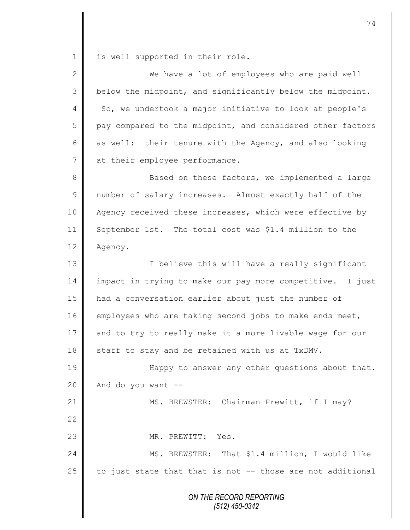1 is well supported in their role.

| $\overline{2}$ | We have a lot of employees who are paid well               |
|----------------|------------------------------------------------------------|
| 3              | below the midpoint, and significantly below the midpoint.  |
| 4              | So, we undertook a major initiative to look at people's    |
| 5              | pay compared to the midpoint, and considered other factors |
| 6              | as well: their tenure with the Agency, and also looking    |
| 7              | at their employee performance.                             |
| 8              | Based on these factors, we implemented a large             |
| $\mathsf 9$    | number of salary increases. Almost exactly half of the     |
| 10             | Agency received these increases, which were effective by   |
| 11             | September 1st. The total cost was \$1.4 million to the     |
| 12             | Agency.                                                    |
| 13             | I believe this will have a really significant              |
| 14             | impact in trying to make our pay more competitive. I just  |
| 15             | had a conversation earlier about just the number of        |
| 16             | employees who are taking second jobs to make ends meet,    |
| 17             | and to try to really make it a more livable wage for our   |
| 18             | staff to stay and be retained with us at TxDMV.            |
| 19             | Happy to answer any other questions about that.            |
| 20             | And do you want --                                         |
| 21             | MS. BREWSTER: Chairman Prewitt, if I may?                  |
| 22             |                                                            |
| 23             | MR. PREWITT: Yes.                                          |
| 24             | MS. BREWSTER: That \$1.4 million, I would like             |
| 25             | to just state that that is not -- those are not additional |
|                | ON THE RECORD REPORTING<br>$(512)$ 450-0342                |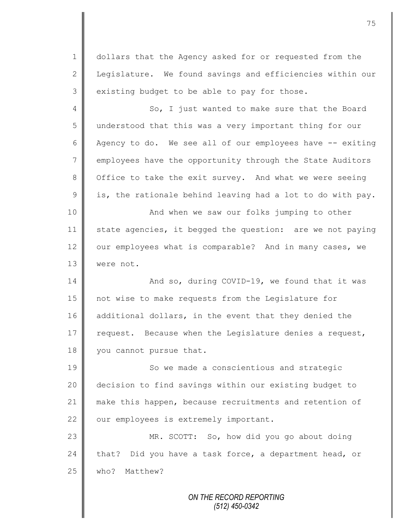1 dollars that the Agency asked for or requested from the 2 | Legislature. We found savings and efficiencies within our  $3 \parallel$  existing budget to be able to pay for those.

4 So, I just wanted to make sure that the Board 5 understood that this was a very important thing for our 6 Agency to do. We see all of our employees have  $-$  exiting 7 employees have the opportunity through the State Auditors 8 | Office to take the exit survey. And what we were seeing  $9 \parallel$  is, the rationale behind leaving had a lot to do with pay. 10 || And when we saw our folks jumping to other

11 state agencies, it begged the question: are we not paying 12 | our employees what is comparable? And in many cases, we 13 were not.

14 || And so, during COVID-19, we found that it was 15 not wise to make requests from the Legislature for 16 additional dollars, in the event that they denied the 17  $\parallel$  request. Because when the Legislature denies a request, 18 vou cannot pursue that.

19 So we made a conscientious and strategic decision to find savings within our existing budget to make this happen, because recruitments and retention of | our employees is extremely important.

23 MR. SCOTT: So, how did you go about doing 24 that? Did you have a task force, a department head, or 25 who? Matthew?

> *ON THE RECORD REPORTING (512) 450-0342*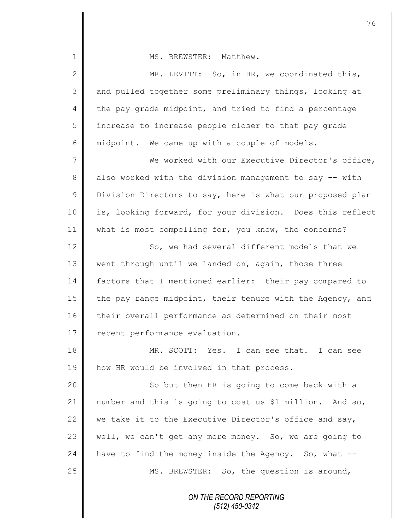| 1              | MS. BREWSTER: Matthew.                                    |
|----------------|-----------------------------------------------------------|
| $\mathbf{2}$   | MR. LEVITT: So, in HR, we coordinated this,               |
| 3              | and pulled together some preliminary things, looking at   |
| 4              | the pay grade midpoint, and tried to find a percentage    |
| 5              | increase to increase people closer to that pay grade      |
| 6              | midpoint. We came up with a couple of models.             |
| $\overline{7}$ | We worked with our Executive Director's office,           |
| 8              | also worked with the division management to say -- with   |
| $\mathsf 9$    | Division Directors to say, here is what our proposed plan |
| 10             | is, looking forward, for your division. Does this reflect |
| 11             | what is most compelling for, you know, the concerns?      |
| 12             | So, we had several different models that we               |
| 13             | went through until we landed on, again, those three       |
| 14             | factors that I mentioned earlier: their pay compared to   |
| 15             | the pay range midpoint, their tenure with the Agency, and |
| 16             | their overall performance as determined on their most     |
| 17             | recent performance evaluation.                            |
| 18             | MR. SCOTT: Yes. I can see that. I can see                 |
| 19             | how HR would be involved in that process.                 |
| 20             | So but then HR is going to come back with a               |
| 21             | number and this is going to cost us \$1 million. And so,  |
| 22             | we take it to the Executive Director's office and say,    |
| 23             | well, we can't get any more money. So, we are going to    |
| 24             | have to find the money inside the Agency. So, what --     |
| 25             | MS. BREWSTER: So, the question is around,                 |
|                | ON THE RECORD REPORTING<br>(512) 450-0342                 |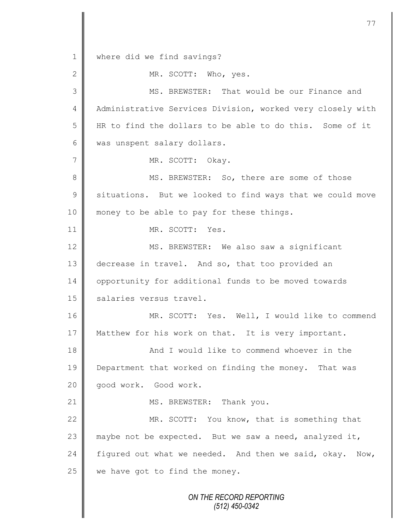*ON THE RECORD REPORTING* 1 where did we find savings? 2 MR. SCOTT: Who, yes. 3 MS. BREWSTER: That would be our Finance and 4 | Administrative Services Division, worked very closely with 5 HR to find the dollars to be able to do this. Some of it 6 | was unspent salary dollars. 7 || MR. SCOTT: Okay. 8 MS. BREWSTER: So, there are some of those 9 | situations. But we looked to find ways that we could move 10 || money to be able to pay for these things. 11 MR. SCOTT: Yes. 12 MS. BREWSTER: We also saw a significant 13 decrease in travel. And so, that too provided an 14 | opportunity for additional funds to be moved towards 15 | salaries versus travel. 16 MR. SCOTT: Yes. Well, I would like to commend 17 Matthew for his work on that. It is very important. 18 || And I would like to commend whoever in the 19 Department that worked on finding the money. That was 20 | qood work. Good work. 21 || MS. BREWSTER: Thank you. 22 MR. SCOTT: You know, that is something that 23  $\parallel$  maybe not be expected. But we saw a need, analyzed it, 24 figured out what we needed. And then we said, okay. Now,  $25$  we have got to find the money.

77

*(512) 450-0342*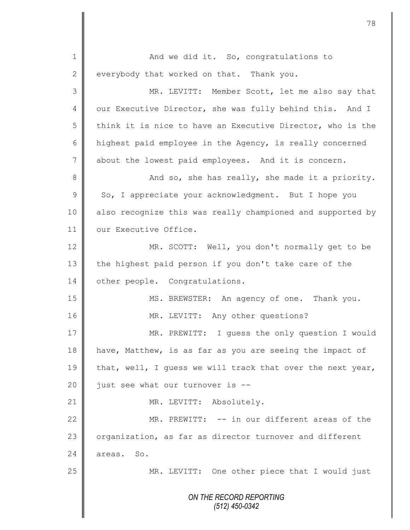*ON THE RECORD REPORTING (512) 450-0342* 1 | And we did it. So, congratulations to  $2 \parallel$  everybody that worked on that. Thank you. 3 MR. LEVITT: Member Scott, let me also say that 4 our Executive Director, she was fully behind this. And I 5 think it is nice to have an Executive Director, who is the 6 highest paid employee in the Agency, is really concerned 7 about the lowest paid employees. And it is concern. 8 And so, she has really, she made it a priority.  $9 \parallel$  So, I appreciate your acknowledgment. But I hope you 10 | also recognize this was really championed and supported by 11 | our Executive Office. 12 MR. SCOTT: Well, you don't normally get to be 13 the highest paid person if you don't take care of the 14 | other people. Congratulations. 15 || MS. BREWSTER: An agency of one. Thank you. 16 | MR. LEVITT: Any other questions? 17 | MR. PREWITT: I quess the only question I would 18 have, Matthew, is as far as you are seeing the impact of 19 | that, well, I guess we will track that over the next year,  $20$  | just see what our turnover is  $-$ 21 || MR. LEVITT: Absolutely. 22 MR. PREWITT: -- in our different areas of the 23 | organization, as far as director turnover and different 24 areas. So. 25 || MR. LEVITT: One other piece that I would just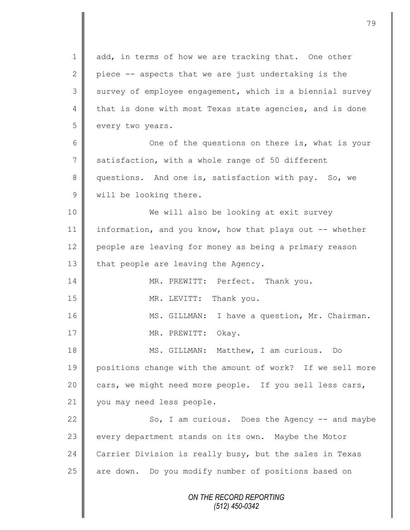*ON THE RECORD REPORTING (512) 450-0342* 1 add, in terms of how we are tracking that. One other 2 piece  $-$  aspects that we are just undertaking is the 3 survey of employee engagement, which is a biennial survey 4 that is done with most Texas state agencies, and is done 5 every two years. 6 One of the questions on there is, what is your 7 satisfaction, with a whole range of 50 different 8 questions. And one is, satisfaction with pay. So, we 9 | will be looking there. 10 || We will also be looking at exit survey 11 information, and you know, how that plays out -- whether 12 people are leaving for money as being a primary reason 13  $\parallel$  that people are leaving the Agency. 14 MR. PREWITT: Perfect. Thank you. 15 MR. LEVITT: Thank you. 16 | MS. GILLMAN: I have a question, Mr. Chairman. 17 || MR. PREWITT: Okay. 18 MS. GILLMAN: Matthew, I am curious. Do 19 positions change with the amount of work? If we sell more 20 cars, we might need more people. If you sell less cars, 21 | you may need less people. 22 So, I am curious. Does the Agency -- and maybe 23 every department stands on its own. Maybe the Motor 24 Carrier Division is really busy, but the sales in Texas 25 | are down. Do you modify number of positions based on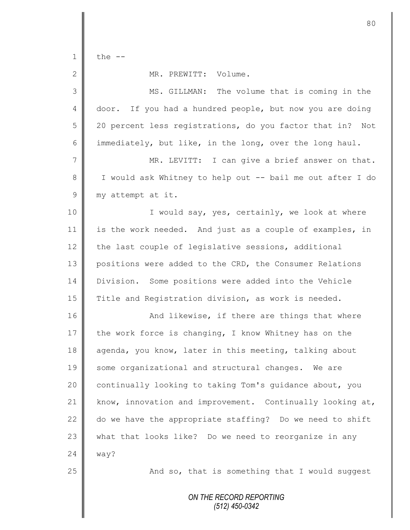1  $\parallel$  the  $-$ 

## 2 | MR. PREWITT: Volume.

*ON THE RECORD REPORTING* 3 MS. GILLMAN: The volume that is coming in the 4 door. If you had a hundred people, but now you are doing 5 20 percent less registrations, do you factor that in? Not 6 immediately, but like, in the long, over the long haul. 7 MR. LEVITT: I can give a brief answer on that. 8 || I would ask Whitney to help out -- bail me out after I do 9 my attempt at it. 10 || I would say, yes, certainly, we look at where 11 is the work needed. And just as a couple of examples, in 12 the last couple of legislative sessions, additional 13 positions were added to the CRD, the Consumer Relations 14 Division. Some positions were added into the Vehicle 15 Title and Registration division, as work is needed. 16 || And likewise, if there are things that where 17 the work force is changing, I know Whitney has on the 18 agenda, you know, later in this meeting, talking about 19 some organizational and structural changes. We are 20 continually looking to taking Tom's guidance about, you 21 | know, innovation and improvement. Continually looking at, 22  $\parallel$  do we have the appropriate staffing? Do we need to shift 23 what that looks like? Do we need to reorganize in any  $24 \parallel$  way?  $25$   $\parallel$  25 And so, that is something that I would suggest

*(512) 450-0342*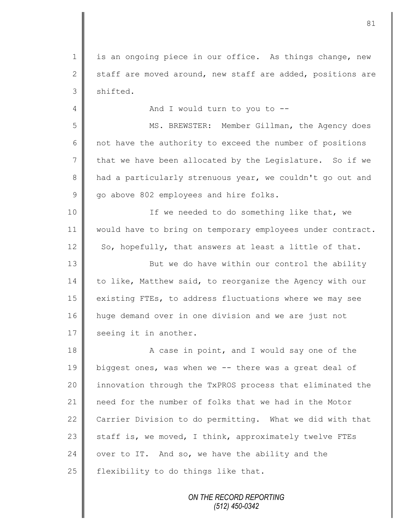1 || is an ongoing piece in our office. As things change, new 2 staff are moved around, new staff are added, positions are  $3$  shifted.

4 And I would turn to you to --

5 || MS. BREWSTER: Member Gillman, the Agency does  $6 \parallel$  not have the authority to exceed the number of positions  $7$  that we have been allocated by the Legislature. So if we 8 had a particularly strenuous year, we couldn't go out and 9 go above 802 employees and hire folks.

10 || If we needed to do something like that, we 11 | would have to bring on temporary employees under contract.  $12 \parallel$  So, hopefully, that answers at least a little of that.

13 || But we do have within our control the ability  $14$  to like, Matthew said, to reorganize the Agency with our 15 existing FTEs, to address fluctuations where we may see 16 huge demand over in one division and we are just not 17 | seeing it in another.

18 A case in point, and I would say one of the 19 biggest ones, was when we -- there was a great deal of 20 | innovation through the TxPROS process that eliminated the 21 need for the number of folks that we had in the Motor 22 Carrier Division to do permitting. What we did with that 23  $\parallel$  staff is, we moved, I think, approximately twelve FTEs 24 over to IT. And so, we have the ability and the 25  $\parallel$  flexibility to do things like that.

> *ON THE RECORD REPORTING (512) 450-0342*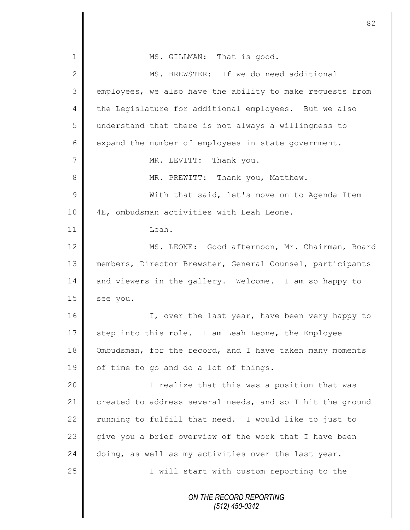| $\mathbf 1$     | MS. GILLMAN: That is good.                                |
|-----------------|-----------------------------------------------------------|
| $\mathbf{2}$    | MS. BREWSTER: If we do need additional                    |
| $\mathfrak{Z}$  | employees, we also have the ability to make requests from |
| $\overline{4}$  | the Legislature for additional employees. But we also     |
| 5               | understand that there is not always a willingness to      |
| $6\,$           | expand the number of employees in state government.       |
| $7\phantom{.0}$ | MR. LEVITT: Thank you.                                    |
| $8\,$           | MR. PREWITT: Thank you, Matthew.                          |
| 9               | With that said, let's move on to Agenda Item              |
| 10              | 4E, ombudsman activities with Leah Leone.                 |
| 11              | Leah.                                                     |
| 12              | MS. LEONE: Good afternoon, Mr. Chairman, Board            |
| 13              | members, Director Brewster, General Counsel, participants |
| 14              | and viewers in the gallery. Welcome. I am so happy to     |
| 15              | see you.                                                  |
| 16              | I, over the last year, have been very happy to            |
| 17              | step into this role. I am Leah Leone, the Employee        |
| 18              | Ombudsman, for the record, and I have taken many moments  |
| 19              | of time to go and do a lot of things.                     |
| 20              | I realize that this was a position that was               |
| 21              | created to address several needs, and so I hit the ground |
| 22              | running to fulfill that need. I would like to just to     |
| 23              | give you a brief overview of the work that I have been    |
| 24              | doing, as well as my activities over the last year.       |
| 25              | I will start with custom reporting to the                 |
|                 | ON THE RECORD REPORTING<br>$(512)$ 450-0342               |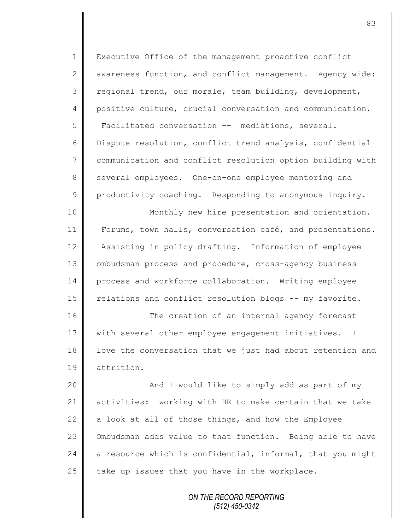| $\mathbf 1$    | Executive Office of the management proactive conflict      |
|----------------|------------------------------------------------------------|
| $\mathbf{2}$   | awareness function, and conflict management. Agency wide:  |
| 3              | regional trend, our morale, team building, development,    |
| 4              | positive culture, crucial conversation and communication.  |
| 5              | Facilitated conversation -- mediations, several.           |
| 6              | Dispute resolution, conflict trend analysis, confidential  |
| $\overline{7}$ | communication and conflict resolution option building with |
| $\,8\,$        | several employees. One-on-one employee mentoring and       |
| $\mathcal{G}$  | productivity coaching. Responding to anonymous inquiry.    |
| 10             | Monthly new hire presentation and orientation.             |
| 11             | Forums, town halls, conversation café, and presentations.  |
| 12             | Assisting in policy drafting. Information of employee      |
| 13             | ombudsman process and procedure, cross-agency business     |
| 14             | process and workforce collaboration. Writing employee      |
| 15             | relations and conflict resolution blogs -- my favorite.    |
| 16             | The creation of an internal agency forecast                |
| 17             | with several other employee engagement initiatives.<br>Ι   |
| 18             | love the conversation that we just had about retention and |
| 19             | attrition.                                                 |
| 20             | And I would like to simply add as part of my               |
| 21             | activities: working with HR to make certain that we take   |
| 22             | a look at all of those things, and how the Employee        |
| 23             | Ombudsman adds value to that function. Being able to have  |
| 24             | a resource which is confidential, informal, that you might |
| 25             | take up issues that you have in the workplace.             |
|                | ON THE RECORD REPORTING                                    |

*(512) 450-0342*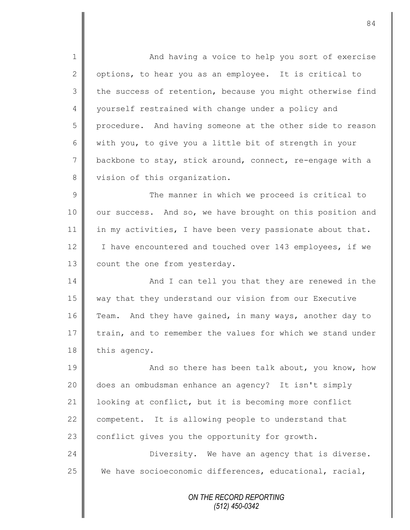*ON THE RECORD REPORTING (512) 450-0342* 1 || And having a voice to help you sort of exercise 2 | options, to hear you as an employee. It is critical to 3 the success of retention, because you might otherwise find 4 | yourself restrained with change under a policy and 5 procedure. And having someone at the other side to reason 6 with you, to give you a little bit of strength in your 7 backbone to stay, stick around, connect, re-engage with a 8 vision of this organization. 9 || The manner in which we proceed is critical to 10 | our success. And so, we have brought on this position and 11 in my activities, I have been very passionate about that. 12 | I have encountered and touched over 143 employees, if we 13 | count the one from yesterday. 14 | And I can tell you that they are renewed in the 15 way that they understand our vision from our Executive 16 Team. And they have gained, in many ways, another day to 17 train, and to remember the values for which we stand under 18 | this agency. 19 **And so there has been talk about, you know, how** 20 does an ombudsman enhance an agency? It isn't simply 21 | looking at conflict, but it is becoming more conflict 22  $\parallel$  competent. It is allowing people to understand that 23  $\parallel$  conflict gives you the opportunity for growth. 24 **Diversity.** We have an agency that is diverse. 25 We have socioeconomic differences, educational, racial,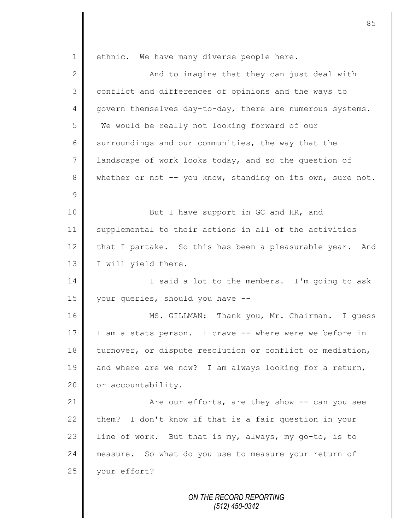*ON THE RECORD REPORTING (512) 450-0342* 1 | ethnic. We have many diverse people here. 2 || And to imagine that they can just deal with 3 conflict and differences of opinions and the ways to 4 govern themselves day-to-day, there are numerous systems. 5 We would be really not looking forward of our  $6 \parallel$  surroundings and our communities, the way that the 7 | landscape of work looks today, and so the question of 8 whether or not -- you know, standing on its own, sure not. 9 10 || But I have support in GC and HR, and 11 supplemental to their actions in all of the activities 12 that I partake. So this has been a pleasurable year. And 13 | I will yield there. 14 I Said a lot to the members. I'm going to ask 15 your queries, should you have --16 | MS. GILLMAN: Thank you, Mr. Chairman. I quess 17 || I am a stats person. I crave -- where were we before in 18 | turnover, or dispute resolution or conflict or mediation, 19  $\parallel$  and where are we now? I am always looking for a return, 20 | or accountability. 21 **Axe our efforts, are they show -- can you see** 22 them? I don't know if that is a fair question in your 23 line of work. But that is my, always, my go-to, is to 24 measure. So what do you use to measure your return of 25 your effort?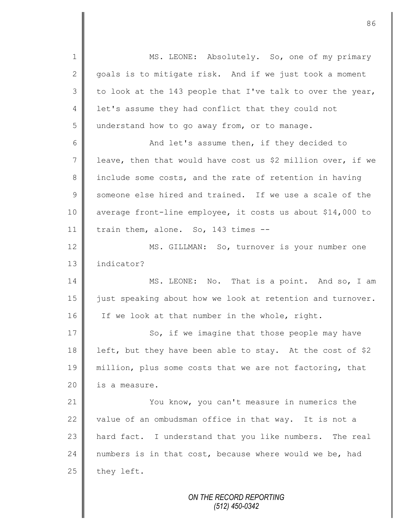*ON THE RECORD REPORTING* 1 || MS. LEONE: Absolutely. So, one of my primary 2 || goals is to mitigate risk. And if we just took a moment  $3 \parallel$  to look at the 143 people that I've talk to over the year, 4 | let's assume they had conflict that they could not 5 understand how to go away from, or to manage. 6 And let's assume then, if they decided to 7 | leave, then that would have cost us \$2 million over, if we 8 include some costs, and the rate of retention in having 9 someone else hired and trained. If we use a scale of the 10 average front-line employee, it costs us about \$14,000 to 11 | train them, alone. So, 143 times  $-$ 12 | MS. GILLMAN: So, turnover is your number one 13 l indicator? 14 MS. LEONE: No. That is a point. And so, I am 15 | just speaking about how we look at retention and turnover. 16 If we look at that number in the whole, right. 17 So, if we imagine that those people may have 18 left, but they have been able to stay. At the cost of \$2 19 || million, plus some costs that we are not factoring, that 20 | is a measure. 21 **You know, you can't measure in numerics the** 22 value of an ombudsman office in that way. It is not a 23 hard fact. I understand that you like numbers. The real 24 numbers is in that cost, because where would we be, had  $25$  | they left.

86

*(512) 450-0342*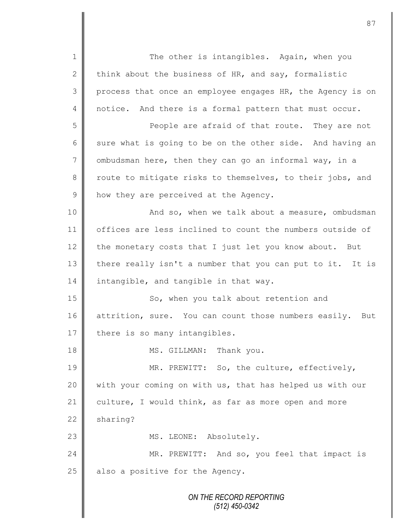*ON THE RECORD REPORTING (512) 450-0342* 1 The other is intangibles. Again, when you 2 think about the business of HR, and say, formalistic 3 process that once an employee engages HR, the Agency is on 4 notice. And there is a formal pattern that must occur. 5 People are afraid of that route. They are not 6 sure what is going to be on the other side. And having an 7 ombudsman here, then they can go an informal way, in a 8 route to mitigate risks to themselves, to their jobs, and 9 how they are perceived at the Agency. 10 | And so, when we talk about a measure, ombudsman 11 | offices are less inclined to count the numbers outside of 12 the monetary costs that I just let you know about. But 13 there really isn't a number that you can put to it. It is 14 intangible, and tangible in that way. 15 | So, when you talk about retention and 16 attrition, sure. You can count those numbers easily. But 17  $\parallel$  there is so many intangibles. 18 MS. GILLMAN: Thank you. 19 MR. PREWITT: So, the culture, effectively, 20 || with your coming on with us, that has helped us with our 21 culture, I would think, as far as more open and more  $22$  sharing? 23 || MS. LEONE: Absolutely. 24 MR. PREWITT: And so, you feel that impact is  $25$  also a positive for the Agency.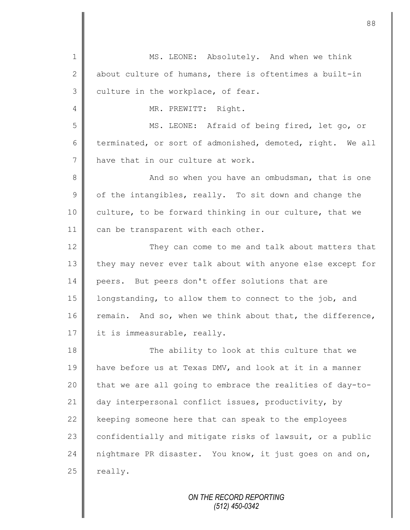1 || MS. LEONE: Absolutely. And when we think 2  $\parallel$  about culture of humans, there is oftentimes a built-in  $3$  culture in the workplace, of fear. 4 || MR. PREWITT: Right. 5 || MS. LEONE: Afraid of being fired, let go, or 6 terminated, or sort of admonished, demoted, right. We all 7 have that in our culture at work. 8 || And so when you have an ombudsman, that is one  $9 \parallel$  of the intangibles, really. To sit down and change the 10 culture, to be forward thinking in our culture, that we 11 can be transparent with each other. 12 They can come to me and talk about matters that 13 they may never ever talk about with anyone else except for 14 peers. But peers don't offer solutions that are 15 | longstanding, to allow them to connect to the job, and 16 remain. And so, when we think about that, the difference, 17 it is immeasurable, really. 18 The ability to look at this culture that we 19 have before us at Texas DMV, and look at it in a manner  $20$  | that we are all going to embrace the realities of day-to-21 day interpersonal conflict issues, productivity, by  $22$  keeping someone here that can speak to the employees 23  $\parallel$  confidentially and mitigate risks of lawsuit, or a public 24 nightmare PR disaster. You know, it just goes on and on,  $25$  really.

> *ON THE RECORD REPORTING (512) 450-0342*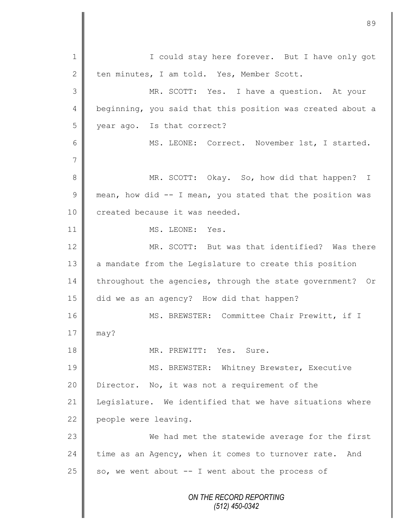*ON THE RECORD REPORTING (512) 450-0342* 1 || I could stay here forever. But I have only got 2 ten minutes, I am told. Yes, Member Scott. 3 MR. SCOTT: Yes. I have a question. At your 4 | beginning, you said that this position was created about a 5 year ago. Is that correct? 6 || MS. LEONE: Correct. November 1st, I started. 7 8 MR. SCOTT: Okay. So, how did that happen? I 9  $\parallel$  mean, how did -- I mean, you stated that the position was 10 **created because it was needed.** 11 **I** MS. LEONE: Yes. 12 MR. SCOTT: But was that identified? Was there 13 a mandate from the Legislature to create this position 14 throughout the agencies, through the state government? Or 15 did we as an agency? How did that happen? 16 | MS. BREWSTER: Committee Chair Prewitt, if I  $17 \parallel$  may? 18 MR. PREWITT: Yes. Sure. 19 || MS. BREWSTER: Whitney Brewster, Executive 20 Director. No, it was not a requirement of the 21 Legislature. We identified that we have situations where 22 people were leaving. 23 We had met the statewide average for the first 24 time as an Agency, when it comes to turnover rate. And 25  $\parallel$  so, we went about -- I went about the process of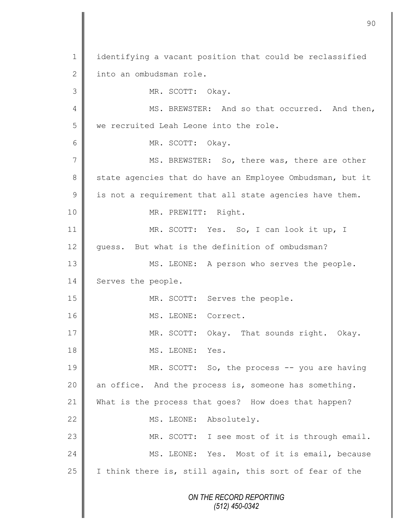*ON THE RECORD REPORTING (512) 450-0342* 1 | identifying a vacant position that could be reclassified 2 into an ombudsman role. 3 || MR. SCOTT: Okay. 4 MS. BREWSTER: And so that occurred. And then, 5 we recruited Leah Leone into the role. 6 || MR. SCOTT: Okay. 7 MS. BREWSTER: So, there was, there are other 8 State agencies that do have an Employee Ombudsman, but it  $9 \parallel$  is not a requirement that all state agencies have them. 10 | MR. PREWITT: Right. 11 MR. SCOTT: Yes. So, I can look it up, I 12 guess. But what is the definition of ombudsman? 13 || MS. LEONE: A person who serves the people. 14 Serves the people. 15 || MR. SCOTT: Serves the people. 16 | MS. LEONE: Correct. 17 || MR. SCOTT: Okay. That sounds right. Okay. 18 MS. LEONE: Yes. 19 || MR. SCOTT: So, the process -- you are having 20 | an office. And the process is, someone has something. 21 What is the process that goes? How does that happen? 22 | MS. LEONE: Absolutely. 23 | MR. SCOTT: I see most of it is through email. 24 MS. LEONE: Yes. Most of it is email, because 25 | I think there is, still again, this sort of fear of the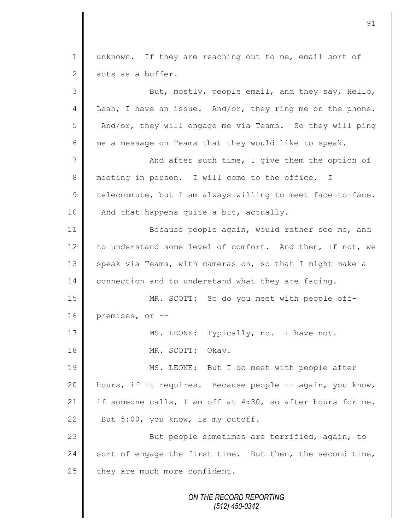*ON THE RECORD REPORTING* 1 unknown. If they are reaching out to me, email sort of  $2 \parallel$  acts as a buffer. 3 But, mostly, people email, and they say, Hello, 4 Leah, I have an issue. And/or, they ring me on the phone. 5 And/or, they will engage me via Teams. So they will ping 6  $\parallel$  me a message on Teams that they would like to speak. 7 | And after such time, I give them the option of 8 meeting in person. I will come to the office. I  $9 \parallel$  telecommute, but I am always willing to meet face-to-face. 10 | And that happens quite a bit, actually. 11 Because people again, would rather see me, and 12 to understand some level of comfort. And then, if not, we 13 speak via Teams, with cameras on, so that I might make a 14 connection and to understand what they are facing. 15 MR. SCOTT: So do you meet with people off-16 premises, or -- 17 | MS. LEONE: Typically, no. I have not. 18 NR. SCOTT: Okay. 19 || MS. LEONE: But I do meet with people after 20 hours, if it requires. Because people -- again, you know, 21 if someone calls, I am off at  $4:30$ , so after hours for me. 22 But 5:00, you know, is my cutoff. 23 || But people sometimes are terrified, again, to 24 sort of engage the first time. But then, the second time,  $25$  they are much more confident.

*(512) 450-0342*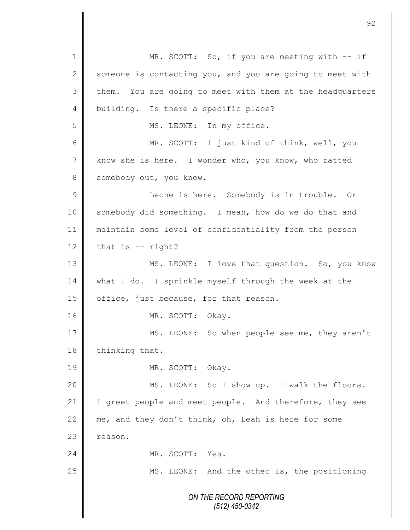*ON THE RECORD REPORTING (512) 450-0342* 1 MR. SCOTT: So, if you are meeting with -- if  $2 \parallel$  someone is contacting you, and you are going to meet with  $3 \parallel$  them. You are going to meet with them at the headquarters 4 building. Is there a specific place? 5 || MS. LEONE: In my office. 6 MR. SCOTT: I just kind of think, well, you 7 know she is here. I wonder who, you know, who ratted 8 Somebody out, you know. 9 || Leone is here. Somebody is in trouble. Or 10 somebody did something. I mean, how do we do that and 11 maintain some level of confidentiality from the person  $12$  that is -- right? 13 | MS. LEONE: I love that question. So, you know 14 what I do. I sprinkle myself through the week at the 15 | office, just because, for that reason. 16 MR. SCOTT: Okay. 17 MS. LEONE: So when people see me, they aren't 18 thinking that. 19 NR. SCOTT: Okay. 20 || MS. LEONE: So I show up. I walk the floors. 21 | I greet people and meet people. And therefore, they see 22  $\parallel$  me, and they don't think, oh, Leah is here for some 23 | reason. 24 MR. SCOTT: Yes. 25 || MS. LEONE: And the other is, the positioning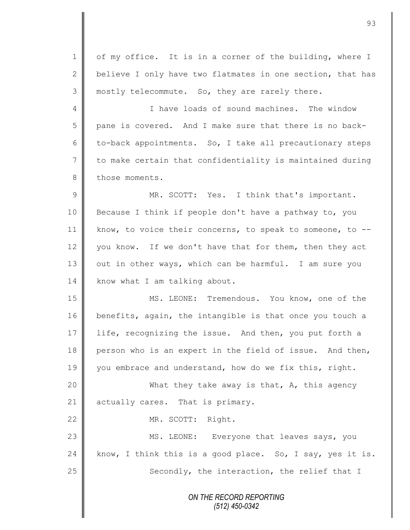1 of my office. It is in a corner of the building, where I 2 believe I only have two flatmates in one section, that has 3 || mostly telecommute. So, they are rarely there.

4 **I** Thave loads of sound machines. The window 5 pane is covered. And I make sure that there is no back-6 to-back appointments. So, I take all precautionary steps 7 to make certain that confidentiality is maintained during 8 those moments.

9 || MR. SCOTT: Yes. I think that's important. 10 Because I think if people don't have a pathway to, you 11 | know, to voice their concerns, to speak to someone, to --12 you know. If we don't have that for them, then they act 13 | out in other ways, which can be harmful. I am sure you 14 | know what I am talking about.

15 || MS. LEONE: Tremendous. You know, one of the 16 benefits, again, the intangible is that once you touch a 17 life, recognizing the issue. And then, you put forth a 18 person who is an expert in the field of issue. And then, 19 you embrace and understand, how do we fix this, right.

20 | Mhat they take away is that, A, this agency 21 | actually cares. That is primary.

22 MR. SCOTT: Right.

23 MS. LEONE: Everyone that leaves says, you 24 know, I think this is a good place. So, I say, yes it is.  $25$   $\parallel$  Secondly, the interaction, the relief that I

> *ON THE RECORD REPORTING (512) 450-0342*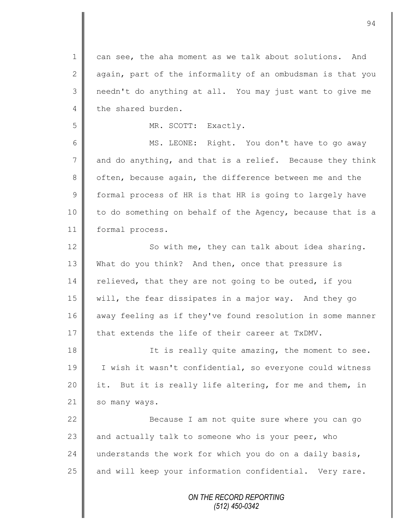1 can see, the aha moment as we talk about solutions. And 2 aqain, part of the informality of an ombudsman is that you 3 || needn't do anything at all. You may just want to give me 4 the shared burden.

5 MR. SCOTT: Exactly.

6 MS. LEONE: Right. You don't have to go away  $7 \parallel$  and do anything, and that is a relief. Because they think 8 | often, because again, the difference between me and the 9 | formal process of HR is that HR is going to largely have 10 | to do something on behalf of the Agency, because that is a 11 | formal process.

12 | So with me, they can talk about idea sharing. 13 What do you think? And then, once that pressure is  $14$  relieved, that they are not going to be outed, if you 15 will, the fear dissipates in a major way. And they go 16 away feeling as if they've found resolution in some manner 17 that extends the life of their career at  $TxDMV$ .

18 It is really quite amazing, the moment to see. 19 | I wish it wasn't confidential, so everyone could witness 20 || it. But it is really life altering, for me and them, in 21 so many ways.

22 | Recause I am not quite sure where you can go 23  $\parallel$  and actually talk to someone who is your peer, who 24 understands the work for which you do on a daily basis,  $25$  and will keep your information confidential. Very rare.

> *ON THE RECORD REPORTING (512) 450-0342*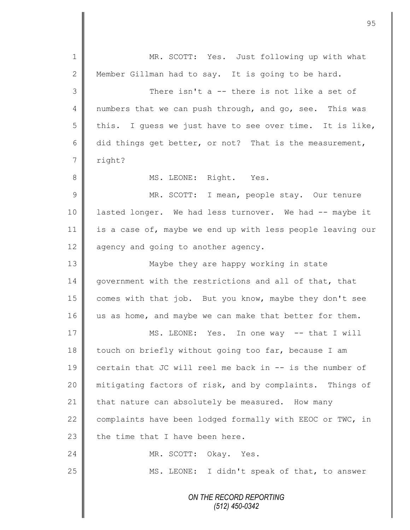*ON THE RECORD REPORTING (512) 450-0342* 1 || MR. SCOTT: Yes. Just following up with what 2 Member Gillman had to say. It is going to be hard. 3 There isn't a -- there is not like a set of 4 | numbers that we can push through, and go, see. This was  $5 \parallel$  this. I guess we just have to see over time. It is like, 6 did things get better, or not? That is the measurement, 7 | right? 8 || MS. LEONE: Right. Yes. 9 || MR. SCOTT: I mean, people stay. Our tenure 10 | lasted longer. We had less turnover. We had -- maybe it 11 is a case of, maybe we end up with less people leaving our  $12 \parallel$  agency and going to another agency. 13 Maybe they are happy working in state 14 government with the restrictions and all of that, that 15 | comes with that job. But you know, maybe they don't see 16 us as home, and maybe we can make that better for them. 17 || MS. LEONE: Yes. In one way -- that I will 18 | touch on briefly without going too far, because I am 19  $\parallel$  certain that JC will reel me back in  $-$  is the number of 20 mitigating factors of risk, and by complaints. Things of 21 that nature can absolutely be measured. How many 22  $\parallel$  complaints have been lodged formally with EEOC or TWC, in 23  $\parallel$  the time that I have been here. 24 MR. SCOTT: Okay. Yes. 25 || MS. LEONE: I didn't speak of that, to answer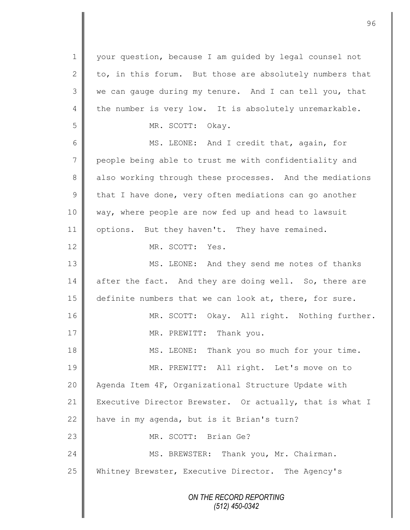*ON THE RECORD REPORTING (512) 450-0342* 1 || your question, because I am quided by legal counsel not 2 to, in this forum. But those are absolutely numbers that 3 we can gauge during my tenure. And I can tell you, that 4 the number is very low. It is absolutely unremarkable. 5 || MR. SCOTT: Okay. 6 MS. LEONE: And I credit that, again, for 7 people being able to trust me with confidentiality and 8 also working through these processes. And the mediations  $9 \parallel$  that I have done, very often mediations can go another 10 way, where people are now fed up and head to lawsuit 11 options. But they haven't. They have remained. 12 MR. SCOTT: Yes. 13 MS. LEONE: And they send me notes of thanks 14 after the fact. And they are doing well. So, there are 15 definite numbers that we can look at, there, for sure. 16 | MR. SCOTT: Okay. All right. Nothing further. 17 || MR. PREWITT: Thank you. 18 || MS. LEONE: Thank you so much for your time. 19 || MR. PREWITT: All right. Let's move on to 20 | Agenda Item 4F, Organizational Structure Update with 21 Executive Director Brewster. Or actually, that is what I 22  $\parallel$  have in my agenda, but is it Brian's turn? 23 MR. SCOTT: Brian Ge? 24 | MS. BREWSTER: Thank you, Mr. Chairman. 25 Whitney Brewster, Executive Director. The Agency's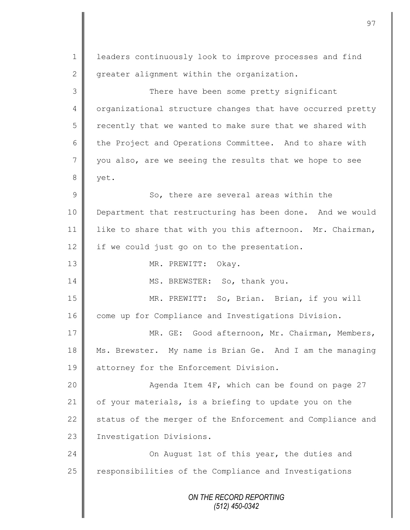*ON THE RECORD REPORTING (512) 450-0342* 1 | leaders continuously look to improve processes and find  $2 \parallel$  greater alignment within the organization. 3 There have been some pretty significant 4 | organizational structure changes that have occurred pretty  $5 \parallel$  recently that we wanted to make sure that we shared with 6 the Project and Operations Committee. And to share with  $7 \parallel$  you also, are we seeing the results that we hope to see 8 | yet. 9 || So, there are several areas within the 10 Department that restructuring has been done. And we would 11 | like to share that with you this afternoon. Mr. Chairman, 12 if we could just go on to the presentation. 13 NR. PREWITT: Okay. 14 MS. BREWSTER: So, thank you. 15 MR. PREWITT: So, Brian. Brian, if you will 16 come up for Compliance and Investigations Division. 17 | MR. GE: Good afternoon, Mr. Chairman, Members, 18 Ms. Brewster. My name is Brian Ge. And I am the managing 19 | attorney for the Enforcement Division. 20 || Agenda Item 4F, which can be found on page 27 21  $\parallel$  of your materials, is a briefing to update you on the 22 status of the merger of the Enforcement and Compliance and 23 | Investigation Divisions. 24 **On August 1st of this year, the duties and**  $25$  responsibilities of the Compliance and Investigations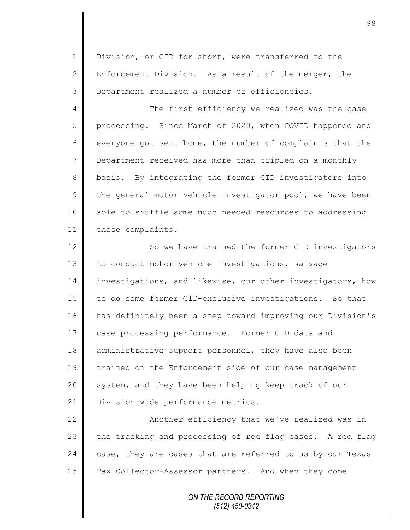1 Division, or CID for short, were transferred to the 2 Enforcement Division. As a result of the merger, the 3 Department realized a number of efficiencies.

4 The first efficiency we realized was the case 5 processing. Since March of 2020, when COVID happened and 6 everyone got sent home, the number of complaints that the 7 Department received has more than tripled on a monthly 8 basis. By integrating the former CID investigators into  $9 \parallel$  the general motor vehicle investigator pool, we have been 10 able to shuffle some much needed resources to addressing 11 those complaints.

12 | So we have trained the former CID investigators 13 to conduct motor vehicle investigations, salvage 14 investigations, and likewise, our other investigators, how 15 | to do some former CID-exclusive investigations. So that 16 has definitely been a step toward improving our Division's 17 case processing performance. Former CID data and 18 administrative support personnel, they have also been 19 T trained on the Enforcement side of our case management 20 || system, and they have been helping keep track of our 21 | Division-wide performance metrics.

22 | Another efficiency that we've realized was in 23  $\parallel$  the tracking and processing of red flag cases. A red flag 24 case, they are cases that are referred to us by our Texas 25 Tax Collector-Assessor partners. And when they come

> *ON THE RECORD REPORTING (512) 450-0342*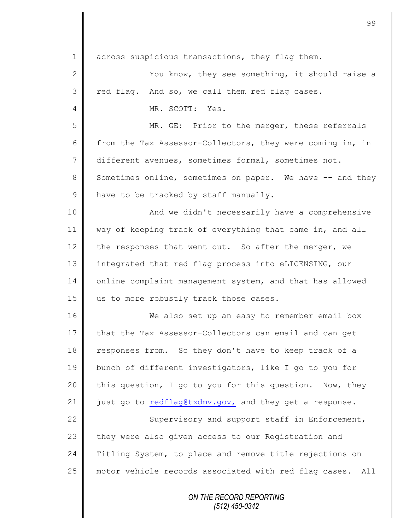| $\mathbf 1$   | across suspicious transactions, they flag them.           |
|---------------|-----------------------------------------------------------|
| $\mathbf{2}$  | You know, they see something, it should raise a           |
| 3             | red flag. And so, we call them red flag cases.            |
| 4             | MR. SCOTT: Yes.                                           |
| 5             | MR. GE: Prior to the merger, these referrals              |
| 6             | from the Tax Assessor-Collectors, they were coming in, in |
| 7             | different avenues, sometimes formal, sometimes not.       |
| 8             | Sometimes online, sometimes on paper. We have -- and they |
| $\mathcal{G}$ | have to be tracked by staff manually.                     |
| 10            | And we didn't necessarily have a comprehensive            |
| 11            | way of keeping track of everything that came in, and all  |
| 12            | the responses that went out. So after the merger, we      |
| 13            | integrated that red flag process into eLICENSING, our     |
| 14            | online complaint management system, and that has allowed  |
| 15            | us to more robustly track those cases.                    |
| 16            | We also set up an easy to remember email box              |
| 17            | that the Tax Assessor-Collectors can email and can get    |
| 18            | responses from. So they don't have to keep track of a     |
| 19            | bunch of different investigators, like I go to you for    |
| 20            | this question, I go to you for this question. Now, they   |
| 21            | just go to redflag@txdmv.gov, and they get a response.    |
| 22            | Supervisory and support staff in Enforcement,             |
| 23            | they were also given access to our Registration and       |
| 24            | Titling System, to place and remove title rejections on   |
| 25            | motor vehicle records associated with red flag cases. All |
|               | ON THE RECORD REPORTING<br>$(512)$ 450-0342               |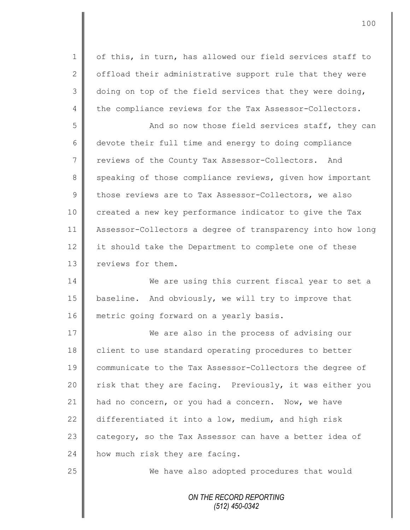1 | of this, in turn, has allowed our field services staff to 2  $\parallel$  offload their administrative support rule that they were  $3 \parallel$  doing on top of the field services that they were doing, 4 the compliance reviews for the Tax Assessor-Collectors.

5 || And so now those field services staff, they can 6 devote their full time and energy to doing compliance 7 Teviews of the County Tax Assessor-Collectors. And 8 speaking of those compliance reviews, given how important  $9 \parallel$  those reviews are to Tax Assessor-Collectors, we also 10 created a new key performance indicator to give the Tax 11 Assessor-Collectors a degree of transparency into how long 12 it should take the Department to complete one of these 13 **I** reviews for them.

14 We are using this current fiscal year to set a 15 | baseline. And obviously, we will try to improve that 16 | metric going forward on a yearly basis.

17 We are also in the process of advising our 18 | client to use standard operating procedures to better 19 communicate to the Tax Assessor-Collectors the degree of 20 | risk that they are facing. Previously, it was either you 21 had no concern, or you had a concern. Now, we have 22 differentiated it into a low, medium, and high risk 23 category, so the Tax Assessor can have a better idea of 24 | how much risk they are facing.

25 We have also adopted procedures that would

*ON THE RECORD REPORTING (512) 450-0342*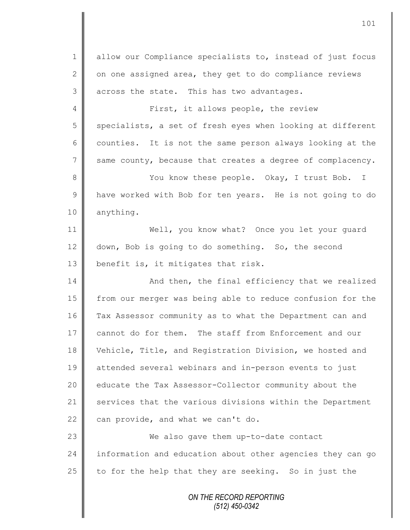*ON THE RECORD REPORTING* 1 allow our Compliance specialists to, instead of just focus 2  $\parallel$  on one assigned area, they get to do compliance reviews  $3 \parallel$  across the state. This has two advantages. 4 || First, it allows people, the review  $5 \parallel$  specialists, a set of fresh eyes when looking at different  $6 \parallel$  counties. It is not the same person always looking at the 7 same county, because that creates a degree of complacency. 8 || You know these people. Okay, I trust Bob. I 9 | have worked with Bob for ten years. He is not going to do 10 anything. 11 Well, you know what? Once you let your guard 12 down, Bob is going to do something. So, the second 13  $\parallel$  benefit is, it mitigates that risk. 14 **And then, the final efficiency that we realized** 15 from our merger was being able to reduce confusion for the 16 Tax Assessor community as to what the Department can and 17 cannot do for them. The staff from Enforcement and our 18 Vehicle, Title, and Registration Division, we hosted and 19 attended several webinars and in-person events to just 20 | educate the Tax Assessor-Collector community about the 21 services that the various divisions within the Department 22 can provide, and what we can't do. 23 We also gave them up-to-date contact 24 information and education about other agencies they can go 25  $\parallel$  to for the help that they are seeking. So in just the

101

*(512) 450-0342*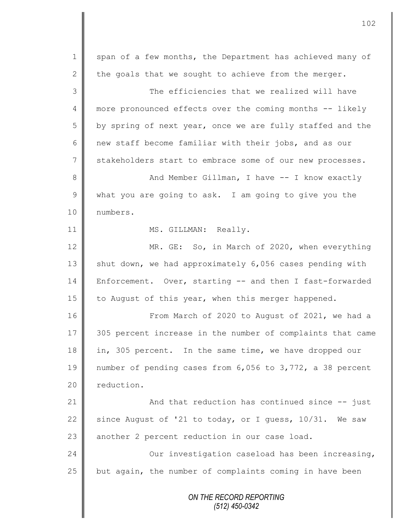*ON THE RECORD REPORTING (512) 450-0342* 1 span of a few months, the Department has achieved many of 2 the goals that we sought to achieve from the merger. 3  $\parallel$  3 The efficiencies that we realized will have 4 more pronounced effects over the coming months -- likely  $5 \parallel$  by spring of next year, once we are fully staffed and the 6  $\parallel$  new staff become familiar with their jobs, and as our 7 stakeholders start to embrace some of our new processes. 8 || And Member Gillman, I have -- I know exactly 9 what you are going to ask. I am going to give you the 10 | numbers. 11 || MS. GILLMAN: Really. 12 MR. GE: So, in March of 2020, when everything 13  $\parallel$  shut down, we had approximately 6,056 cases pending with 14 Enforcement. Over, starting -- and then I fast-forwarded 15 | to August of this year, when this merger happened. 16 | From March of 2020 to August of 2021, we had a 17 305 percent increase in the number of complaints that came 18 in, 305 percent. In the same time, we have dropped our 19 number of pending cases from 6,056 to 3,772, a 38 percent 20 reduction. 21 | And that reduction has continued since -- just 22 since August of '21 to today, or I guess,  $10/31$ . We saw 23 another 2 percent reduction in our case load. 24 | Cur investigation caseload has been increasing,  $25$  but again, the number of complaints coming in have been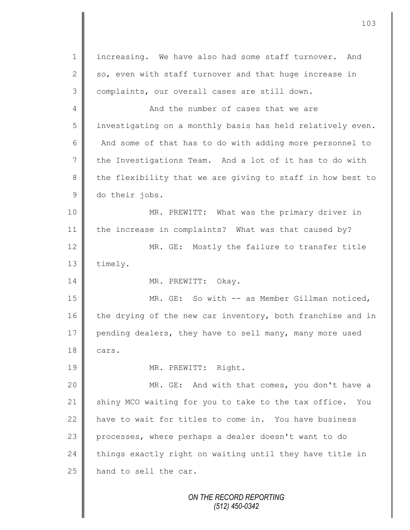1 | increasing. We have also had some staff turnover. And 2 so, even with staff turnover and that huge increase in 3 complaints, our overall cases are still down. 4 And the number of cases that we are 5 investigating on a monthly basis has held relatively even. 6 And some of that has to do with adding more personnel to 7 the Investigations Team. And a lot of it has to do with  $8 \parallel$  the flexibility that we are giving to staff in how best to 9 do their jobs. 10 || MR. PREWITT: What was the primary driver in 11 the increase in complaints? What was that caused by? 12 MR. GE: Mostly the failure to transfer title 13 | timely. 14 | MR. PREWITT: Okay. 15 | MR. GE: So with -- as Member Gillman noticed, 16 the drying of the new car inventory, both franchise and in 17 pending dealers, they have to sell many, many more used  $18 \parallel \text{cars.}$ 19 | MR. PREWITT: Right. 20 | MR. GE: And with that comes, you don't have a 21 Shiny MCO waiting for you to take to the tax office. You 22 have to wait for titles to come in. You have business 23 processes, where perhaps a dealer doesn't want to do  $24$   $\parallel$  things exactly right on waiting until they have title in 25 hand to sell the car.

*ON THE RECORD REPORTING (512) 450-0342*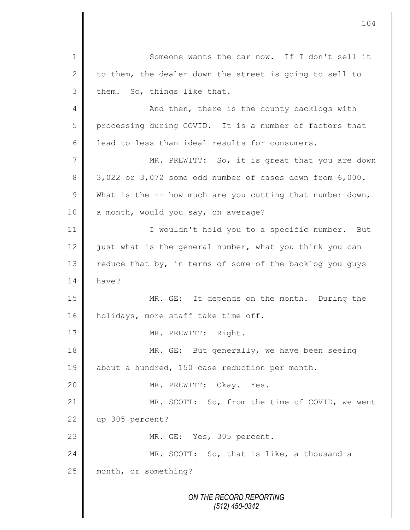*ON THE RECORD REPORTING (512) 450-0342* 1 || Someone wants the car now. If I don't sell it 2 to them, the dealer down the street is going to sell to  $3 \parallel$  them. So, things like that. 4 || And then, there is the county backlogs with 5 processing during COVID. It is a number of factors that 6 | lead to less than ideal results for consumers. 7 || MR. PREWITT: So, it is great that you are down 8 3,022 or 3,072 some odd number of cases down from 6,000. 9 What is the  $-$  how much are you cutting that number down,  $10$  a month, would you say, on average? 11 | I wouldn't hold you to a specific number. But 12  $\parallel$  just what is the general number, what you think you can 13  $\parallel$  reduce that by, in terms of some of the backlog you guys 14 have? 15 MR. GE: It depends on the month. During the 16 | holidays, more staff take time off. 17 | MR. PREWITT: Right. 18 MR. GE: But generally, we have been seeing 19 about a hundred, 150 case reduction per month. 20 || MR. PREWITT: Okay. Yes. 21 | MR. SCOTT: So, from the time of COVID, we went 22 up 305 percent? 23 || MR. GE: Yes, 305 percent. 24 || MR. SCOTT: So, that is like, a thousand a 25 month, or something?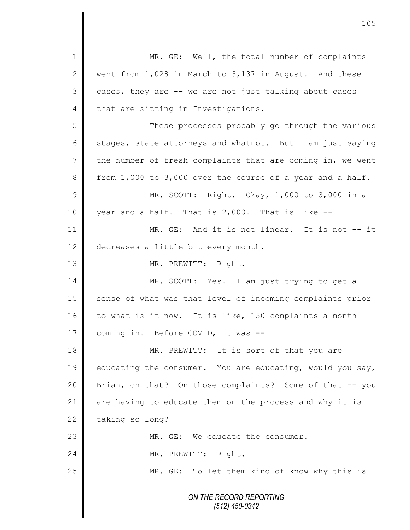| $\mathbf 1$     | MR. GE: Well, the total number of complaints               |
|-----------------|------------------------------------------------------------|
| $\mathbf{2}$    | went from 1,028 in March to 3,137 in August. And these     |
| 3               | cases, they are -- we are not just talking about cases     |
| $\overline{4}$  | that are sitting in Investigations.                        |
| 5               | These processes probably go through the various            |
| 6               | stages, state attorneys and whatnot. But I am just saying  |
| $7\phantom{.0}$ | the number of fresh complaints that are coming in, we went |
| 8               | from 1,000 to 3,000 over the course of a year and a half.  |
| $\mathcal{G}$   | MR. SCOTT: Right. Okay, 1,000 to 3,000 in a                |
| 10              | year and a half. That is 2,000. That is like --            |
| 11              | MR. GE: And it is not linear. It is not -- it              |
| 12              | decreases a little bit every month.                        |
| 13              | MR. PREWITT: Right.                                        |
| 14              | MR. SCOTT: Yes. I am just trying to get a                  |
| 15              | sense of what was that level of incoming complaints prior  |
| 16              | to what is it now. It is like, 150 complaints a month      |
| 17              | coming in. Before COVID, it was --                         |
| 18              | MR. PREWITT: It is sort of that you are                    |
| 19              | educating the consumer. You are educating, would you say,  |
| 20              | Brian, on that? On those complaints? Some of that -- you   |
| 21              | are having to educate them on the process and why it is    |
| 22              | taking so long?                                            |
| 23              | MR. GE: We educate the consumer.                           |
| 24              | MR. PREWITT: Right.                                        |
| 25              | MR. GE: To let them kind of know why this is               |
|                 | ON THE RECORD REPORTING<br>(512) 450-0342                  |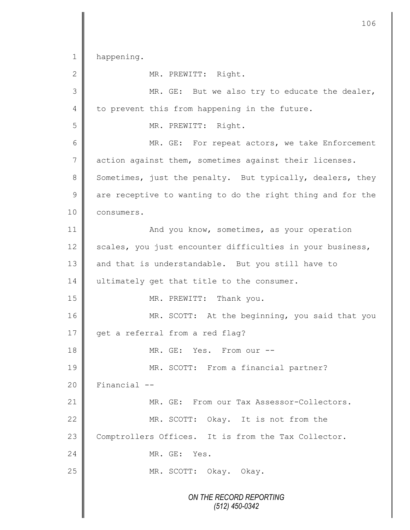*ON THE RECORD REPORTING (512) 450-0342* 1 happening. 2 MR. PREWITT: Right. 3 MR. GE: But we also try to educate the dealer,  $4 \parallel$  to prevent this from happening in the future. 5 MR. PREWITT: Right. 6 MR. GE: For repeat actors, we take Enforcement 7 action against them, sometimes against their licenses. 8 Sometimes, just the penalty. But typically, dealers, they  $9 \parallel$  are receptive to wanting to do the right thing and for the 10 | consumers. 11 **And you know, sometimes, as your operation** 12 scales, you just encounter difficulties in your business, 13 and that is understandable. But you still have to 14 ultimately get that title to the consumer. 15 MR. PREWITT: Thank you. 16 MR. SCOTT: At the beginning, you said that you 17 get a referral from a red flag? 18 || MR. GE: Yes. From our --19 || MR. SCOTT: From a financial partner?  $20$  | Financial  $-$ 21 MR. GE: From our Tax Assessor-Collectors. 22 MR. SCOTT: Okay. It is not from the 23 Comptrollers Offices. It is from the Tax Collector. 24 MR. GE: Yes. 25 MR. SCOTT: Okay. Okay.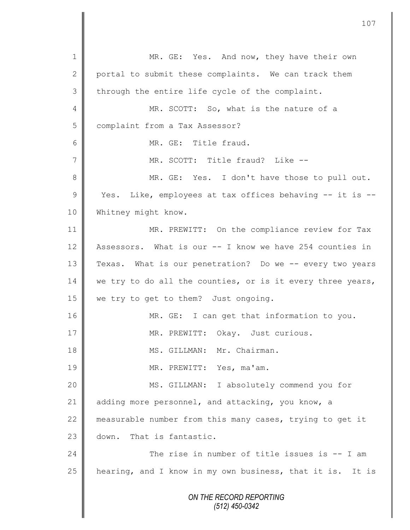*ON THE RECORD REPORTING (512) 450-0342* 1 || MR. GE: Yes. And now, they have their own 2 portal to submit these complaints. We can track them  $3 \parallel$  through the entire life cycle of the complaint. 4 MR. SCOTT: So, what is the nature of a 5 | complaint from a Tax Assessor? 6 MR. GE: Title fraud. 7 MR. SCOTT: Title fraud? Like -- 8 || MR. GE: Yes. I don't have those to pull out. 9 || Yes. Like, employees at tax offices behaving -- it is --10 Whitney might know. 11 MR. PREWITT: On the compliance review for Tax 12 Assessors. What is our -- I know we have 254 counties in 13 Texas. What is our penetration? Do we -- every two years 14 we try to do all the counties, or is it every three years, 15 | we try to get to them? Just ongoing. 16 MR. GE: I can get that information to you. 17 | MR. PREWITT: Okay. Just curious. 18 || MS. GILLMAN: Mr. Chairman. 19 MR. PREWITT: Yes, ma'am. 20 MS. GILLMAN: I absolutely commend you for 21 adding more personnel, and attacking, you know, a 22 measurable number from this many cases, trying to get it 23 down. That is fantastic. 24 **The rise in number of title issues is -- I am** 25 hearing, and I know in my own business, that it is. It is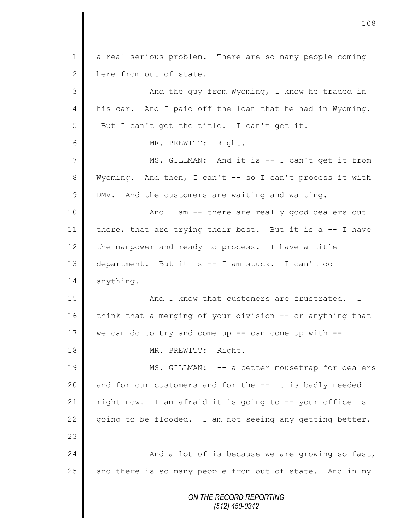*ON THE RECORD REPORTING (512) 450-0342* 1 a real serious problem. There are so many people coming 2 here from out of state. 3 || And the guy from Wyoming, I know he traded in 4 his car. And I paid off the loan that he had in Wyoming.  $5$  But I can't get the title. I can't get it. 6 MR. PREWITT: Right. 7 || MS. GILLMAN: And it is -- I can't get it from 8 Wyoming. And then, I can't -- so I can't process it with  $9 \parallel$  DMV. And the customers are waiting and waiting. 10 || And I am -- there are really good dealers out 11 | there, that are trying their best. But it is a  $-$ - I have 12 the manpower and ready to process. I have a title 13 department. But it is -- I am stuck. I can't do 14 anything. 15 || And I know that customers are frustrated. I 16 think that a merging of your division -- or anything that 17 we can do to try and come up  $-$ - can come up with  $-$ -18 | MR. PREWITT: Right. 19 MS. GILLMAN: -- a better mousetrap for dealers 20  $\parallel$  and for our customers and for the  $-$  it is badly needed 21  $\parallel$  right now. I am afraid it is going to -- your office is 22  $\parallel$  going to be flooded. I am not seeing any getting better. 23 24  $\parallel$  And a lot of is because we are growing so fast,  $25$  and there is so many people from out of state. And in my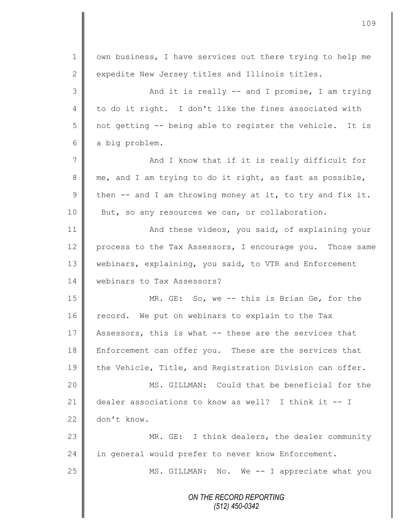|                | 109                                                         |
|----------------|-------------------------------------------------------------|
| $\mathbf 1$    | own business, I have services out there trying to help me   |
| 2              | expedite New Jersey titles and Illinois titles.             |
| 3              | And it is really -- and I promise, I am trying              |
| $\overline{4}$ | to do it right. I don't like the fines associated with      |
| 5              | not getting -- being able to register the vehicle. It is    |
| 6              | a big problem.                                              |
| 7              | And I know that if it is really difficult for               |
| 8              | me, and I am trying to do it right, as fast as possible,    |
| $\mathcal{G}$  | then $--$ and I am throwing money at it, to try and fix it. |
| 10             | But, so any resources we can, or collaboration.             |
| 11             | And these videos, you said, of explaining your              |
| 12             | process to the Tax Assessors, I encourage you. Those same   |
| 13             | webinars, explaining, you said, to VTR and Enforcement      |
| 14             | webinars to Tax Assessors?                                  |
| 15             | MR. GE: So, we -- this is Brian Ge, for the                 |
| 16             | We put on webinars to explain to the Tax<br>record.         |
| 17             | Assessors, this is what -- these are the services that      |
| 18             | Enforcement can offer you. These are the services that      |
| 19             | the Vehicle, Title, and Registration Division can offer.    |
| 20             | MS. GILLMAN: Could that be beneficial for the               |
| 21             | dealer associations to know as well? I think it -- I        |
| 22             | don't know.                                                 |
| 23             | MR. GE: I think dealers, the dealer community               |
| 24             | in general would prefer to never know Enforcement.          |
| 25             | MS. GILLMAN: No. We -- I appreciate what you                |
|                | ON THE RECORD REPORTING<br>$(512)$ 450-0342                 |

Ι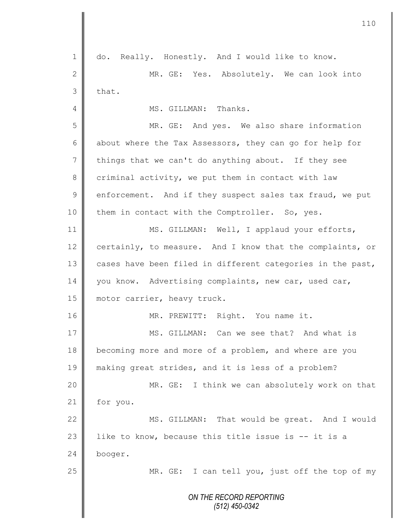*ON THE RECORD REPORTING (512) 450-0342* 1 do. Really. Honestly. And I would like to know. 2 MR. GE: Yes. Absolutely. We can look into  $3$  that. 4 **||** MS. GILLMAN: Thanks. 5 MR. GE: And yes. We also share information 6 about where the Tax Assessors, they can go for help for 7 things that we can't do anything about. If they see 8 criminal activity, we put them in contact with law  $9 \parallel$  enforcement. And if they suspect sales tax fraud, we put 10 them in contact with the Comptroller. So, yes. 11 | MS. GILLMAN: Well, I applaud your efforts, 12 certainly, to measure. And I know that the complaints, or 13  $\parallel$  cases have been filed in different categories in the past, 14 you know. Advertising complaints, new car, used car, 15 | motor carrier, heavy truck. 16 | MR. PREWITT: Right. You name it. 17 MS. GILLMAN: Can we see that? And what is 18 becoming more and more of a problem, and where are you 19 making great strides, and it is less of a problem? 20 | MR. GE: I think we can absolutely work on that 21 | for you. 22 MS. GILLMAN: That would be great. And I would 23 | like to know, because this title issue is  $-$ - it is a 24 booger. 25 || MR. GE: I can tell you, just off the top of my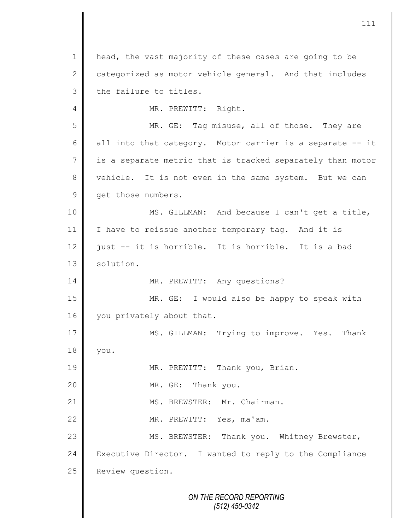*ON THE RECORD REPORTING* 1 head, the vast majority of these cases are going to be  $2 \parallel$  categorized as motor vehicle general. And that includes  $3$  | the failure to titles. 4 || MR. PREWITT: Right. 5 || MR. GE: Tag misuse, all of those. They are 6 all into that category. Motor carrier is a separate  $-$  it  $7 \parallel$  is a separate metric that is tracked separately than motor 8 vehicle. It is not even in the same system. But we can 9 get those numbers. 10 MS. GILLMAN: And because I can't get a title, 11 | I have to reissue another temporary tag. And it is 12  $\parallel$  just -- it is horrible. It is horrible. It is a bad 13 | solution. 14 || MR. PREWITT: Any questions? 15 MR. GE: I would also be happy to speak with 16 vou privately about that. 17 || MS. GILLMAN: Trying to improve. Yes. Thank 18 you. 19 || MR. PREWITT: Thank you, Brian. 20 | MR. GE: Thank you. 21 || MS. BREWSTER: Mr. Chairman. 22 || MR. PREWITT: Yes, ma'am. 23 || MS. BREWSTER: Thank you. Whitney Brewster, 24 Executive Director. I wanted to reply to the Compliance 25 Review question.

*(512) 450-0342*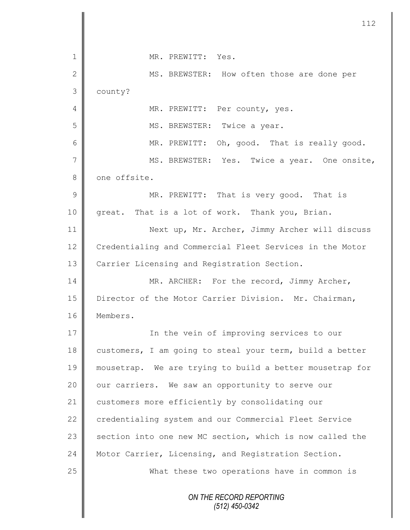|                | 112                                                      |
|----------------|----------------------------------------------------------|
| 1              | MR. PREWITT: Yes.                                        |
| $\mathbf{2}$   | MS. BREWSTER: How often those are done per               |
| 3              | county?                                                  |
| $\overline{4}$ | MR. PREWITT: Per county, yes.                            |
| 5              | MS. BREWSTER: Twice a year.                              |
| 6              | MR. PREWITT: Oh, good. That is really good.              |
| $\overline{7}$ | MS. BREWSTER: Yes. Twice a year. One onsite,             |
| $8\,$          | one offsite.                                             |
| $\mathcal{G}$  | MR. PREWITT: That is very good. That is                  |
| 10             | great. That is a lot of work. Thank you, Brian.          |
| 11             | Next up, Mr. Archer, Jimmy Archer will discuss           |
| 12             | Credentialing and Commercial Fleet Services in the Motor |
| 13             | Carrier Licensing and Registration Section.              |
| 14             | MR. ARCHER: For the record, Jimmy Archer,                |
| 15             | Director of the Motor Carrier Division. Mr. Chairman,    |
| 16             | Members.                                                 |
| 17             | In the vein of improving services to our                 |
| 18             | customers, I am going to steal your term, build a better |
| 19             | mousetrap. We are trying to build a better mousetrap for |
| 20             | our carriers. We saw an opportunity to serve our         |
| 21             | customers more efficiently by consolidating our          |
| 22             | credentialing system and our Commercial Fleet Service    |
| 23             | section into one new MC section, which is now called the |
| 24             | Motor Carrier, Licensing, and Registration Section.      |
| 25             | What these two operations have in common is              |
|                | ON THE RECORD REPORTING<br>$(512)$ 450-0342              |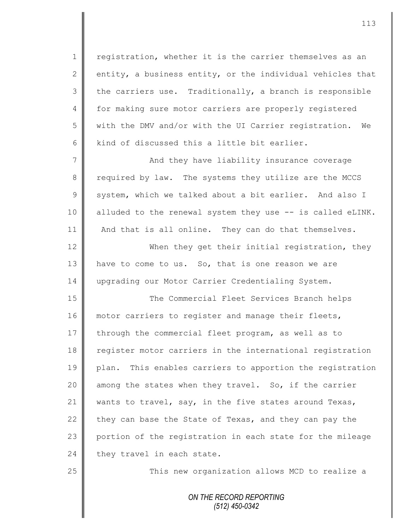1 | registration, whether it is the carrier themselves as an 2 entity, a business entity, or the individual vehicles that  $3 \parallel$  the carriers use. Traditionally, a branch is responsible 4 for making sure motor carriers are properly registered 5 with the DMV and/or with the UI Carrier registration. We 6 kind of discussed this a little bit earlier.

7 And they have liability insurance coverage 8 required by law. The systems they utilize are the MCCS 9 system, which we talked about a bit earlier. And also I 10 | alluded to the renewal system they use -- is called eLINK. 11 | And that is all online. They can do that themselves.

12 When they get their initial registration, they 13  $\parallel$  have to come to us. So, that is one reason we are 14 upgrading our Motor Carrier Credentialing System.

15 || The Commercial Fleet Services Branch helps 16 motor carriers to register and manage their fleets, 17 through the commercial fleet program, as well as to 18 register motor carriers in the international registration 19 plan. This enables carriers to apportion the registration 20 || among the states when they travel. So, if the carrier 21 wants to travel, say, in the five states around Texas, 22 they can base the State of Texas, and they can pay the 23 portion of the registration in each state for the mileage  $24$  they travel in each state.

25 | This new organization allows MCD to realize a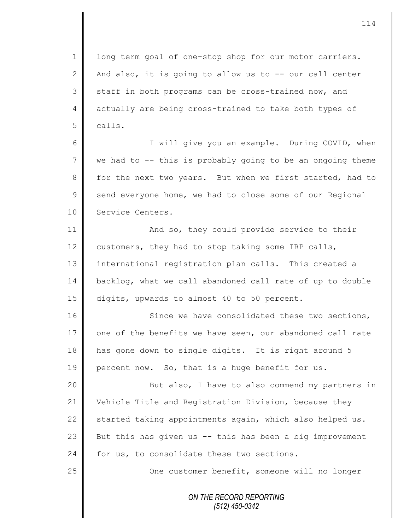1 | long term goal of one-stop shop for our motor carriers. 2  $\parallel$  And also, it is going to allow us to -- our call center  $3 \parallel$  staff in both programs can be cross-trained now, and 4 actually are being cross-trained to take both types of 5 calls.

6 || I will give you an example. During COVID, when 7 we had to -- this is probably going to be an ongoing theme 8 for the next two years. But when we first started, had to  $9 \parallel$  send everyone home, we had to close some of our Regional 10 Service Centers.

11 **And so, they could provide service to their** 12 customers, they had to stop taking some IRP calls, 13 international registration plan calls. This created a 14 backlog, what we call abandoned call rate of up to double 15 digits, upwards to almost 40 to 50 percent.

16 Since we have consolidated these two sections, 17  $\parallel$  one of the benefits we have seen, our abandoned call rate 18 has gone down to single digits. It is right around 5 19 percent now. So, that is a huge benefit for us.

20 || But also, I have to also commend my partners in 21 Vehicle Title and Registration Division, because they 22  $\parallel$  started taking appointments again, which also helped us. 23  $\parallel$  But this has given us -- this has been a big improvement 24 for us, to consolidate these two sections.

25 **One customer benefit, someone will no longer**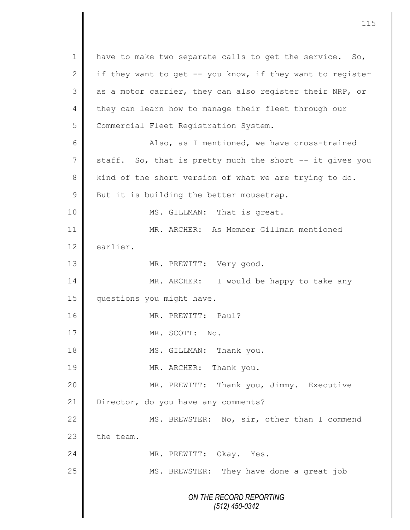*ON THE RECORD REPORTING (512) 450-0342* 1 have to make two separate calls to get the service. So, 2 if they want to get  $-$ - you know, if they want to register  $3 \parallel$  as a motor carrier, they can also register their NRP, or 4 they can learn how to manage their fleet through our 5 Commercial Fleet Registration System. 6 || Also, as I mentioned, we have cross-trained  $7 \parallel$  staff. So, that is pretty much the short  $-$  it gives you 8 kind of the short version of what we are trying to do.  $9$  But it is building the better mousetrap. 10 || MS. GILLMAN: That is great. 11 MR. ARCHER: As Member Gillman mentioned 12 earlier. 13 || MR. PREWITT: Very good. 14 MR. ARCHER: I would be happy to take any 15 | questions you might have. 16 MR. PREWITT: Paul? 17 MR. SCOTT: No. 18 || MS. GILLMAN: Thank you. 19 MR. ARCHER: Thank you. 20 MR. PREWITT: Thank you, Jimmy. Executive 21 | Director, do you have any comments? 22 MS. BREWSTER: No, sir, other than I commend  $23$   $\parallel$  the team. 24 || MR. PREWITT: Okay. Yes. 25 | MS. BREWSTER: They have done a great job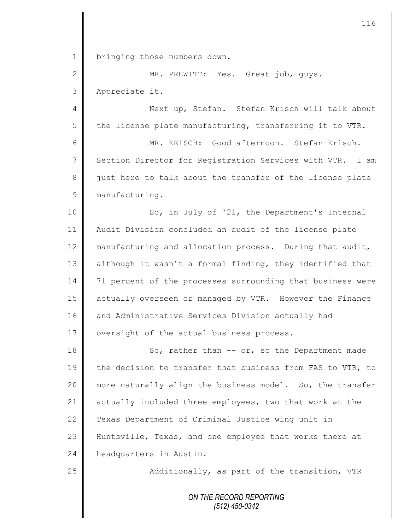1 | bringing those numbers down.

2 MR. PREWITT: Yes. Great job, guys. 3 Appreciate it.

4 || Next up, Stefan. Stefan Krisch will talk about 5 the license plate manufacturing, transferring it to VTR.

6 MR. KRISCH: Good afternoon. Stefan Krisch. 7 Section Director for Registration Services with VTR. I am 8 just here to talk about the transfer of the license plate 9 manufacturing.

10 || So, in July of '21, the Department's Internal 11 Audit Division concluded an audit of the license plate 12 manufacturing and allocation process. During that audit, 13 although it wasn't a formal finding, they identified that 14 71 percent of the processes surrounding that business were 15 actually overseen or managed by VTR. However the Finance 16 and Administrative Services Division actually had 17 | oversight of the actual business process.

18 || So, rather than -- or, so the Department made 19 the decision to transfer that business from FAS to VTR, to 20 more naturally align the business model. So, the transfer 21 actually included three employees, two that work at the 22 Texas Department of Criminal Justice wing unit in 23 Huntsville, Texas, and one employee that works there at 24 headquarters in Austin.

25 | Additionally, as part of the transition, VTR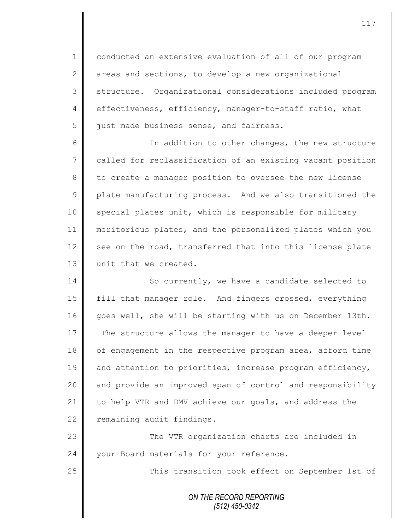1 conducted an extensive evaluation of all of our program  $2 \parallel$  areas and sections, to develop a new organizational 3 | structure. Organizational considerations included program 4 effectiveness, efficiency, manager-to-staff ratio, what 5 iust made business sense, and fairness.

6 || In addition to other changes, the new structure 7 called for reclassification of an existing vacant position 8 to create a manager position to oversee the new license 9 plate manufacturing process. And we also transitioned the 10 special plates unit, which is responsible for military 11 meritorious plates, and the personalized plates which you 12 see on the road, transferred that into this license plate 13 || unit that we created.

14 So currently, we have a candidate selected to 15 | fill that manager role. And fingers crossed, everything 16 goes well, she will be starting with us on December 13th. 17 The structure allows the manager to have a deeper level 18 | of engagement in the respective program area, afford time 19 and attention to priorities, increase program efficiency, 20 and provide an improved span of control and responsibility 21 to help VTR and DMV achieve our goals, and address the 22 remaining audit findings.

23 | The VTR organization charts are included in 24 | your Board materials for your reference.

25 || This transition took effect on September 1st of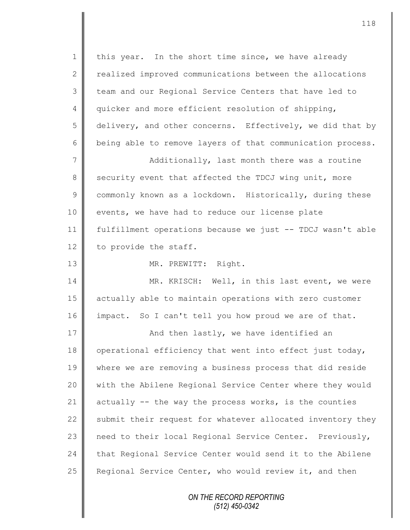*ON THE RECORD REPORTING* 1 | this year. In the short time since, we have already 2 realized improved communications between the allocations 3 | team and our Regional Service Centers that have led to 4 quicker and more efficient resolution of shipping, 5 | delivery, and other concerns. Effectively, we did that by  $6 \parallel$  being able to remove layers of that communication process. 7 || Additionally, last month there was a routine 8 security event that affected the TDCJ wing unit, more 9 commonly known as a lockdown. Historically, during these 10 | events, we have had to reduce our license plate 11 fulfillment operations because we just -- TDCJ wasn't able 12 to provide the staff. 13 NR. PREWITT: Right. 14 MR. KRISCH: Well, in this last event, we were 15 actually able to maintain operations with zero customer 16 impact. So I can't tell you how proud we are of that. 17 || **And then lastly, we have identified an** 18 | operational efficiency that went into effect just today, 19 where we are removing a business process that did reside 20 | with the Abilene Regional Service Center where they would 21  $\parallel$  actually -- the way the process works, is the counties 22 Submit their request for whatever allocated inventory they 23 need to their local Regional Service Center. Previously, 24 | that Regional Service Center would send it to the Abilene 25 Regional Service Center, who would review it, and then

*(512) 450-0342*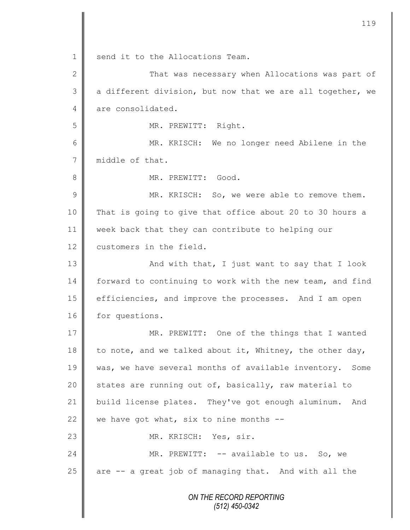*ON THE RECORD REPORTING (512) 450-0342* 1 send it to the Allocations Team. 2 That was necessary when Allocations was part of  $3 \parallel$  a different division, but now that we are all together, we 4 are consolidated. 5 MR. PREWITT: Right. 6 MR. KRISCH: We no longer need Abilene in the 7 middle of that. 8 **||** MR. PREWITT: Good. 9 || MR. KRISCH: So, we were able to remove them. 10 That is going to give that office about 20 to 30 hours a 11 week back that they can contribute to helping our 12 customers in the field. 13 || And with that, I just want to say that I look 14 forward to continuing to work with the new team, and find 15 efficiencies, and improve the processes. And I am open 16 for questions. 17 || MR. PREWITT: One of the things that I wanted 18 to note, and we talked about it, Whitney, the other day, 19 | was, we have several months of available inventory. Some 20  $\parallel$  states are running out of, basically, raw material to 21 build license plates. They've got enough aluminum. And 22 we have got what, six to nine months  $-$ 23 MR. KRISCH: Yes, sir. 24 || MR. PREWITT: -- available to us. So, we 25 are -- a great job of managing that. And with all the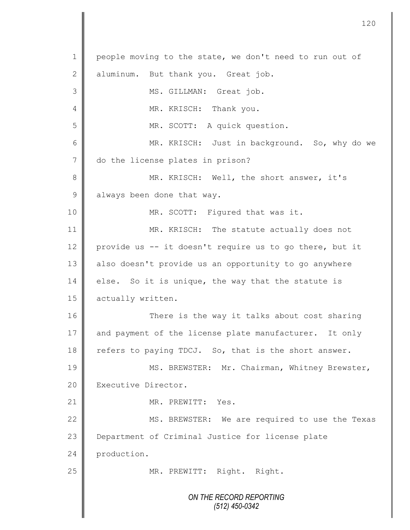*ON THE RECORD REPORTING (512) 450-0342* 1 people moving to the state, we don't need to run out of 2 aluminum. But thank you. Great job. 3 || MS. GILLMAN: Great job. 4 || MR. KRISCH: Thank you. 5 MR. SCOTT: A quick question. 6 MR. KRISCH: Just in background. So, why do we 7 do the license plates in prison? 8 MR. KRISCH: Well, the short answer, it's 9 always been done that way. 10 || MR. SCOTT: Figured that was it. 11 MR. KRISCH: The statute actually does not 12 provide us -- it doesn't require us to go there, but it 13 || also doesn't provide us an opportunity to go anywhere 14 else. So it is unique, the way that the statute is 15 **actually written.** 16 There is the way it talks about cost sharing 17 and payment of the license plate manufacturer. It only 18 refers to paying TDCJ. So, that is the short answer. 19 | MS. BREWSTER: Mr. Chairman, Whitney Brewster, 20 | Executive Director. 21 | MR. PREWITT: Yes. 22 | MS. BREWSTER: We are required to use the Texas 23 Department of Criminal Justice for license plate 24 production. 25 || MR. PREWITT: Right. Right.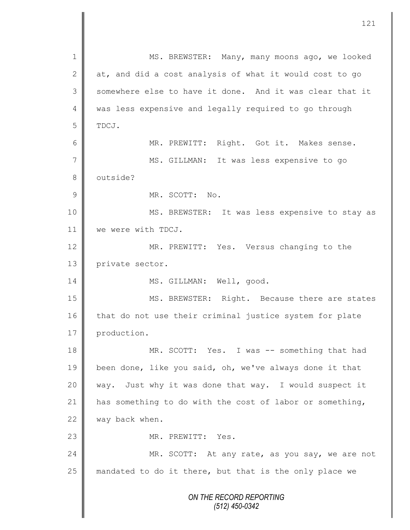*ON THE RECORD REPORTING (512) 450-0342* 1 MS. BREWSTER: Many, many moons ago, we looked 2 at, and did a cost analysis of what it would cost to go 3 Somewhere else to have it done. And it was clear that it 4 was less expensive and legally required to go through 5 TDCJ. 6 MR. PREWITT: Right. Got it. Makes sense. 7 || MS. GILLMAN: It was less expensive to go 8 | outside? 9 MR. SCOTT: No. 10 MS. BREWSTER: It was less expensive to stay as 11 we were with TDCJ. 12 MR. PREWITT: Yes. Versus changing to the 13 private sector. 14 || MS. GILLMAN: Well, good. 15 MS. BREWSTER: Right. Because there are states 16 that do not use their criminal justice system for plate 17 production. 18 MR. SCOTT: Yes. I was -- something that had 19 been done, like you said, oh, we've always done it that 20 way. Just why it was done that way. I would suspect it 21 has something to do with the cost of labor or something, 22 way back when. 23 No. 23 No. 23 No. 23 No. 23 No. 23 No. 23 No. 23 No. 23 No. 23 No. 23 No. 23 N 24 MR. SCOTT: At any rate, as you say, we are not 25 || mandated to do it there, but that is the only place we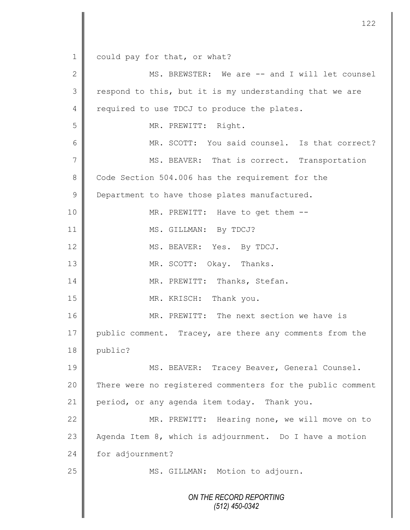1 could pay for that, or what?

*ON THE RECORD REPORTING (512) 450-0342* 2 || MS. BREWSTER: We are -- and I will let counsel  $3 \parallel$  respond to this, but it is my understanding that we are 4 required to use TDCJ to produce the plates. 5 MR. PREWITT: Right. 6 MR. SCOTT: You said counsel. Is that correct? 7 MS. BEAVER: That is correct. Transportation 8 Code Section 504.006 has the requirement for the 9 **Department to have those plates manufactured.** 10 || MR. PREWITT: Have to get them --11 | MS. GILLMAN: By TDCJ? 12 MS. BEAVER: Yes. By TDCJ. 13 MR. SCOTT: Okay. Thanks. 14 || MR. PREWITT: Thanks, Stefan. 15 MR. KRISCH: Thank you. 16 MR. PREWITT: The next section we have is 17 public comment. Tracey, are there any comments from the 18 public? 19 || MS. BEAVER: Tracey Beaver, General Counsel. 20 There were no registered commenters for the public comment 21 period, or any agenda item today. Thank you. 22 MR. PREWITT: Hearing none, we will move on to 23  $\parallel$  Agenda Item 8, which is adjournment. Do I have a motion 24 for adjournment? 25 | MS. GILLMAN: Motion to adjourn.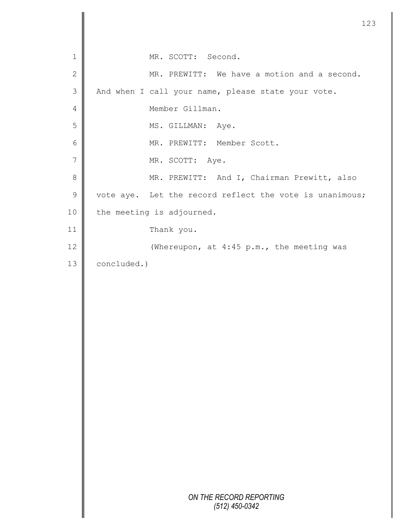|              | 123                                                     |
|--------------|---------------------------------------------------------|
| 1            | MR. SCOTT: Second.                                      |
| $\mathbf{2}$ | MR. PREWITT: We have a motion and a second.             |
| 3            | And when I call your name, please state your vote.      |
| 4            | Member Gillman.                                         |
| 5            | MS. GILLMAN: Aye.                                       |
| 6            | MR. PREWITT: Member Scott.                              |
| 7            | MR. SCOTT: Aye.                                         |
| 8            | MR. PREWITT: And I, Chairman Prewitt, also              |
| $\mathsf 9$  | vote aye. Let the record reflect the vote is unanimous; |
| 10           | the meeting is adjourned.                               |
| 11           | Thank you.                                              |
| 12           | (Whereupon, at 4:45 p.m., the meeting was               |
| 13           | concluded.)                                             |
|              |                                                         |
|              |                                                         |
|              |                                                         |
|              |                                                         |
|              |                                                         |
|              |                                                         |
|              |                                                         |
|              |                                                         |
|              |                                                         |
|              |                                                         |
|              |                                                         |
|              |                                                         |
|              |                                                         |
|              | ON THE RECORD REPORTING<br>$(512)$ 450-0342             |
|              |                                                         |